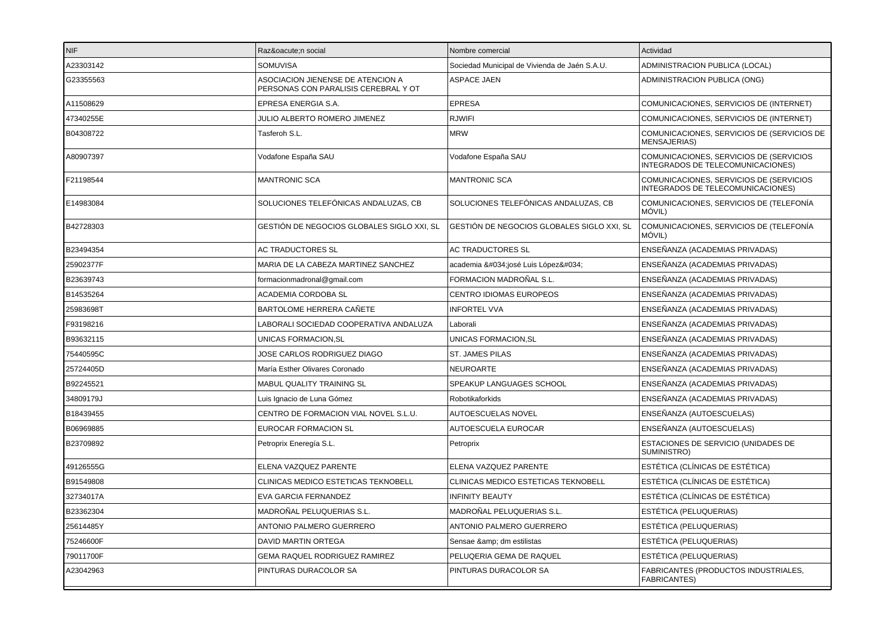| NIF       | Razón social                                                              | Nombre comercial                              | Actividad                                                                    |
|-----------|---------------------------------------------------------------------------|-----------------------------------------------|------------------------------------------------------------------------------|
| A23303142 | <b>SOMUVISA</b>                                                           | Sociedad Municipal de Vivienda de Jaén S.A.U. | ADMINISTRACION PUBLICA (LOCAL)                                               |
| G23355563 | ASOCIACION JIENENSE DE ATENCION A<br>PERSONAS CON PARALISIS CEREBRAL Y OT | <b>ASPACE JAEN</b>                            | ADMINISTRACION PUBLICA (ONG)                                                 |
| A11508629 | EPRESA ENERGIA S.A.                                                       | <b>EPRESA</b>                                 | COMUNICACIONES, SERVICIOS DE (INTERNET)                                      |
| 47340255E | JULIO ALBERTO ROMERO JIMENEZ                                              | <b>RJWIFI</b>                                 | COMUNICACIONES, SERVICIOS DE (INTERNET)                                      |
| B04308722 | Tasferoh S.L.                                                             | <b>MRW</b>                                    | COMUNICACIONES, SERVICIOS DE (SERVICIOS DE<br><b>MENSAJERIAS)</b>            |
| A80907397 | Vodafone España SAU                                                       | Vodafone España SAU                           | COMUNICACIONES, SERVICIOS DE (SERVICIOS<br>INTEGRADOS DE TELECOMUNICACIONES) |
| F21198544 | <b>MANTRONIC SCA</b>                                                      | <b>MANTRONIC SCA</b>                          | COMUNICACIONES, SERVICIOS DE (SERVICIOS<br>INTEGRADOS DE TELECOMUNICACIONES) |
| E14983084 | SOLUCIONES TELEFÓNICAS ANDALUZAS, CB                                      | SOLUCIONES TELEFÓNICAS ANDALUZAS, CB          | COMUNICACIONES, SERVICIOS DE (TELEFONÍA<br>MÓVIL)                            |
| B42728303 | GESTIÓN DE NEGOCIOS GLOBALES SIGLO XXI, SL                                | GESTIÓN DE NEGOCIOS GLOBALES SIGLO XXI, SL    | COMUNICACIONES, SERVICIOS DE (TELEFONÍA<br>MÓVIL)                            |
| B23494354 | AC TRADUCTORES SL                                                         | AC TRADUCTORES SL                             | ENSEÑANZA (ACADEMIAS PRIVADAS)                                               |
| 25902377F | MARIA DE LA CABEZA MARTINEZ SANCHEZ                                       | academia "josé Luis López"                    | ENSEÑANZA (ACADEMIAS PRIVADAS)                                               |
| B23639743 | formacionmadronal@gmail.com                                               | FORMACION MADROÑAL S.L.                       | ENSEÑANZA (ACADEMIAS PRIVADAS)                                               |
| B14535264 | ACADEMIA CORDOBA SL                                                       | <b>CENTRO IDIOMAS EUROPEOS</b>                | ENSEÑANZA (ACADEMIAS PRIVADAS)                                               |
| 25983698T | BARTOLOME HERRERA CAÑETE                                                  | <b>INFORTEL VVA</b>                           | ENSEÑANZA (ACADEMIAS PRIVADAS)                                               |
| F93198216 | LABORALI SOCIEDAD COOPERATIVA ANDALUZA                                    | Laborali                                      | ENSEÑANZA (ACADEMIAS PRIVADAS)                                               |
| B93632115 | UNICAS FORMACION, SL                                                      | UNICAS FORMACION, SL                          | ENSEÑANZA (ACADEMIAS PRIVADAS)                                               |
| 75440595C | JOSE CARLOS RODRIGUEZ DIAGO                                               | <b>ST. JAMES PILAS</b>                        | ENSEÑANZA (ACADEMIAS PRIVADAS)                                               |
| 25724405D | María Esther Olivares Coronado                                            | <b>NEUROARTE</b>                              | ENSEÑANZA (ACADEMIAS PRIVADAS)                                               |
| B92245521 | MABUL QUALITY TRAINING SL                                                 | SPEAKUP LANGUAGES SCHOOL                      | ENSEÑANZA (ACADEMIAS PRIVADAS)                                               |
| 34809179J | Luis Ignacio de Luna Gómez                                                | Robotikaforkids                               | ENSEÑANZA (ACADEMIAS PRIVADAS)                                               |
| B18439455 | CENTRO DE FORMACION VIAL NOVEL S.L.U.                                     | AUTOESCUELAS NOVEL                            | ENSEÑANZA (AUTOESCUELAS)                                                     |
| B06969885 | EUROCAR FORMACION SL                                                      | AUTOESCUELA EUROCAR                           | ENSEÑANZA (AUTOESCUELAS)                                                     |
| B23709892 | Petroprix Eneregía S.L.                                                   | Petroprix                                     | ESTACIONES DE SERVICIO (UNIDADES DE<br>SUMINISTRO)                           |
| 49126555G | ELENA VAZQUEZ PARENTE                                                     | ELENA VAZQUEZ PARENTE                         | ESTÉTICA (CLÍNICAS DE ESTÉTICA)                                              |
| B91549808 | CLINICAS MEDICO ESTETICAS TEKNOBELL                                       | CLINICAS MEDICO ESTETICAS TEKNOBELL           | ESTÉTICA (CLÍNICAS DE ESTÉTICA)                                              |
| 32734017A | EVA GARCIA FERNANDEZ                                                      | <b>INFINITY BEAUTY</b>                        | ESTÉTICA (CLÍNICAS DE ESTÉTICA)                                              |
| B23362304 | MADROÑAL PELUQUERIAS S.L.                                                 | MADROÑAL PELUQUERIAS S.L.                     | ESTÉTICA (PELUQUERIAS)                                                       |
| 25614485Y | <b>ANTONIO PALMERO GUERRERO</b>                                           | <b>ANTONIO PALMERO GUERRERO</b>               | ESTÉTICA (PELUQUERIAS)                                                       |
| 75246600F | <b>DAVID MARTIN ORTEGA</b>                                                | Sensae & dm estilistas                        | ESTÉTICA (PELUQUERIAS)                                                       |
| 79011700F | GEMA RAQUEL RODRIGUEZ RAMIREZ                                             | PELUQERIA GEMA DE RAQUEL                      | ESTÉTICA (PELUQUERIAS)                                                       |
| A23042963 | PINTURAS DURACOLOR SA                                                     | PINTURAS DURACOLOR SA                         | FABRICANTES (PRODUCTOS INDUSTRIALES,<br><b>FABRICANTES)</b>                  |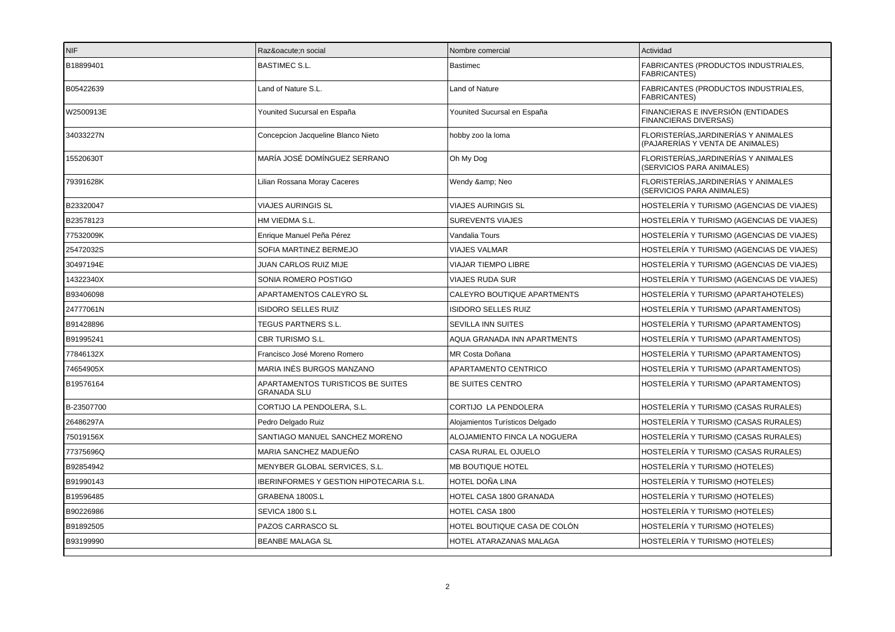| <b>NIF</b> | Razón social                                            | Nombre comercial                | Actividad                                                                |
|------------|---------------------------------------------------------|---------------------------------|--------------------------------------------------------------------------|
| B18899401  | <b>BASTIMEC S.L.</b>                                    | Bastimec                        | FABRICANTES (PRODUCTOS INDUSTRIALES,<br><b>FABRICANTES)</b>              |
| B05422639  | Land of Nature S.L.                                     | Land of Nature                  | FABRICANTES (PRODUCTOS INDUSTRIALES,<br><b>FABRICANTES)</b>              |
| W2500913E  | Younited Sucursal en España                             | Younited Sucursal en España     | FINANCIERAS E INVERSIÓN (ENTIDADES<br><b>FINANCIERAS DIVERSAS)</b>       |
| 34033227N  | Concepcion Jacqueline Blanco Nieto                      | hobby zoo la loma               | FLORISTERÍAS, JARDINERÍAS Y ANIMALES<br>(PAJARERÍAS Y VENTA DE ANIMALES) |
| 15520630T  | MARÍA JOSÉ DOMÍNGUEZ SERRANO                            | Oh My Dog                       | FLORISTERÍAS, JARDINERÍAS Y ANIMALES<br>(SERVICIOS PARA ANIMALES)        |
| 79391628K  | Lilian Rossana Moray Caceres                            | Wendy & Neo                     | FLORISTERÍAS.JARDINERÍAS Y ANIMALES<br>(SERVICIOS PARA ANIMALES)         |
| B23320047  | <b>VIAJES AURINGIS SL</b>                               | <b>VIAJES AURINGIS SL</b>       | HOSTELERÍA Y TURISMO (AGENCIAS DE VIAJES)                                |
| B23578123  | HM VIEDMA S.L.                                          | <b>SUREVENTS VIAJES</b>         | HOSTELERÍA Y TURISMO (AGENCIAS DE VIAJES)                                |
| 77532009K  | Enrique Manuel Peña Pérez                               | Vandalia Tours                  | HOSTELERÍA Y TURISMO (AGENCIAS DE VIAJES)                                |
| 25472032S  | SOFIA MARTINEZ BERMEJO                                  | <b>VIAJES VALMAR</b>            | HOSTELERÍA Y TURISMO (AGENCIAS DE VIAJES)                                |
| 30497194E  | JUAN CARLOS RUIZ MIJE                                   | VIAJAR TIEMPO LIBRE             | HOSTELERÍA Y TURISMO (AGENCIAS DE VIAJES)                                |
| 14322340X  | SONIA ROMERO POSTIGO                                    | VIAJES RUDA SUR                 | HOSTELERÍA Y TURISMO (AGENCIAS DE VIAJES)                                |
| B93406098  | APARTAMENTOS CALEYRO SL                                 | CALEYRO BOUTIQUE APARTMENTS     | HOSTELERÍA Y TURISMO (APARTAHOTELES)                                     |
| 24777061N  | <b>ISIDORO SELLES RUIZ</b>                              | <b>ISIDORO SELLES RUIZ</b>      | HOSTELERÍA Y TURISMO (APARTAMENTOS)                                      |
| B91428896  | <b>TEGUS PARTNERS S.L.</b>                              | <b>SEVILLA INN SUITES</b>       | HOSTELERÍA Y TURISMO (APARTAMENTOS)                                      |
| B91995241  | CBR TURISMO S.L.                                        | AQUA GRANADA INN APARTMENTS     | HOSTELERÍA Y TURISMO (APARTAMENTOS)                                      |
| 77846132X  | Francisco José Moreno Romero                            | MR Costa Doñana                 | HOSTELERÍA Y TURISMO (APARTAMENTOS)                                      |
| 74654905X  | MARIA INÉS BURGOS MANZANO                               | <b>APARTAMENTO CENTRICO</b>     | HOSTELERÍA Y TURISMO (APARTAMENTOS)                                      |
| B19576164  | APARTAMENTOS TURISTICOS BE SUITES<br><b>GRANADA SLU</b> | BE SUITES CENTRO                | HOSTELERÍA Y TURISMO (APARTAMENTOS)                                      |
| B-23507700 | CORTIJO LA PENDOLERA, S.L.                              | CORTIJO LA PENDOLERA            | HOSTELERÍA Y TURISMO (CASAS RURALES)                                     |
| 26486297A  | Pedro Delgado Ruiz                                      | Alojamientos Turísticos Delgado | HOSTELERÍA Y TURISMO (CASAS RURALES)                                     |
| 75019156X  | SANTIAGO MANUEL SANCHEZ MORENO                          | ALOJAMIENTO FINCA LA NOGUERA    | HOSTELERÍA Y TURISMO (CASAS RURALES)                                     |
| 77375696Q  | MARIA SANCHEZ MADUEÑO                                   | CASA RURAL EL OJUELO            | HOSTELERÍA Y TURISMO (CASAS RURALES)                                     |
| B92854942  | MENYBER GLOBAL SERVICES, S.L.                           | MB BOUTIQUE HOTEL               | HOSTELERÍA Y TURISMO (HOTELES)                                           |
| B91990143  | <b>IBERINFORMES Y GESTION HIPOTECARIA S.L.</b>          | <b>HOTEL DOÑA LINA</b>          | HOSTELERÍA Y TURISMO (HOTELES)                                           |
| B19596485  | GRABENA 1800S.L                                         | <b>HOTEL CASA 1800 GRANADA</b>  | HOSTELERÍA Y TURISMO (HOTELES)                                           |
| B90226986  | SEVICA 1800 S.L                                         | HOTEL CASA 1800                 | HOSTELERÍA Y TURISMO (HOTELES)                                           |
| B91892505  | PAZOS CARRASCO SL                                       | HOTEL BOUTIQUE CASA DE COLÓN    | HOSTELERÍA Y TURISMO (HOTELES)                                           |
| B93199990  | <b>BEANBE MALAGA SL</b>                                 | HOTEL ATARAZANAS MALAGA         | HOSTELERÍA Y TURISMO (HOTELES)                                           |
|            |                                                         |                                 |                                                                          |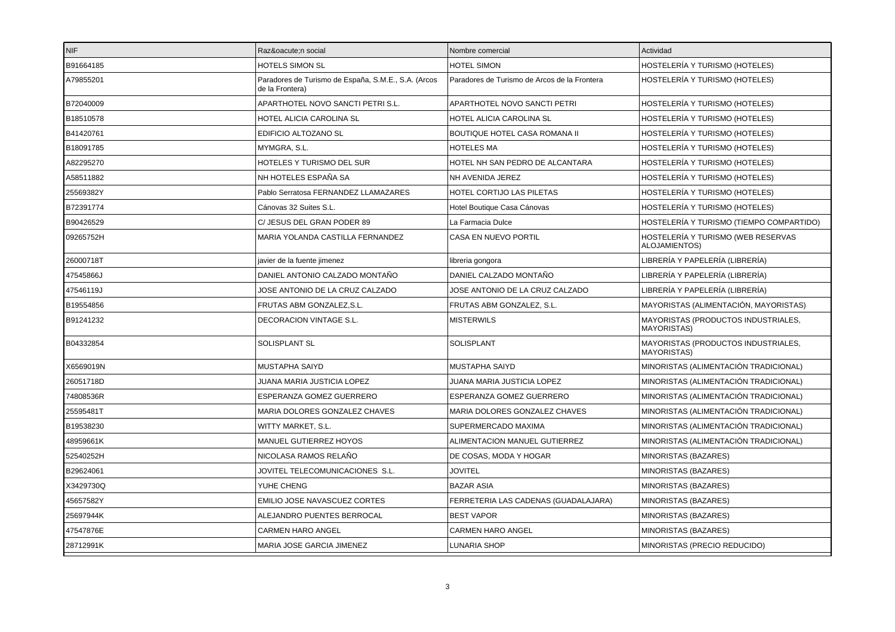| NIF       | Razón social                                                           | Nombre comercial                             | Actividad                                                 |
|-----------|------------------------------------------------------------------------|----------------------------------------------|-----------------------------------------------------------|
| B91664185 | HOTELS SIMON SL                                                        | HOTEL SIMON                                  | HOSTELERÍA Y TURISMO (HOTELES)                            |
| A79855201 | Paradores de Turismo de España, S.M.E., S.A. (Arcos<br>de la Frontera) | Paradores de Turismo de Arcos de la Frontera | HOSTELERÍA Y TURISMO (HOTELES)                            |
| B72040009 | APARTHOTEL NOVO SANCTI PETRI S.L.                                      | APARTHOTEL NOVO SANCTI PETRI                 | HOSTELERÍA Y TURISMO (HOTELES)                            |
| B18510578 | HOTEL ALICIA CAROLINA SL                                               | HOTEL ALICIA CAROLINA SL                     | HOSTELERÍA Y TURISMO (HOTELES)                            |
| B41420761 | EDIFICIO ALTOZANO SL                                                   | BOUTIQUE HOTEL CASA ROMANA II                | HOSTELERÍA Y TURISMO (HOTELES)                            |
| B18091785 | MYMGRA, S.L.                                                           | <b>HOTELES MA</b>                            | HOSTELERÍA Y TURISMO (HOTELES)                            |
| A82295270 | HOTELES Y TURISMO DEL SUR                                              | HOTEL NH SAN PEDRO DE ALCANTARA              | HOSTELERÍA Y TURISMO (HOTELES)                            |
| A58511882 | NH HOTELES ESPAÑA SA                                                   | NH AVENIDA JEREZ                             | HOSTELERÍA Y TURISMO (HOTELES)                            |
| 25569382Y | Pablo Serratosa FERNANDEZ LLAMAZARES                                   | HOTEL CORTIJO LAS PILETAS                    | HOSTELERÍA Y TURISMO (HOTELES)                            |
| B72391774 | Cánovas 32 Suites S.L.                                                 | Hotel Boutique Casa Cánovas                  | HOSTELERÍA Y TURISMO (HOTELES)                            |
| B90426529 | C/ JESUS DEL GRAN PODER 89                                             | La Farmacia Dulce                            | HOSTELERÍA Y TURISMO (TIEMPO COMPARTIDO)                  |
| 09265752H | MARIA YOLANDA CASTILLA FERNANDEZ                                       | CASA EN NUEVO PORTIL                         | HOSTELERÍA Y TURISMO (WEB RESERVAS<br>ALOJAMIENTOS)       |
| 26000718T | javier de la fuente jimenez                                            | libreria gongora                             | LIBRERÍA Y PAPELERÍA (LIBRERÍA)                           |
| 47545866J | DANIEL ANTONIO CALZADO MONTAÑO                                         | DANIEL CALZADO MONTAÑO                       | LIBRERÍA Y PAPELERÍA (LIBRERÍA)                           |
| 47546119J | JOSE ANTONIO DE LA CRUZ CALZADO                                        | JOSE ANTONIO DE LA CRUZ CALZADO              | LIBRERÍA Y PAPELERÍA (LIBRERÍA)                           |
| B19554856 | FRUTAS ABM GONZALEZ, S.L.                                              | FRUTAS ABM GONZALEZ, S.L.                    | MAYORISTAS (ALIMENTACIÓN, MAYORISTAS)                     |
| B91241232 | DECORACION VINTAGE S.L.                                                | <b>MISTERWILS</b>                            | MAYORISTAS (PRODUCTOS INDUSTRIALES,<br><b>MAYORISTAS)</b> |
| B04332854 | SOLISPLANT SL                                                          | SOLISPLANT                                   | MAYORISTAS (PRODUCTOS INDUSTRIALES,<br><b>MAYORISTAS)</b> |
| X6569019N | <b>MUSTAPHA SAIYD</b>                                                  | MUSTAPHA SAIYD                               | MINORISTAS (ALIMENTACIÓN TRADICIONAL)                     |
| 26051718D | JUANA MARIA JUSTICIA LOPEZ                                             | JUANA MARIA JUSTICIA LOPEZ                   | MINORISTAS (ALIMENTACIÓN TRADICIONAL)                     |
| 74808536R | ESPERANZA GOMEZ GUERRERO                                               | ESPERANZA GOMEZ GUERRERO                     | MINORISTAS (ALIMENTACIÓN TRADICIONAL)                     |
| 25595481T | MARIA DOLORES GONZALEZ CHAVES                                          | MARIA DOLORES GONZALEZ CHAVES                | MINORISTAS (ALIMENTACIÓN TRADICIONAL)                     |
| B19538230 | WITTY MARKET, S.L.                                                     | SUPERMERCADO MAXIMA                          | MINORISTAS (ALIMENTACIÓN TRADICIONAL)                     |
| 48959661K | MANUEL GUTIERREZ HOYOS                                                 | ALIMENTACION MANUEL GUTIERREZ                | MINORISTAS (ALIMENTACIÓN TRADICIONAL)                     |
| 52540252H | NICOLASA RAMOS RELAÑO                                                  | DE COSAS, MODA Y HOGAR                       | MINORISTAS (BAZARES)                                      |
| B29624061 | JOVITEL TELECOMUNICACIONES S.L.                                        | <b>JOVITEL</b>                               | MINORISTAS (BAZARES)                                      |
| X3429730Q | YUHE CHENG                                                             | <b>BAZAR ASIA</b>                            | MINORISTAS (BAZARES)                                      |
| 45657582Y | EMILIO JOSE NAVASCUEZ CORTES                                           | FERRETERIA LAS CADENAS (GUADALAJARA)         | MINORISTAS (BAZARES)                                      |
| 25697944K | ALEJANDRO PUENTES BERROCAL                                             | <b>BEST VAPOR</b>                            | MINORISTAS (BAZARES)                                      |
| 47547876E | CARMEN HARO ANGEL                                                      | CARMEN HARO ANGEL                            | MINORISTAS (BAZARES)                                      |
| 28712991K | MARIA JOSE GARCIA JIMENEZ                                              | LUNARIA SHOP                                 | MINORISTAS (PRECIO REDUCIDO)                              |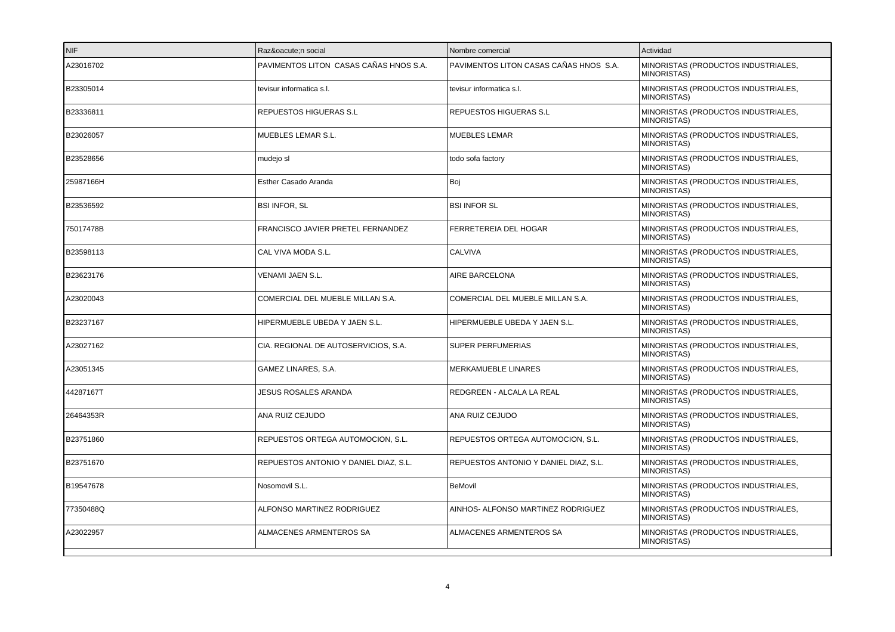| NIF       | Razón social                           | Nombre comercial                       | Actividad                                                 |
|-----------|----------------------------------------|----------------------------------------|-----------------------------------------------------------|
| A23016702 | PAVIMENTOS LITON CASAS CAÑAS HNOS S.A. | PAVIMENTOS LITON CASAS CAÑAS HNOS S.A. | MINORISTAS (PRODUCTOS INDUSTRIALES,<br><b>MINORISTAS)</b> |
| B23305014 | tevisur informatica s.l.               | tevisur informatica s.l.               | MINORISTAS (PRODUCTOS INDUSTRIALES,<br><b>MINORISTAS)</b> |
| B23336811 | REPUESTOS HIGUERAS S.L                 | REPUESTOS HIGUERAS S.L                 | MINORISTAS (PRODUCTOS INDUSTRIALES,<br><b>MINORISTAS)</b> |
| B23026057 | MUEBLES LEMAR S.L.                     | <b>MUEBLES LEMAR</b>                   | MINORISTAS (PRODUCTOS INDUSTRIALES,<br><b>MINORISTAS)</b> |
| B23528656 | mudejo sl                              | todo sofa factory                      | MINORISTAS (PRODUCTOS INDUSTRIALES,<br><b>MINORISTAS)</b> |
| 25987166H | Esther Casado Aranda                   | Boj                                    | MINORISTAS (PRODUCTOS INDUSTRIALES,<br><b>MINORISTAS)</b> |
| B23536592 | <b>BSI INFOR, SL</b>                   | <b>BSI INFOR SL</b>                    | MINORISTAS (PRODUCTOS INDUSTRIALES,<br>MINORISTAS)        |
| 75017478B | FRANCISCO JAVIER PRETEL FERNANDEZ      | FERRETEREIA DEL HOGAR                  | MINORISTAS (PRODUCTOS INDUSTRIALES,<br><b>MINORISTAS)</b> |
| B23598113 | CAL VIVA MODA S.L.                     | <b>CALVIVA</b>                         | MINORISTAS (PRODUCTOS INDUSTRIALES,<br><b>MINORISTAS)</b> |
| B23623176 | VENAMI JAEN S.L.                       | AIRE BARCELONA                         | MINORISTAS (PRODUCTOS INDUSTRIALES,<br><b>MINORISTAS)</b> |
| A23020043 | COMERCIAL DEL MUEBLE MILLAN S.A.       | COMERCIAL DEL MUEBLE MILLAN S.A.       | MINORISTAS (PRODUCTOS INDUSTRIALES,<br><b>MINORISTAS)</b> |
| B23237167 | HIPERMUEBLE UBEDA Y JAEN S.L.          | HIPERMUEBLE UBEDA Y JAEN S.L.          | MINORISTAS (PRODUCTOS INDUSTRIALES,<br><b>MINORISTAS)</b> |
| A23027162 | CIA. REGIONAL DE AUTOSERVICIOS, S.A.   | SUPER PERFUMERIAS                      | MINORISTAS (PRODUCTOS INDUSTRIALES,<br><b>MINORISTAS)</b> |
| A23051345 | GAMEZ LINARES, S.A.                    | MERKAMUEBLE LINARES                    | MINORISTAS (PRODUCTOS INDUSTRIALES,<br><b>MINORISTAS)</b> |
| 44287167T | JESUS ROSALES ARANDA                   | REDGREEN - ALCALA LA REAL              | MINORISTAS (PRODUCTOS INDUSTRIALES,<br><b>MINORISTAS)</b> |
| 26464353R | ANA RUIZ CEJUDO                        | ANA RUIZ CEJUDO                        | MINORISTAS (PRODUCTOS INDUSTRIALES,<br><b>MINORISTAS)</b> |
| B23751860 | REPUESTOS ORTEGA AUTOMOCION, S.L.      | REPUESTOS ORTEGA AUTOMOCION, S.L.      | MINORISTAS (PRODUCTOS INDUSTRIALES,<br><b>MINORISTAS)</b> |
| B23751670 | REPUESTOS ANTONIO Y DANIEL DIAZ, S.L.  | REPUESTOS ANTONIO Y DANIEL DIAZ, S.L.  | MINORISTAS (PRODUCTOS INDUSTRIALES,<br><b>MINORISTAS)</b> |
| B19547678 | Nosomovil S.L.                         | BeMovil                                | MINORISTAS (PRODUCTOS INDUSTRIALES,<br><b>MINORISTAS)</b> |
| 77350488Q | ALFONSO MARTINEZ RODRIGUEZ             | AINHOS- ALFONSO MARTINEZ RODRIGUEZ     | MINORISTAS (PRODUCTOS INDUSTRIALES,<br><b>MINORISTAS)</b> |
| A23022957 | ALMACENES ARMENTEROS SA                | ALMACENES ARMENTEROS SA                | MINORISTAS (PRODUCTOS INDUSTRIALES,<br><b>MINORISTAS)</b> |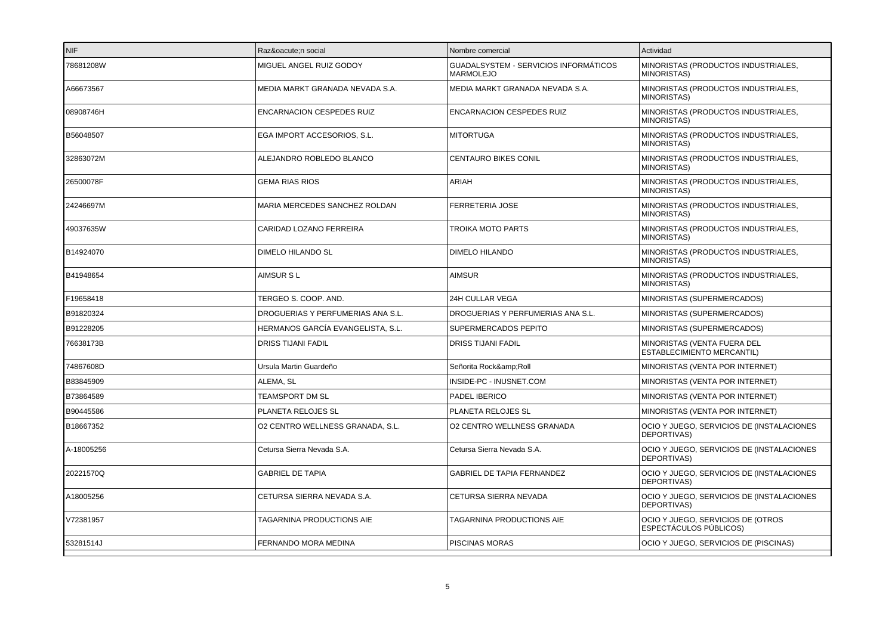| INIF.      | Razón social                      | Nombre comercial                                   | Actividad                                                        |
|------------|-----------------------------------|----------------------------------------------------|------------------------------------------------------------------|
| 78681208W  | MIGUEL ANGEL RUIZ GODOY           | GUADALSYSTEM - SERVICIOS INFORMÁTICOS<br>MARMOLEJO | MINORISTAS (PRODUCTOS INDUSTRIALES,<br><b>MINORISTAS)</b>        |
| A66673567  | MEDIA MARKT GRANADA NEVADA S.A.   | MEDIA MARKT GRANADA NEVADA S.A.                    | MINORISTAS (PRODUCTOS INDUSTRIALES,<br><b>MINORISTAS)</b>        |
| 08908746H  | ENCARNACION CESPEDES RUIZ         | ENCARNACION CESPEDES RUIZ                          | MINORISTAS (PRODUCTOS INDUSTRIALES,<br><b>MINORISTAS)</b>        |
| B56048507  | EGA IMPORT ACCESORIOS, S.L.       | <b>MITORTUGA</b>                                   | MINORISTAS (PRODUCTOS INDUSTRIALES,<br><b>MINORISTAS)</b>        |
| 32863072M  | ALEJANDRO ROBLEDO BLANCO          | CENTAURO BIKES CONIL                               | MINORISTAS (PRODUCTOS INDUSTRIALES,<br><b>MINORISTAS)</b>        |
| 26500078F  | <b>GEMA RIAS RIOS</b>             | ARIAH                                              | MINORISTAS (PRODUCTOS INDUSTRIALES,<br>MINORISTAS)               |
| 24246697M  | MARIA MERCEDES SANCHEZ ROLDAN     | <b>FERRETERIA JOSE</b>                             | MINORISTAS (PRODUCTOS INDUSTRIALES,<br><b>MINORISTAS)</b>        |
| 49037635W  | CARIDAD LOZANO FERREIRA           | <b>TROIKA MOTO PARTS</b>                           | MINORISTAS (PRODUCTOS INDUSTRIALES.<br><b>MINORISTAS)</b>        |
| B14924070  | DIMELO HILANDO SL                 | <b>DIMELO HILANDO</b>                              | MINORISTAS (PRODUCTOS INDUSTRIALES,<br><b>MINORISTAS)</b>        |
| B41948654  | <b>AIMSUR SL</b>                  | <b>AIMSUR</b>                                      | MINORISTAS (PRODUCTOS INDUSTRIALES,<br><b>MINORISTAS)</b>        |
| F19658418  | TERGEO S. COOP. AND.              | <b>24H CULLAR VEGA</b>                             | MINORISTAS (SUPERMERCADOS)                                       |
| B91820324  | DROGUERIAS Y PERFUMERIAS ANA S.L. | DROGUERIAS Y PERFUMERIAS ANA S.L.                  | MINORISTAS (SUPERMERCADOS)                                       |
| B91228205  | HERMANOS GARCÍA EVANGELISTA, S.L. | SUPERMERCADOS PEPITO                               | MINORISTAS (SUPERMERCADOS)                                       |
| 76638173B  | <b>DRISS TIJANI FADIL</b>         | <b>DRISS TIJANI FADIL</b>                          | MINORISTAS (VENTA FUERA DEL<br><b>ESTABLECIMIENTO MERCANTIL)</b> |
| 74867608D  | Ursula Martin Guardeño            | Señorita Rock&Roll                                 | MINORISTAS (VENTA POR INTERNET)                                  |
| B83845909  | ALEMA, SL                         | INSIDE-PC - INUSNET.COM                            | MINORISTAS (VENTA POR INTERNET)                                  |
| B73864589  | <b>TEAMSPORT DM SL</b>            | PADEL IBERICO                                      | MINORISTAS (VENTA POR INTERNET)                                  |
| B90445586  | PLANETA RELOJES SL                | PLANETA RELOJES SL                                 | MINORISTAS (VENTA POR INTERNET)                                  |
| B18667352  | O2 CENTRO WELLNESS GRANADA, S.L.  | O2 CENTRO WELLNESS GRANADA                         | OCIO Y JUEGO, SERVICIOS DE (INSTALACIONES<br>DEPORTIVAS)         |
| A-18005256 | Cetursa Sierra Nevada S.A.        | Cetursa Sierra Nevada S.A.                         | OCIO Y JUEGO, SERVICIOS DE (INSTALACIONES<br>DEPORTIVAS)         |
| 20221570Q  | <b>GABRIEL DE TAPIA</b>           | <b>GABRIEL DE TAPIA FERNANDEZ</b>                  | OCIO Y JUEGO, SERVICIOS DE (INSTALACIONES<br>DEPORTIVAS)         |
| A18005256  | CETURSA SIERRA NEVADA S.A.        | CETURSA SIERRA NEVADA                              | OCIO Y JUEGO, SERVICIOS DE (INSTALACIONES<br>DEPORTIVAS)         |
| V72381957  | TAGARNINA PRODUCTIONS AIE         | TAGARNINA PRODUCTIONS AIE                          | OCIO Y JUEGO, SERVICIOS DE (OTROS<br>ESPECTÁCULOS PÚBLICOS)      |
| 53281514J  | FERNANDO MORA MEDINA              | <b>PISCINAS MORAS</b>                              | OCIO Y JUEGO, SERVICIOS DE (PISCINAS)                            |
|            |                                   |                                                    |                                                                  |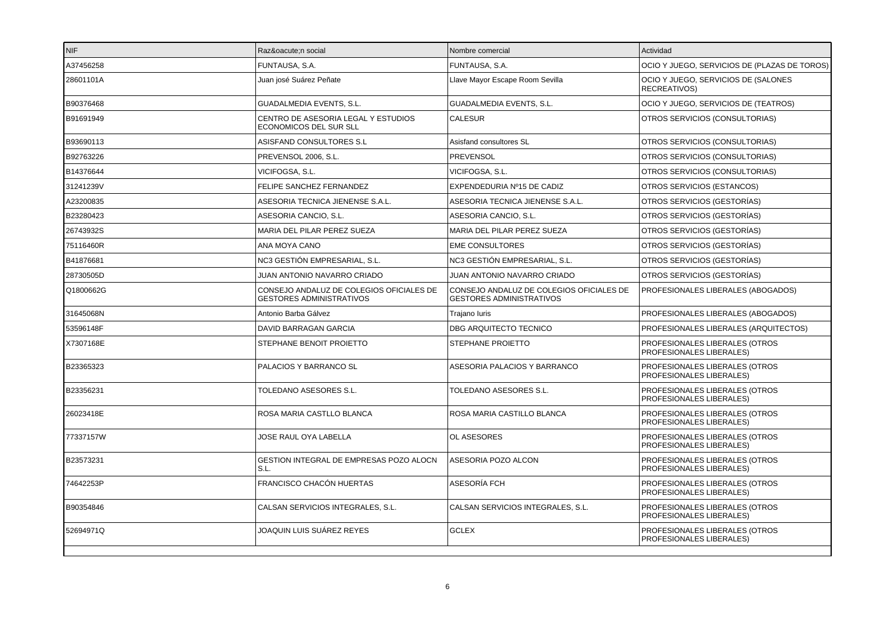| NIF       | Razón social                                                                | Nombre comercial                                                            | Actividad                                                  |
|-----------|-----------------------------------------------------------------------------|-----------------------------------------------------------------------------|------------------------------------------------------------|
| A37456258 | FUNTAUSA, S.A.                                                              | FUNTAUSA, S.A.                                                              | OCIO Y JUEGO, SERVICIOS DE (PLAZAS DE TOROS)               |
| 28601101A | Juan josé Suárez Peñate                                                     | Llave Mayor Escape Room Sevilla                                             | OCIO Y JUEGO, SERVICIOS DE (SALONES<br>RECREATIVOS)        |
| B90376468 | <b>GUADALMEDIA EVENTS, S.L.</b>                                             | GUADALMEDIA EVENTS, S.L.                                                    | OCIO Y JUEGO, SERVICIOS DE (TEATROS)                       |
| B91691949 | CENTRO DE ASESORIA LEGAL Y ESTUDIOS<br>ECONOMICOS DEL SUR SLL               | <b>CALESUR</b>                                                              | OTROS SERVICIOS (CONSULTORIAS)                             |
| B93690113 | ASISFAND CONSULTORES S.L                                                    | Asisfand consultores SL                                                     | OTROS SERVICIOS (CONSULTORIAS)                             |
| B92763226 | PREVENSOL 2006, S.L.                                                        | <b>PREVENSOL</b>                                                            | OTROS SERVICIOS (CONSULTORIAS)                             |
| B14376644 | VICIFOGSA, S.L.                                                             | VICIFOGSA, S.L.                                                             | OTROS SERVICIOS (CONSULTORIAS)                             |
| 31241239V | FELIPE SANCHEZ FERNANDEZ                                                    | EXPENDEDURIA Nº15 DE CADIZ                                                  | OTROS SERVICIOS (ESTANCOS)                                 |
| A23200835 | ASESORIA TECNICA JIENENSE S.A.L.                                            | ASESORIA TECNICA JIENENSE S.A.L.                                            | OTROS SERVICIOS (GESTORÍAS)                                |
| B23280423 | ASESORIA CANCIO, S.L.                                                       | ASESORIA CANCIO, S.L.                                                       | OTROS SERVICIOS (GESTORÍAS)                                |
| 26743932S | MARIA DEL PILAR PEREZ SUEZA                                                 | MARIA DEL PILAR PEREZ SUEZA                                                 | OTROS SERVICIOS (GESTORÍAS)                                |
| 75116460R | ANA MOYA CANO                                                               | <b>EME CONSULTORES</b>                                                      | OTROS SERVICIOS (GESTORÍAS)                                |
| B41876681 | NC3 GESTIÓN EMPRESARIAL, S.L.                                               | NC3 GESTIÓN EMPRESARIAL, S.L.                                               | OTROS SERVICIOS (GESTORÍAS)                                |
| 28730505D | JUAN ANTONIO NAVARRO CRIADO                                                 | JUAN ANTONIO NAVARRO CRIADO                                                 | OTROS SERVICIOS (GESTORÍAS)                                |
| Q1800662G | CONSEJO ANDALUZ DE COLEGIOS OFICIALES DE<br><b>GESTORES ADMINISTRATIVOS</b> | CONSEJO ANDALUZ DE COLEGIOS OFICIALES DE<br><b>GESTORES ADMINISTRATIVOS</b> | PROFESIONALES LIBERALES (ABOGADOS)                         |
| 31645068N | Antonio Barba Gálvez                                                        | Trajano luris                                                               | PROFESIONALES LIBERALES (ABOGADOS)                         |
| 53596148F | DAVID BARRAGAN GARCIA                                                       | DBG ARQUITECTO TECNICO                                                      | PROFESIONALES LIBERALES (ARQUITECTOS)                      |
| X7307168E | STEPHANE BENOIT PROIETTO                                                    | STEPHANE PROIETTO                                                           | PROFESIONALES LIBERALES (OTROS<br>PROFESIONALES LIBERALES) |
| B23365323 | PALACIOS Y BARRANCO SL                                                      | ASESORIA PALACIOS Y BARRANCO                                                | PROFESIONALES LIBERALES (OTROS<br>PROFESIONALES LIBERALES) |
| B23356231 | TOLEDANO ASESORES S.L.                                                      | TOLEDANO ASESORES S.L.                                                      | PROFESIONALES LIBERALES (OTROS<br>PROFESIONALES LIBERALES) |
| 26023418E | ROSA MARIA CASTLLO BLANCA                                                   | ROSA MARIA CASTILLO BLANCA                                                  | PROFESIONALES LIBERALES (OTROS<br>PROFESIONALES LIBERALES) |
| 77337157W | JOSE RAUL OYA LABELLA                                                       | OL ASESORES                                                                 | PROFESIONALES LIBERALES (OTROS<br>PROFESIONALES LIBERALES) |
| B23573231 | GESTION INTEGRAL DE EMPRESAS POZO ALOCN<br>S.L.                             | ASESORIA POZO ALCON                                                         | PROFESIONALES LIBERALES (OTROS<br>PROFESIONALES LIBERALES) |
| 74642253P | FRANCISCO CHACÓN HUERTAS                                                    | ASESORÍA FCH                                                                | PROFESIONALES LIBERALES (OTROS<br>PROFESIONALES LIBERALES) |
| B90354846 | CALSAN SERVICIOS INTEGRALES, S.L.                                           | CALSAN SERVICIOS INTEGRALES, S.L.                                           | PROFESIONALES LIBERALES (OTROS<br>PROFESIONALES LIBERALES) |
| 52694971Q | JOAQUIN LUIS SUÁREZ REYES                                                   | <b>GCLEX</b>                                                                | PROFESIONALES LIBERALES (OTROS<br>PROFESIONALES LIBERALES) |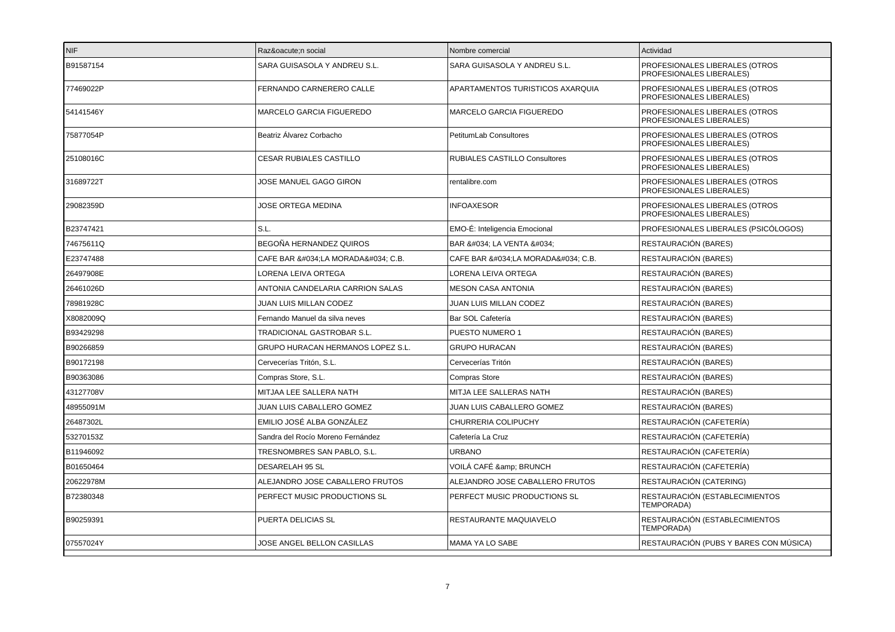| NIF       | Razón social                             | Nombre comercial                 | Actividad                                                  |
|-----------|------------------------------------------|----------------------------------|------------------------------------------------------------|
| B91587154 | SARA GUISASOLA Y ANDREU S.L.             | SARA GUISASOLA Y ANDREU S.L.     | PROFESIONALES LIBERALES (OTROS<br>PROFESIONALES LIBERALES) |
| 77469022P | FERNANDO CARNERERO CALLE                 | APARTAMENTOS TURISTICOS AXARQUIA | PROFESIONALES LIBERALES (OTROS<br>PROFESIONALES LIBERALES) |
| 54141546Y | <b>MARCELO GARCIA FIGUEREDO</b>          | <b>MARCELO GARCIA FIGUEREDO</b>  | PROFESIONALES LIBERALES (OTROS<br>PROFESIONALES LIBERALES) |
| 75877054P | Beatriz Álvarez Corbacho                 | PetitumLab Consultores           | PROFESIONALES LIBERALES (OTROS<br>PROFESIONALES LIBERALES) |
| 25108016C | CESAR RUBIALES CASTILLO                  | RUBIALES CASTILLO Consultores    | PROFESIONALES LIBERALES (OTROS<br>PROFESIONALES LIBERALES) |
| 31689722T | JOSE MANUEL GAGO GIRON                   | rentalibre.com                   | PROFESIONALES LIBERALES (OTROS<br>PROFESIONALES LIBERALES) |
| 29082359D | <b>JOSE ORTEGA MEDINA</b>                | <b>INFOAXESOR</b>                | PROFESIONALES LIBERALES (OTROS<br>PROFESIONALES LIBERALES) |
| B23747421 | S.L.                                     | EMO-É: Inteligencia Emocional    | PROFESIONALES LIBERALES (PSICÓLOGOS)                       |
| 74675611Q | BEGOÑA HERNANDEZ QUIROS                  | BAR " LA VENTA "                 | RESTAURACIÓN (BARES)                                       |
| E23747488 | CAFE BAR "LA MORADA" C.B.                | CAFE BAR "LA MORADA" C.B.        | RESTAURACIÓN (BARES)                                       |
| 26497908E | LORENA LEIVA ORTEGA                      | LORENA LEIVA ORTEGA              | RESTAURACIÓN (BARES)                                       |
| 26461026D | ANTONIA CANDELARIA CARRION SALAS         | MESON CASA ANTONIA               | RESTAURACIÓN (BARES)                                       |
| 78981928C | JUAN LUIS MILLAN CODEZ                   | <b>JUAN LUIS MILLAN CODEZ</b>    | RESTAURACIÓN (BARES)                                       |
| X8082009Q | Fernando Manuel da silva neves           | Bar SOL Cafetería                | RESTAURACIÓN (BARES)                                       |
| B93429298 | TRADICIONAL GASTROBAR S.L.               | PUESTO NUMERO 1                  | RESTAURACIÓN (BARES)                                       |
| B90266859 | <b>GRUPO HURACAN HERMANOS LOPEZ S.L.</b> | <b>GRUPO HURACAN</b>             | RESTAURACIÓN (BARES)                                       |
| B90172198 | Cervecerías Tritón, S.L.                 | Cervecerías Tritón               | RESTAURACIÓN (BARES)                                       |
| B90363086 | Compras Store, S.L.                      | <b>Compras Store</b>             | RESTAURACIÓN (BARES)                                       |
| 43127708V | MITJAA LEE SALLERA NATH                  | MITJA LEE SALLERAS NATH          | RESTAURACIÓN (BARES)                                       |
| 48955091M | JUAN LUIS CABALLERO GOMEZ                | JUAN LUIS CABALLERO GOMEZ        | RESTAURACIÓN (BARES)                                       |
| 26487302L | EMILIO JOSÉ ALBA GONZÁLEZ                | CHURRERIA COLIPUCHY              | RESTAURACIÓN (CAFETERÍA)                                   |
| 53270153Z | Sandra del Rocío Moreno Fernández        | Cafetería La Cruz                | RESTAURACIÓN (CAFETERÍA)                                   |
| B11946092 | TRESNOMBRES SAN PABLO, S.L.              | <b>URBANO</b>                    | RESTAURACIÓN (CAFETERÍA)                                   |
| B01650464 | <b>DESARELAH 95 SL</b>                   | VOILÁ CAFÉ & BRUNCH              | RESTAURACIÓN (CAFETERÍA)                                   |
| 20622978M | ALEJANDRO JOSE CABALLERO FRUTOS          | ALEJANDRO JOSE CABALLERO FRUTOS  | RESTAURACIÓN (CATERING)                                    |
| B72380348 | PERFECT MUSIC PRODUCTIONS SL             | PERFECT MUSIC PRODUCTIONS SL     | RESTAURACIÓN (ESTABLECIMIENTOS<br>TEMPORADA)               |
| B90259391 | PUERTA DELICIAS SL                       | RESTAURANTE MAQUIAVELO           | RESTAURACIÓN (ESTABLECIMIENTOS<br>TEMPORADA)               |
| 07557024Y | JOSE ANGEL BELLON CASILLAS               | MAMA YA LO SABE                  | RESTAURACIÓN (PUBS Y BARES CON MÚSICA)                     |
|           |                                          |                                  |                                                            |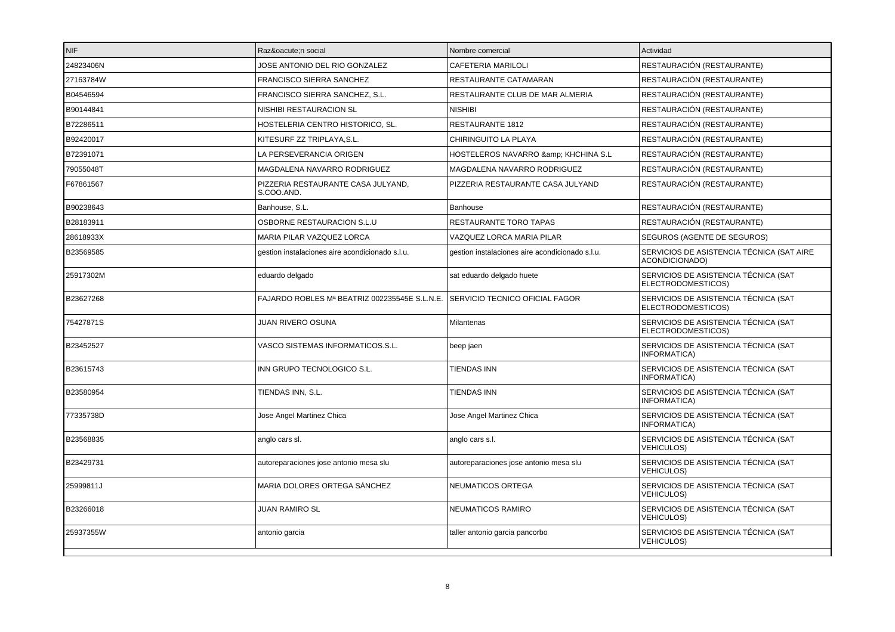| NIF       | Razón social                                     | Nombre comercial                                | Actividad                                                   |
|-----------|--------------------------------------------------|-------------------------------------------------|-------------------------------------------------------------|
| 24823406N | JOSE ANTONIO DEL RIO GONZALEZ                    | CAFETERIA MARILOLI                              | RESTAURACIÓN (RESTAURANTE)                                  |
| 27163784W | FRANCISCO SIERRA SANCHEZ                         | RESTAURANTE CATAMARAN                           | RESTAURACIÓN (RESTAURANTE)                                  |
| B04546594 | FRANCISCO SIERRA SANCHEZ, S.L.                   | RESTAURANTE CLUB DE MAR ALMERIA                 | RESTAURACIÓN (RESTAURANTE)                                  |
| B90144841 | NISHIBI RESTAURACION SL                          | <b>NISHIBI</b>                                  | RESTAURACIÓN (RESTAURANTE)                                  |
| B72286511 | HOSTELERIA CENTRO HISTORICO, SL.                 | RESTAURANTE 1812                                | RESTAURACIÓN (RESTAURANTE)                                  |
| B92420017 | KITESURF ZZ TRIPLAYA, S.L.                       | CHIRINGUITO LA PLAYA                            | RESTAURACIÓN (RESTAURANTE)                                  |
| B72391071 | LA PERSEVERANCIA ORIGEN                          | HOSTELEROS NAVARRO & KHCHINA S.L                | RESTAURACIÓN (RESTAURANTE)                                  |
| 79055048T | MAGDALENA NAVARRO RODRIGUEZ                      | MAGDALENA NAVARRO RODRIGUEZ                     | RESTAURACIÓN (RESTAURANTE)                                  |
| F67861567 | PIZZERIA RESTAURANTE CASA JULYAND,<br>S.COO.AND. | PIZZERIA RESTAURANTE CASA JULYAND               | RESTAURACIÓN (RESTAURANTE)                                  |
| B90238643 | Banhouse, S.L.                                   | Banhouse                                        | RESTAURACIÓN (RESTAURANTE)                                  |
| B28183911 | OSBORNE RESTAURACION S.L.U                       | RESTAURANTE TORO TAPAS                          | RESTAURACIÓN (RESTAURANTE)                                  |
| 28618933X | MARIA PILAR VAZQUEZ LORCA                        | VAZQUEZ LORCA MARIA PILAR                       | SEGUROS (AGENTE DE SEGUROS)                                 |
| B23569585 | gestion instalaciones aire acondicionado s.l.u.  | gestion instalaciones aire acondicionado s.l.u. | SERVICIOS DE ASISTENCIA TÉCNICA (SAT AIRE<br>ACONDICIONADO) |
| 25917302M | eduardo delgado                                  | sat eduardo delgado huete                       | SERVICIOS DE ASISTENCIA TÉCNICA (SAT<br>ELECTRODOMESTICOS)  |
| B23627268 | FAJARDO ROBLES Mª BEATRIZ 002235545E S.L.N.E.    | SERVICIO TECNICO OFICIAL FAGOR                  | SERVICIOS DE ASISTENCIA TÉCNICA (SAT<br>ELECTRODOMESTICOS)  |
| 75427871S | JUAN RIVERO OSUNA                                | Milantenas                                      | SERVICIOS DE ASISTENCIA TÉCNICA (SAT<br>ELECTRODOMESTICOS)  |
| B23452527 | VASCO SISTEMAS INFORMATICOS.S.L.                 | beep jaen                                       | SERVICIOS DE ASISTENCIA TÉCNICA (SAT<br>INFORMATICA)        |
| B23615743 | INN GRUPO TECNOLOGICO S.L.                       | TIENDAS INN                                     | SERVICIOS DE ASISTENCIA TÉCNICA (SAT<br>INFORMATICA)        |
| B23580954 | TIENDAS INN, S.L.                                | <b>TIENDAS INN</b>                              | SERVICIOS DE ASISTENCIA TÉCNICA (SAT<br>INFORMATICA)        |
| 77335738D | Jose Angel Martinez Chica                        | Jose Angel Martinez Chica                       | SERVICIOS DE ASISTENCIA TÉCNICA (SAT<br>INFORMATICA)        |
| B23568835 | anglo cars sl.                                   | anglo cars s.l.                                 | SERVICIOS DE ASISTENCIA TÉCNICA (SAT<br><b>VEHICULOS)</b>   |
| B23429731 | autoreparaciones jose antonio mesa slu           | autoreparaciones jose antonio mesa slu          | SERVICIOS DE ASISTENCIA TÉCNICA (SAT<br><b>VEHICULOS)</b>   |
| 25999811J | MARIA DOLORES ORTEGA SÁNCHEZ                     | NEUMATICOS ORTEGA                               | SERVICIOS DE ASISTENCIA TÉCNICA (SAT<br><b>VEHICULOS)</b>   |
| B23266018 | <b>JUAN RAMIRO SL</b>                            | NEUMATICOS RAMIRO                               | SERVICIOS DE ASISTENCIA TÉCNICA (SAT<br><b>VEHICULOS)</b>   |
| 25937355W | antonio garcia                                   | taller antonio garcia pancorbo                  | SERVICIOS DE ASISTENCIA TÉCNICA (SAT<br><b>VEHICULOS)</b>   |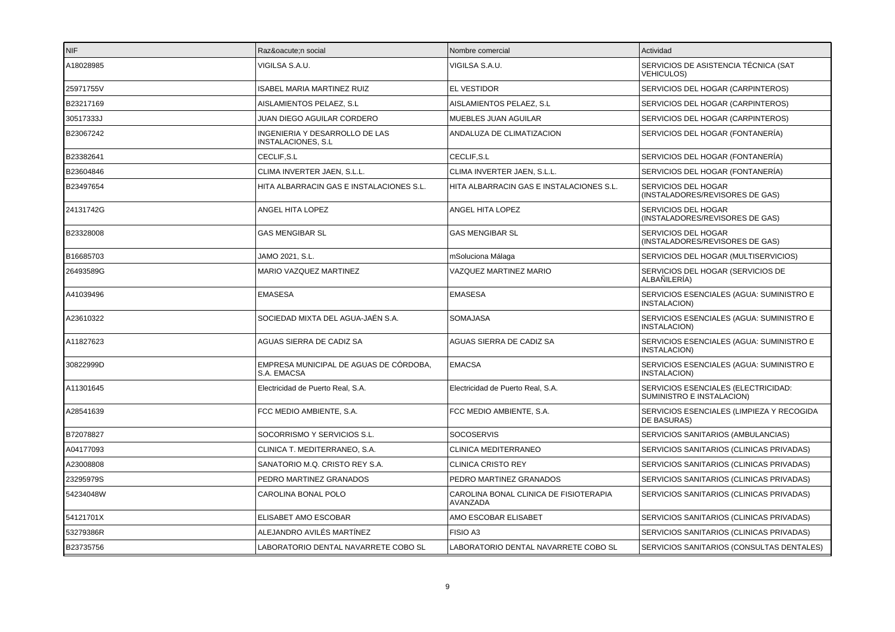| INIF.     | Razón social                                                | Nombre comercial                                          | Actividad                                                        |
|-----------|-------------------------------------------------------------|-----------------------------------------------------------|------------------------------------------------------------------|
| A18028985 | VIGILSA S.A.U.                                              | VIGILSA S.A.U.                                            | SERVICIOS DE ASISTENCIA TÉCNICA (SAT<br><b>VEHICULOS)</b>        |
| 25971755V | ISABEL MARIA MARTINEZ RUIZ                                  | <b>EL VESTIDOR</b>                                        | SERVICIOS DEL HOGAR (CARPINTEROS)                                |
| B23217169 | AISLAMIENTOS PELAEZ, S.L                                    | AISLAMIENTOS PELAEZ, S.L                                  | SERVICIOS DEL HOGAR (CARPINTEROS)                                |
| 30517333J | JUAN DIEGO AGUILAR CORDERO                                  | MUEBLES JUAN AGUILAR                                      | SERVICIOS DEL HOGAR (CARPINTEROS)                                |
| B23067242 | INGENIERIA Y DESARROLLO DE LAS<br><b>INSTALACIONES, S.L</b> | ANDALUZA DE CLIMATIZACION                                 | SERVICIOS DEL HOGAR (FONTANERÍA)                                 |
| B23382641 | CECLIF.S.L                                                  | CECLIF, S.L                                               | SERVICIOS DEL HOGAR (FONTANERÍA)                                 |
| B23604846 | CLIMA INVERTER JAEN, S.L.L.                                 | CLIMA INVERTER JAEN, S.L.L.                               | SERVICIOS DEL HOGAR (FONTANERÍA)                                 |
| B23497654 | HITA ALBARRACIN GAS E INSTALACIONES S.L.                    | HITA ALBARRACIN GAS E INSTALACIONES S.L.                  | SERVICIOS DEL HOGAR<br>(INSTALADORES/REVISORES DE GAS)           |
| 24131742G | ANGEL HITA LOPEZ                                            | ANGEL HITA LOPEZ                                          | SERVICIOS DEL HOGAR<br>(INSTALADORES/REVISORES DE GAS)           |
| B23328008 | <b>GAS MENGIBAR SL</b>                                      | GAS MENGIBAR SL                                           | SERVICIOS DEL HOGAR<br>(INSTALADORES/REVISORES DE GAS)           |
| B16685703 | JAMO 2021, S.L.                                             | mSoluciona Málaga                                         | SERVICIOS DEL HOGAR (MULTISERVICIOS)                             |
| 26493589G | MARIO VAZQUEZ MARTINEZ                                      | VAZQUEZ MARTINEZ MARIO                                    | SERVICIOS DEL HOGAR (SERVICIOS DE<br>ALBAÑILERÍA)                |
| A41039496 | <b>EMASESA</b>                                              | <b>EMASESA</b>                                            | SERVICIOS ESENCIALES (AGUA: SUMINISTRO E<br>INSTALACION)         |
| A23610322 | SOCIEDAD MIXTA DEL AGUA-JAÉN S.A.                           | <b>SOMAJASA</b>                                           | SERVICIOS ESENCIALES (AGUA: SUMINISTRO E<br><b>INSTALACION)</b>  |
| A11827623 | AGUAS SIERRA DE CADIZ SA                                    | AGUAS SIERRA DE CADIZ SA                                  | SERVICIOS ESENCIALES (AGUA: SUMINISTRO E<br>INSTALACION)         |
| 30822999D | EMPRESA MUNICIPAL DE AGUAS DE CÓRDOBA,<br>S.A. EMACSA       | <b>EMACSA</b>                                             | SERVICIOS ESENCIALES (AGUA: SUMINISTRO E<br>INSTALACION)         |
| A11301645 | Electricidad de Puerto Real, S.A.                           | Electricidad de Puerto Real, S.A.                         | SERVICIOS ESENCIALES (ELECTRICIDAD:<br>SUMINISTRO E INSTALACION) |
| A28541639 | FCC MEDIO AMBIENTE, S.A.                                    | FCC MEDIO AMBIENTE, S.A.                                  | SERVICIOS ESENCIALES (LIMPIEZA Y RECOGIDA<br>DE BASURAS)         |
| B72078827 | SOCORRISMO Y SERVICIOS S.L.                                 | <b>SOCOSERVIS</b>                                         | SERVICIOS SANITARIOS (AMBULANCIAS)                               |
| A04177093 | CLINICA T. MEDITERRANEO, S.A.                               | CLINICA MEDITERRANEO                                      | SERVICIOS SANITARIOS (CLINICAS PRIVADAS)                         |
| A23008808 | SANATORIO M.Q. CRISTO REY S.A.                              | <b>CLINICA CRISTO REY</b>                                 | SERVICIOS SANITARIOS (CLINICAS PRIVADAS)                         |
| 23295979S | PEDRO MARTINEZ GRANADOS                                     | PEDRO MARTINEZ GRANADOS                                   | SERVICIOS SANITARIOS (CLINICAS PRIVADAS)                         |
| 54234048W | CAROLINA BONAL POLO                                         | CAROLINA BONAL CLINICA DE FISIOTERAPIA<br><b>AVANZADA</b> | SERVICIOS SANITARIOS (CLINICAS PRIVADAS)                         |
| 54121701X | <b>ELISABET AMO ESCOBAR</b>                                 | AMO ESCOBAR ELISABET                                      | SERVICIOS SANITARIOS (CLINICAS PRIVADAS)                         |
| 53279386R | ALEJANDRO AVILÉS MARTÍNEZ                                   | FISIO A3                                                  | SERVICIOS SANITARIOS (CLINICAS PRIVADAS)                         |
| B23735756 | LABORATORIO DENTAL NAVARRETE COBO SL                        | LABORATORIO DENTAL NAVARRETE COBO SL                      | SERVICIOS SANITARIOS (CONSULTAS DENTALES)                        |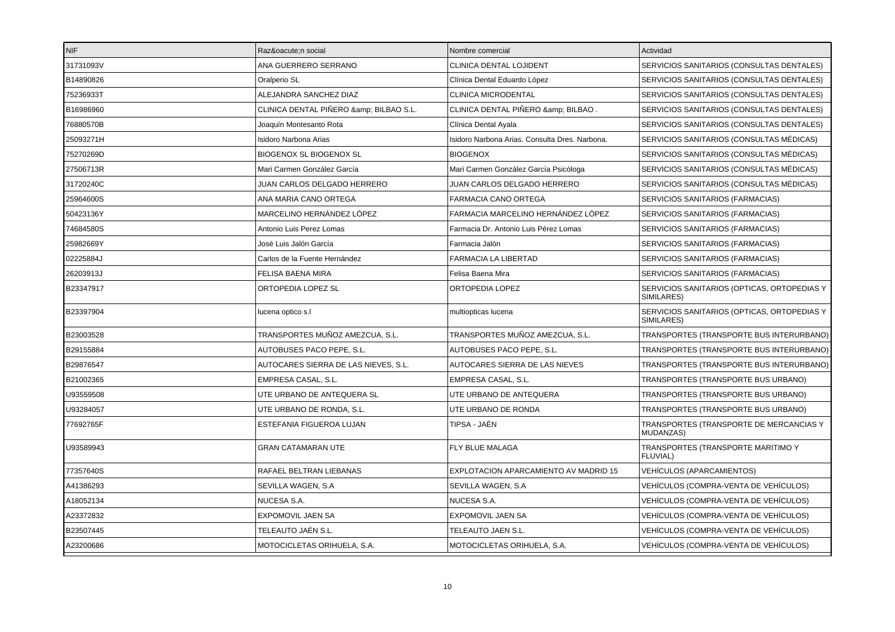| NIF       | Razón social                         | Nombre comercial                               | Actividad                                                 |
|-----------|--------------------------------------|------------------------------------------------|-----------------------------------------------------------|
| 31731093V | ANA GUERRERO SERRANO                 | CLINICA DENTAL LOJIDENT                        | SERVICIOS SANITARIOS (CONSULTAS DENTALES)                 |
| B14890826 | Oralperio SL                         | Clínica Dental Eduardo López                   | SERVICIOS SANITARIOS (CONSULTAS DENTALES)                 |
| 75236933T | ALEJANDRA SANCHEZ DIAZ               | CLINICA MICRODENTAL                            | SERVICIOS SANITARIOS (CONSULTAS DENTALES)                 |
| B16986960 | CLINICA DENTAL PIÑERO & BILBAO S.L.  | CLINICA DENTAL PIÑERO & BILBAO.                | SERVICIOS SANITARIOS (CONSULTAS DENTALES)                 |
| 76880570B | Joaquín Montesanto Rota              | Clínica Dental Ayala                           | SERVICIOS SANITARIOS (CONSULTAS DENTALES)                 |
| 25093271H | Isidoro Narbona Arias                | Isidoro Narbona Arias, Consulta Dres, Narbona. | SERVICIOS SANITARIOS (CONSULTAS MÉDICAS)                  |
| 75270269D | <b>BIOGENOX SL BIOGENOX SL</b>       | <b>BIOGENOX</b>                                | SERVICIOS SANITARIOS (CONSULTAS MÉDICAS)                  |
| 27506713R | Mari Carmen González García          | Mari Carmen González García Psicóloga          | SERVICIOS SANITARIOS (CONSULTAS MÉDICAS)                  |
| 31720240C | JUAN CARLOS DELGADO HERRERO          | JUAN CARLOS DELGADO HERRERO                    | SERVICIOS SANITARIOS (CONSULTAS MÉDICAS)                  |
| 25964600S | ANA MARIA CANO ORTEGA                | <b>FARMACIA CANO ORTEGA</b>                    | SERVICIOS SANITARIOS (FARMACIAS)                          |
| 50423136Y | MARCELINO HERNÁNDEZ LÓPEZ            | FARMACIA MARCELINO HERNÁNDEZ LÓPEZ             | SERVICIOS SANITARIOS (FARMACIAS)                          |
| 74684580S | Antonio Luis Perez Lomas             | Farmacia Dr. Antonio Luis Pérez Lomas          | SERVICIOS SANITARIOS (FARMACIAS)                          |
| 25982669Y | José Luis Jalón García               | Farmacia Jalón                                 | SERVICIOS SANITARIOS (FARMACIAS)                          |
| 02225884J | Carlos de la Fuente Hernández        | FARMACIA LA LIBERTAD                           | SERVICIOS SANITARIOS (FARMACIAS)                          |
| 26203913J | <b>FELISA BAENA MIRA</b>             | Felisa Baena Mira                              | SERVICIOS SANITARIOS (FARMACIAS)                          |
| B23347917 | ORTOPEDIA LOPEZ SL                   | ORTOPEDIA LOPEZ                                | SERVICIOS SANITARIOS (OPTICAS, ORTOPEDIAS Y<br>SIMILARES) |
| B23397904 | lucena optico s.l                    | multiopticas lucena                            | SERVICIOS SANITARIOS (OPTICAS, ORTOPEDIAS Y<br>SIMILARES) |
| B23003528 | TRANSPORTES MUÑOZ AMEZCUA. S.L.      | TRANSPORTES MUÑOZ AMEZCUA, S.L.                | TRANSPORTES (TRANSPORTE BUS INTERURBANO)                  |
| B29155884 | AUTOBUSES PACO PEPE, S.L.            | AUTOBUSES PACO PEPE, S.L.                      | TRANSPORTES (TRANSPORTE BUS INTERURBANO)                  |
| B29876547 | AUTOCARES SIERRA DE LAS NIEVES, S.L. | AUTOCARES SIERRA DE LAS NIEVES                 | TRANSPORTES (TRANSPORTE BUS INTERURBANO)                  |
| B21002365 | EMPRESA CASAL, S.L.                  | EMPRESA CASAL, S.L.                            | TRANSPORTES (TRANSPORTE BUS URBANO)                       |
| U93559508 | UTE URBANO DE ANTEQUERA SL           | UTE URBANO DE ANTEQUERA                        | TRANSPORTES (TRANSPORTE BUS URBANO)                       |
| U93284057 | UTE URBANO DE RONDA, S.L.            | UTE URBANO DE RONDA                            | TRANSPORTES (TRANSPORTE BUS URBANO)                       |
| 77692765F | ESTEFANIA FIGUEROA LUJAN             | TIPSA - JAÉN                                   | TRANSPORTES (TRANSPORTE DE MERCANCIAS Y<br>MUDANZAS)      |
| U93589943 | <b>GRAN CATAMARAN UTE</b>            | FLY BLUE MALAGA                                | TRANSPORTES (TRANSPORTE MARITIMO Y<br><b>FLUVIAL)</b>     |
| 77357640S | RAFAEL BELTRAN LIEBANAS              | EXPLOTACION APARCAMIENTO AV MADRID 15          | VEHÍCULOS (APARCAMIENTOS)                                 |
| A41386293 | SEVILLA WAGEN, S.A                   | SEVILLA WAGEN, S.A                             | VEHÍCULOS (COMPRA-VENTA DE VEHÍCULOS)                     |
| A18052134 | NUCESA S.A.                          | NUCESA S.A.                                    | VEHÍCULOS (COMPRA-VENTA DE VEHÍCULOS)                     |
| A23372832 | EXPOMOVIL JAEN SA                    | <b>EXPOMOVIL JAEN SA</b>                       | VEHÍCULOS (COMPRA-VENTA DE VEHÍCULOS)                     |
| B23507445 | TELEAUTO JAÉN S.L.                   | TELEAUTO JAEN S.L.                             | VEHÍCULOS (COMPRA-VENTA DE VEHÍCULOS)                     |
| A23200686 | MOTOCICLETAS ORIHUELA, S.A.          | MOTOCICLETAS ORIHUELA, S.A.                    | VEHÍCULOS (COMPRA-VENTA DE VEHÍCULOS)                     |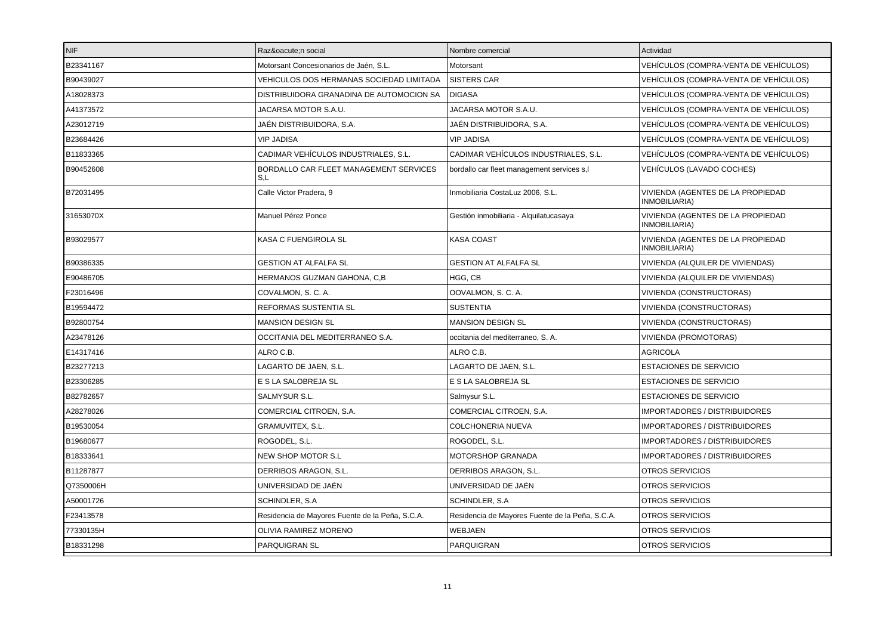| <b>NIF</b> | Razón social                                    | Nombre comercial                                | Actividad                                          |
|------------|-------------------------------------------------|-------------------------------------------------|----------------------------------------------------|
| B23341167  | Motorsant Concesionarios de Jaén, S.L.          | Motorsant                                       | VEHÍCULOS (COMPRA-VENTA DE VEHÍCULOS)              |
| B90439027  | VEHICULOS DOS HERMANAS SOCIEDAD LIMITADA        | <b>SISTERS CAR</b>                              | VEHÍCULOS (COMPRA-VENTA DE VEHÍCULOS)              |
| A18028373  | DISTRIBUIDORA GRANADINA DE AUTOMOCION SA        | <b>DIGASA</b>                                   | VEHÍCULOS (COMPRA-VENTA DE VEHÍCULOS)              |
| A41373572  | JACARSA MOTOR S.A.U.                            | JACARSA MOTOR S.A.U.                            | VEHÍCULOS (COMPRA-VENTA DE VEHÍCULOS)              |
| A23012719  | JAÉN DISTRIBUIDORA, S.A.                        | JAÉN DISTRIBUIDORA, S.A.                        | VEHÍCULOS (COMPRA-VENTA DE VEHÍCULOS)              |
| B23684426  | <b>VIP JADISA</b>                               | <b>VIP JADISA</b>                               | VEHÍCULOS (COMPRA-VENTA DE VEHÍCULOS)              |
| B11833365  | CADIMAR VEHÍCULOS INDUSTRIALES. S.L.            | CADIMAR VEHÍCULOS INDUSTRIALES. S.L.            | VEHÍCULOS (COMPRA-VENTA DE VEHÍCULOS)              |
| B90452608  | BORDALLO CAR FLEET MANAGEMENT SERVICES<br>S,L   | bordallo car fleet management services s,l      | VEHÍCULOS (LAVADO COCHES)                          |
| B72031495  | Calle Victor Pradera, 9                         | Inmobiliaria CostaLuz 2006, S.L.                | VIVIENDA (AGENTES DE LA PROPIEDAD<br>INMOBILIARIA) |
| 31653070X  | Manuel Pérez Ponce                              | Gestión inmobiliaria - Alquilatucasaya          | VIVIENDA (AGENTES DE LA PROPIEDAD<br>INMOBILIARIA) |
| B93029577  | KASA C FUENGIROLA SL                            | <b>KASA COAST</b>                               | VIVIENDA (AGENTES DE LA PROPIEDAD<br>INMOBILIARIA) |
| B90386335  | <b>GESTION AT ALFALFA SL</b>                    | <b>GESTION AT ALFALFA SL</b>                    | VIVIENDA (ALQUILER DE VIVIENDAS)                   |
| E90486705  | HERMANOS GUZMAN GAHONA, C,B                     | HGG, CB                                         | VIVIENDA (ALQUILER DE VIVIENDAS)                   |
| F23016496  | COVALMON, S. C. A.                              | OOVALMON, S. C. A.                              | VIVIENDA (CONSTRUCTORAS)                           |
| B19594472  | <b>REFORMAS SUSTENTIA SL</b>                    | <b>SUSTENTIA</b>                                | VIVIENDA (CONSTRUCTORAS)                           |
| B92800754  | <b>MANSION DESIGN SL</b>                        | <b>MANSION DESIGN SL</b>                        | VIVIENDA (CONSTRUCTORAS)                           |
| A23478126  | OCCITANIA DEL MEDITERRANEO S.A.                 | occitania del mediterraneo, S. A.               | VIVIENDA (PROMOTORAS)                              |
| E14317416  | ALRO C.B.                                       | ALRO C.B.                                       | <b>AGRICOLA</b>                                    |
| B23277213  | LAGARTO DE JAEN, S.L.                           | LAGARTO DE JAEN, S.L.                           | <b>ESTACIONES DE SERVICIO</b>                      |
| B23306285  | E S LA SALOBREJA SL                             | E S LA SALOBREJA SL                             | <b>ESTACIONES DE SERVICIO</b>                      |
| B82782657  | SALMYSUR S.L.                                   | Salmysur S.L.                                   | <b>ESTACIONES DE SERVICIO</b>                      |
| A28278026  | COMERCIAL CITROEN, S.A.                         | COMERCIAL CITROEN, S.A.                         | <b>IMPORTADORES / DISTRIBUIDORES</b>               |
| B19530054  | GRAMUVITEX, S.L.                                | <b>COLCHONERIA NUEVA</b>                        | <b>IMPORTADORES / DISTRIBUIDORES</b>               |
| B19680677  | ROGODEL, S.L.                                   | ROGODEL, S.L.                                   | <b>IMPORTADORES / DISTRIBUIDORES</b>               |
| B18333641  | NEW SHOP MOTOR S.L                              | MOTORSHOP GRANADA                               | <b>IMPORTADORES / DISTRIBUIDORES</b>               |
| B11287877  | DERRIBOS ARAGON, S.L.                           | DERRIBOS ARAGON, S.L.                           | <b>OTROS SERVICIOS</b>                             |
| Q7350006H  | UNIVERSIDAD DE JAÉN                             | UNIVERSIDAD DE JAÉN                             | OTROS SERVICIOS                                    |
| A50001726  | SCHINDLER, S.A.                                 | SCHINDLER, S.A.                                 | OTROS SERVICIOS                                    |
| F23413578  | Residencia de Mayores Fuente de la Peña, S.C.A. | Residencia de Mayores Fuente de la Peña, S.C.A. | OTROS SERVICIOS                                    |
| 77330135H  | OLIVIA RAMIREZ MORENO                           | WEBJAEN                                         | OTROS SERVICIOS                                    |
| B18331298  | PARQUIGRAN SL                                   | PARQUIGRAN                                      | <b>OTROS SERVICIOS</b>                             |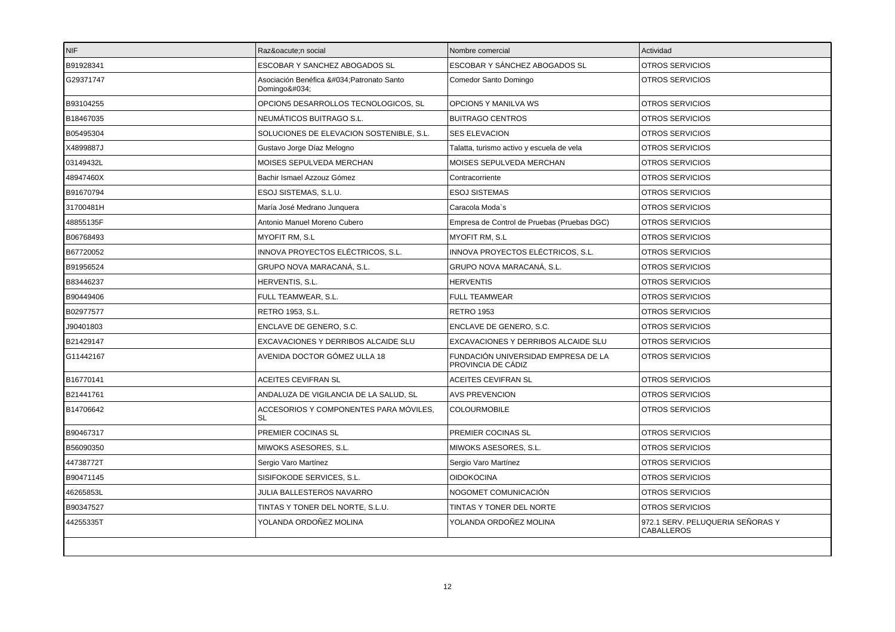| <b>NIF</b> | Razón social                                        | Nombre comercial                                          | Actividad                                             |
|------------|-----------------------------------------------------|-----------------------------------------------------------|-------------------------------------------------------|
| B91928341  | ESCOBAR Y SANCHEZ ABOGADOS SL                       | ESCOBAR Y SÁNCHEZ ABOGADOS SL                             | <b>OTROS SERVICIOS</b>                                |
| G29371747  | Asociación Benéfica "Patronato Santo<br>Domingo"    | Comedor Santo Domingo                                     | <b>OTROS SERVICIOS</b>                                |
| B93104255  | OPCION5 DESARROLLOS TECNOLOGICOS, SL                | OPCION5 Y MANILVA WS                                      | <b>OTROS SERVICIOS</b>                                |
| B18467035  | NEUMÁTICOS BUITRAGO S.L.                            | <b>BUITRAGO CENTROS</b>                                   | OTROS SERVICIOS                                       |
| B05495304  | SOLUCIONES DE ELEVACION SOSTENIBLE, S.L.            | <b>SES ELEVACION</b>                                      | <b>OTROS SERVICIOS</b>                                |
| X4899887J  | Gustavo Jorge Díaz Melogno                          | Talatta, turismo activo y escuela de vela                 | <b>OTROS SERVICIOS</b>                                |
| 03149432L  | MOISES SEPULVEDA MERCHAN                            | MOISES SEPULVEDA MERCHAN                                  | OTROS SERVICIOS                                       |
| 48947460X  | Bachir Ismael Azzouz Gómez                          | Contracorriente                                           | <b>OTROS SERVICIOS</b>                                |
| B91670794  | ESOJ SISTEMAS, S.L.U.                               | <b>ESOJ SISTEMAS</b>                                      | <b>OTROS SERVICIOS</b>                                |
| 31700481H  | María José Medrano Junquera                         | Caracola Moda`s                                           | OTROS SERVICIOS                                       |
| 48855135F  | Antonio Manuel Moreno Cubero                        | Empresa de Control de Pruebas (Pruebas DGC)               | <b>OTROS SERVICIOS</b>                                |
| B06768493  | <b>MYOFIT RM. S.L</b>                               | <b>MYOFIT RM, S.L</b>                                     | <b>OTROS SERVICIOS</b>                                |
| B67720052  | INNOVA PROYECTOS ELÉCTRICOS, S.L.                   | INNOVA PROYECTOS ELÉCTRICOS, S.L.                         | <b>OTROS SERVICIOS</b>                                |
| B91956524  | GRUPO NOVA MARACANÁ, S.L.                           | GRUPO NOVA MARACANÁ, S.L.                                 | OTROS SERVICIOS                                       |
| B83446237  | HERVENTIS, S.L.                                     | <b>HERVENTIS</b>                                          | <b>OTROS SERVICIOS</b>                                |
| B90449406  | FULL TEAMWEAR, S.L.                                 | <b>FULL TEAMWEAR</b>                                      | <b>OTROS SERVICIOS</b>                                |
| B02977577  | RETRO 1953, S.L.                                    | <b>RETRO 1953</b>                                         | <b>OTROS SERVICIOS</b>                                |
| J90401803  | ENCLAVE DE GENERO, S.C.                             | ENCLAVE DE GENERO, S.C.                                   | <b>OTROS SERVICIOS</b>                                |
| B21429147  | EXCAVACIONES Y DERRIBOS ALCAIDE SLU                 | EXCAVACIONES Y DERRIBOS ALCAIDE SLU                       | <b>OTROS SERVICIOS</b>                                |
| G11442167  | AVENIDA DOCTOR GÓMEZ ULLA 18                        | FUNDACIÓN UNIVERSIDAD EMPRESA DE LA<br>PROVINCIA DE CÁDIZ | <b>OTROS SERVICIOS</b>                                |
| B16770141  | ACEITES CEVIFRAN SL                                 | ACEITES CEVIFRAN SL                                       | OTROS SERVICIOS                                       |
| B21441761  | ANDALUZA DE VIGILANCIA DE LA SALUD, SL              | <b>AVS PREVENCION</b>                                     | <b>OTROS SERVICIOS</b>                                |
| B14706642  | ACCESORIOS Y COMPONENTES PARA MÓVILES.<br><b>SL</b> | <b>COLOURMOBILE</b>                                       | <b>OTROS SERVICIOS</b>                                |
| B90467317  | PREMIER COCINAS SL                                  | PREMIER COCINAS SL                                        | <b>OTROS SERVICIOS</b>                                |
| B56090350  | MIWOKS ASESORES. S.L.                               | MIWOKS ASESORES. S.L.                                     | <b>OTROS SERVICIOS</b>                                |
| 44738772T  | Sergio Varo Martínez                                | Sergio Varo Martínez                                      | <b>OTROS SERVICIOS</b>                                |
| B90471145  | SISIFOKODE SERVICES, S.L.                           | <b>OIDOKOCINA</b>                                         | <b>OTROS SERVICIOS</b>                                |
| 46265853L  | JULIA BALLESTEROS NAVARRO                           | NOGOMET COMUNICACIÓN                                      | <b>OTROS SERVICIOS</b>                                |
| B90347527  | TINTAS Y TONER DEL NORTE, S.L.U.                    | TINTAS Y TONER DEL NORTE                                  | <b>OTROS SERVICIOS</b>                                |
| 44255335T  | YOLANDA ORDOÑEZ MOLINA                              | YOLANDA ORDOÑEZ MOLINA                                    | 972.1 SERV. PELUQUERIA SEÑORAS Y<br><b>CABALLEROS</b> |
|            |                                                     |                                                           |                                                       |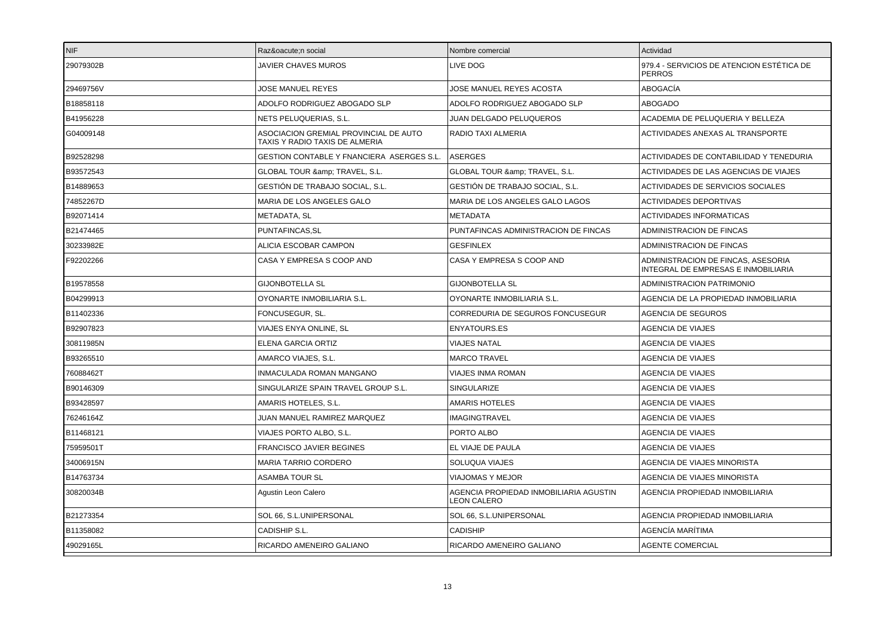| NIF       | Razón social                                                            | Nombre comercial                                      | Actividad                                                                 |
|-----------|-------------------------------------------------------------------------|-------------------------------------------------------|---------------------------------------------------------------------------|
| 29079302B | JAVIER CHAVES MUROS                                                     | LIVE DOG                                              | 979.4 - SERVICIOS DE ATENCION ESTÉTICA DE<br><b>PERROS</b>                |
| 29469756V | JOSE MANUEL REYES                                                       | JOSE MANUEL REYES ACOSTA                              | ABOGACÍA                                                                  |
| B18858118 | ADOLFO RODRIGUEZ ABOGADO SLP                                            | ADOLFO RODRIGUEZ ABOGADO SLP                          | <b>ABOGADO</b>                                                            |
| B41956228 | NETS PELUQUERIAS, S.L.                                                  | JUAN DELGADO PELUQUEROS                               | ACADEMIA DE PELUQUERIA Y BELLEZA                                          |
| G04009148 | ASOCIACION GREMIAL PROVINCIAL DE AUTO<br>TAXIS Y RADIO TAXIS DE ALMERIA | RADIO TAXI ALMERIA                                    | ACTIVIDADES ANEXAS AL TRANSPORTE                                          |
| B92528298 | <b>GESTION CONTABLE Y FNANCIERA ASERGES S.L.</b>                        | <b>ASERGES</b>                                        | ACTIVIDADES DE CONTABILIDAD Y TENEDURIA                                   |
| B93572543 | GLOBAL TOUR & TRAVEL, S.L.                                              | GLOBAL TOUR & TRAVEL, S.L.                            | ACTIVIDADES DE LAS AGENCIAS DE VIAJES                                     |
| B14889653 | GESTIÓN DE TRABAJO SOCIAL. S.L.                                         | GESTIÓN DE TRABAJO SOCIAL. S.L.                       | ACTIVIDADES DE SERVICIOS SOCIALES                                         |
| 74852267D | MARIA DE LOS ANGELES GALO                                               | MARIA DE LOS ANGELES GALO LAGOS                       | <b>ACTIVIDADES DEPORTIVAS</b>                                             |
| B92071414 | METADATA, SL                                                            | <b>METADATA</b>                                       | <b>ACTIVIDADES INFORMATICAS</b>                                           |
| B21474465 | PUNTAFINCAS, SL                                                         | PUNTAFINCAS ADMINISTRACION DE FINCAS                  | ADMINISTRACION DE FINCAS                                                  |
| 30233982E | ALICIA ESCOBAR CAMPON                                                   | <b>GESFINLEX</b>                                      | ADMINISTRACION DE FINCAS                                                  |
| F92202266 | CASA Y EMPRESA S COOP AND                                               | CASA Y EMPRESA S COOP AND                             | ADMINISTRACION DE FINCAS, ASESORIA<br>INTEGRAL DE EMPRESAS E INMOBILIARIA |
| B19578558 | <b>GIJONBOTELLA SL</b>                                                  | <b>GIJONBOTELLA SL</b>                                | ADMINISTRACION PATRIMONIO                                                 |
| B04299913 | OYONARTE INMOBILIARIA S.L.                                              | OYONARTE INMOBILIARIA S.L.                            | AGENCIA DE LA PROPIEDAD INMOBILIARIA                                      |
| B11402336 | FONCUSEGUR, SL.                                                         | CORREDURIA DE SEGUROS FONCUSEGUR                      | <b>AGENCIA DE SEGUROS</b>                                                 |
| B92907823 | VIAJES ENYA ONLINE, SL                                                  | <b>ENYATOURS.ES</b>                                   | AGENCIA DE VIAJES                                                         |
| 30811985N | <b>ELENA GARCIA ORTIZ</b>                                               | <b>VIAJES NATAL</b>                                   | <b>AGENCIA DE VIAJES</b>                                                  |
| B93265510 | AMARCO VIAJES, S.L.                                                     | <b>MARCO TRAVEL</b>                                   | <b>AGENCIA DE VIAJES</b>                                                  |
| 76088462T | INMACULADA ROMAN MANGANO                                                | VIAJES INMA ROMAN                                     | AGENCIA DE VIAJES                                                         |
| B90146309 | SINGULARIZE SPAIN TRAVEL GROUP S.L.                                     | <b>SINGULARIZE</b>                                    | <b>AGENCIA DE VIAJES</b>                                                  |
| B93428597 | AMARIS HOTELES, S.L.                                                    | <b>AMARIS HOTELES</b>                                 | <b>AGENCIA DE VIAJES</b>                                                  |
| 76246164Z | JUAN MANUEL RAMIREZ MARQUEZ                                             | <b>IMAGINGTRAVEL</b>                                  | AGENCIA DE VIAJES                                                         |
| B11468121 | VIAJES PORTO ALBO. S.L.                                                 | PORTO ALBO                                            | AGENCIA DE VIAJES                                                         |
| 75959501T | FRANCISCO JAVIER BEGINES                                                | EL VIAJE DE PAULA                                     | <b>AGENCIA DE VIAJES</b>                                                  |
| 34006915N | MARIA TARRIO CORDERO                                                    | SOLUQUA VIAJES                                        | AGENCIA DE VIAJES MINORISTA                                               |
| B14763734 | ASAMBA TOUR SL                                                          | VIAJOMAS Y MEJOR                                      | AGENCIA DE VIAJES MINORISTA                                               |
| 30820034B | Agustin Leon Calero                                                     | AGENCIA PROPIEDAD INMOBILIARIA AGUSTIN<br>LEON CALERO | AGENCIA PROPIEDAD INMOBILIARIA                                            |
| B21273354 | SOL 66, S.L.UNIPERSONAL                                                 | SOL 66, S.L.UNIPERSONAL                               | AGENCIA PROPIEDAD INMOBILIARIA                                            |
| B11358082 | CADISHIP S.L.                                                           | <b>CADISHIP</b>                                       | AGENCÍA MARÍTIMA                                                          |
| 49029165L | RICARDO AMENEIRO GALIANO                                                | RICARDO AMENEIRO GALIANO                              | <b>AGENTE COMERCIAL</b>                                                   |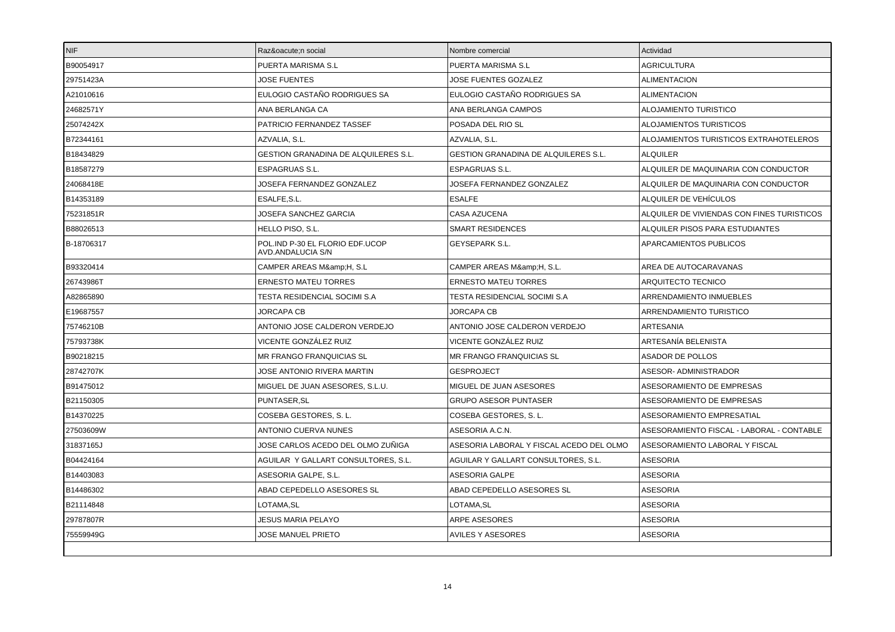| <b>NIF</b> | Razón social                                         | Nombre comercial                            | Actividad                                  |
|------------|------------------------------------------------------|---------------------------------------------|--------------------------------------------|
| B90054917  | PUERTA MARISMA S.L                                   | PUERTA MARISMA S.L                          | <b>AGRICULTURA</b>                         |
| 29751423A  | <b>JOSE FUENTES</b>                                  | JOSE FUENTES GOZALEZ                        | <b>ALIMENTACION</b>                        |
| A21010616  | EULOGIO CASTAÑO RODRIGUES SA                         | EULOGIO CASTAÑO RODRIGUES SA                | <b>ALIMENTACION</b>                        |
| 24682571Y  | ANA BERLANGA CA                                      | ANA BERLANGA CAMPOS                         | ALOJAMIENTO TURISTICO                      |
| 25074242X  | PATRICIO FERNANDEZ TASSEF                            | POSADA DEL RIO SL                           | ALOJAMIENTOS TURISTICOS                    |
| B72344161  | AZVALIA, S.L.                                        | AZVALIA, S.L.                               | ALOJAMIENTOS TURISTICOS EXTRAHOTELEROS     |
| B18434829  | <b>GESTION GRANADINA DE ALQUILERES S.L.</b>          | <b>GESTION GRANADINA DE ALQUILERES S.L.</b> | <b>ALQUILER</b>                            |
| B18587279  | ESPAGRUAS S.L.                                       | <b>ESPAGRUAS S.L.</b>                       | ALQUILER DE MAQUINARIA CON CONDUCTOR       |
| 24068418E  | JOSEFA FERNANDEZ GONZALEZ                            | JOSEFA FERNANDEZ GONZALEZ                   | ALQUILER DE MAQUINARIA CON CONDUCTOR       |
| B14353189  | ESALFE.S.L.                                          | <b>ESALFE</b>                               | ALQUILER DE VEHÍCULOS                      |
| 75231851R  | JOSEFA SANCHEZ GARCIA                                | CASA AZUCENA                                | ALQUILER DE VIVIENDAS CON FINES TURISTICOS |
| B88026513  | HELLO PISO, S.L.                                     | <b>SMART RESIDENCES</b>                     | ALQUILER PISOS PARA ESTUDIANTES            |
| B-18706317 | POL.IND P-30 EL FLORIO EDF.UCOP<br>AVD.ANDALUCIA S/N | <b>GEYSEPARK S.L.</b>                       | APARCAMIENTOS PUBLICOS                     |
| B93320414  | CAMPER AREAS M&H, S.L                                | CAMPER AREAS M&H, S.L.                      | AREA DE AUTOCARAVANAS                      |
| 26743986T  | <b>ERNESTO MATEU TORRES</b>                          | <b>ERNESTO MATEU TORRES</b>                 | ARQUITECTO TECNICO                         |
| A82865890  | TESTA RESIDENCIAL SOCIMI S.A                         | TESTA RESIDENCIAL SOCIMI S.A                | ARRENDAMIENTO INMUEBLES                    |
| E19687557  | JORCAPA CB                                           | <b>JORCAPA CB</b>                           | ARRENDAMIENTO TURISTICO                    |
| 75746210B  | ANTONIO JOSE CALDERON VERDEJO                        | ANTONIO JOSE CALDERON VERDEJO               | <b>ARTESANIA</b>                           |
| 75793738K  | VICENTE GONZÁLEZ RUIZ                                | VICENTE GONZÁLEZ RUIZ                       | ARTESANÍA BELENISTA                        |
| B90218215  | MR FRANGO FRANQUICIAS SL                             | MR FRANGO FRANQUICIAS SL                    | <b>ASADOR DE POLLOS</b>                    |
| 28742707K  | JOSE ANTONIO RIVERA MARTIN                           | GESPROJECT                                  | ASESOR- ADMINISTRADOR                      |
| B91475012  | MIGUEL DE JUAN ASESORES, S.L.U.                      | MIGUEL DE JUAN ASESORES                     | ASESORAMIENTO DE EMPRESAS                  |
| B21150305  | PUNTASER, SL                                         | <b>GRUPO ASESOR PUNTASER</b>                | ASESORAMIENTO DE EMPRESAS                  |
| B14370225  | COSEBA GESTORES, S.L.                                | COSEBA GESTORES, S.L.                       | ASESORAMIENTO EMPRESATIAL                  |
| 27503609W  | <b>ANTONIO CUERVA NUNES</b>                          | ASESORIA A.C.N.                             | ASESORAMIENTO FISCAL - LABORAL - CONTABLE  |
| 31837165J  | JOSE CARLOS ACEDO DEL OLMO ZUÑIGA                    | ASESORIA LABORAL Y FISCAL ACEDO DEL OLMO    | ASESORAMIENTO LABORAL Y FISCAL             |
| B04424164  | AGUILAR Y GALLART CONSULTORES, S.L.                  | AGUILAR Y GALLART CONSULTORES, S.L.         | <b>ASESORIA</b>                            |
| B14403083  | ASESORIA GALPE, S.L.                                 | ASESORIA GALPE                              | <b>ASESORIA</b>                            |
| B14486302  | ABAD CEPEDELLO ASESORES SL                           | ABAD CEPEDELLO ASESORES SL                  | <b>ASESORIA</b>                            |
| B21114848  | LOTAMA, SL                                           | LOTAMA,SL                                   | <b>ASESORIA</b>                            |
| 29787807R  | JESUS MARIA PELAYO                                   | ARPE ASESORES                               | <b>ASESORIA</b>                            |
| 75559949G  | JOSE MANUEL PRIETO                                   | AVILES Y ASESORES                           | <b>ASESORIA</b>                            |
|            |                                                      |                                             |                                            |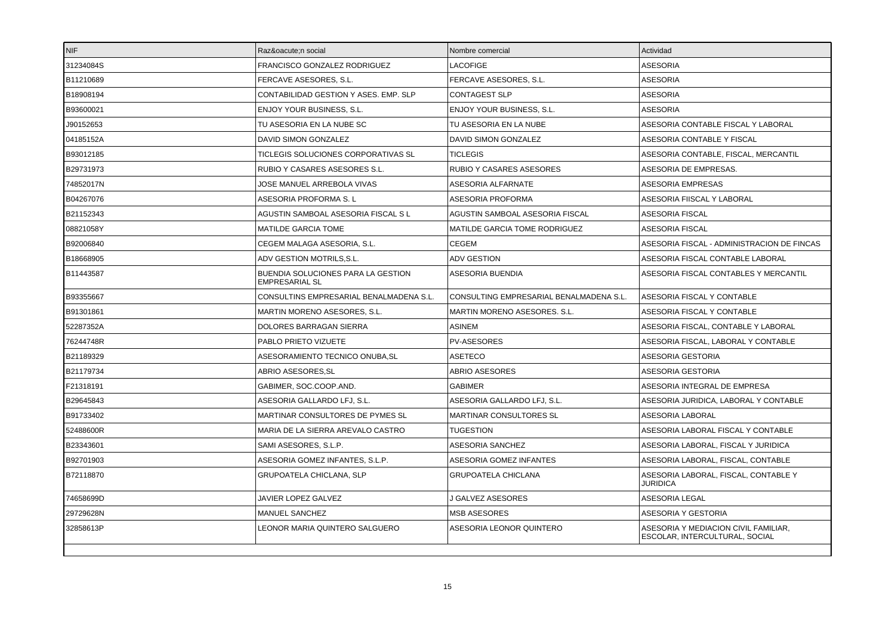| <b>NIF</b> | Razón social                                                | Nombre comercial                        | Actividad                                                              |
|------------|-------------------------------------------------------------|-----------------------------------------|------------------------------------------------------------------------|
| 31234084S  | FRANCISCO GONZALEZ RODRIGUEZ                                | LACOFIGE                                | <b>ASESORIA</b>                                                        |
| B11210689  | FERCAVE ASESORES, S.L.                                      | FERCAVE ASESORES, S.L.                  | <b>ASESORIA</b>                                                        |
| B18908194  | CONTABILIDAD GESTION Y ASES. EMP. SLP                       | <b>CONTAGEST SLP</b>                    | <b>ASESORIA</b>                                                        |
| B93600021  | <b>ENJOY YOUR BUSINESS, S.L.</b>                            | <b>ENJOY YOUR BUSINESS, S.L.</b>        | <b>ASESORIA</b>                                                        |
| J90152653  | TU ASESORIA EN LA NUBE SC                                   | TU ASESORIA EN LA NUBE                  | ASESORIA CONTABLE FISCAL Y LABORAL                                     |
| 04185152A  | DAVID SIMON GONZALEZ                                        | DAVID SIMON GONZALEZ                    | ASESORIA CONTABLE Y FISCAL                                             |
| B93012185  | TICLEGIS SOLUCIONES CORPORATIVAS SL                         | <b>TICLEGIS</b>                         | ASESORIA CONTABLE, FISCAL, MERCANTIL                                   |
| B29731973  | RUBIO Y CASARES ASESORES S.L.                               | <b>RUBIO Y CASARES ASESORES</b>         | ASESORIA DE EMPRESAS.                                                  |
| 74852017N  | JOSE MANUEL ARREBOLA VIVAS                                  | ASESORIA ALFARNATE                      | <b>ASESORIA EMPRESAS</b>                                               |
| B04267076  | ASESORIA PROFORMA S. L                                      | ASESORIA PROFORMA                       | ASESORIA FIISCAL Y LABORAL                                             |
| B21152343  | AGUSTIN SAMBOAL ASESORIA FISCAL S L                         | AGUSTIN SAMBOAL ASESORIA FISCAL         | ASESORIA FISCAL                                                        |
| 08821058Y  | <b>MATILDE GARCIA TOME</b>                                  | MATILDE GARCIA TOME RODRIGUEZ           | ASESORIA FISCAL                                                        |
| B92006840  | CEGEM MALAGA ASESORIA, S.L.                                 | <b>CEGEM</b>                            | ASESORIA FISCAL - ADMINISTRACION DE FINCAS                             |
| B18668905  | ADV GESTION MOTRILS.S.L.                                    | <b>ADV GESTION</b>                      | ASESORIA FISCAL CONTABLE LABORAL                                       |
| B11443587  | BUENDIA SOLUCIONES PARA LA GESTION<br><b>EMPRESARIAL SL</b> | ASESORIA BUENDIA                        | ASESORIA FISCAL CONTABLES Y MERCANTIL                                  |
| B93355667  | CONSULTINS EMPRESARIAL BENALMADENA S.L.                     | CONSULTING EMPRESARIAL BENALMADENA S.L. | ASESORIA FISCAL Y CONTABLE                                             |
| B91301861  | <b>MARTIN MORENO ASESORES, S.L.</b>                         | MARTIN MORENO ASESORES. S.L.            | ASESORIA FISCAL Y CONTABLE                                             |
| 52287352A  | DOLORES BARRAGAN SIERRA                                     | <b>ASINEM</b>                           | ASESORIA FISCAL, CONTABLE Y LABORAL                                    |
| 76244748R  | PABLO PRIETO VIZUETE                                        | <b>PV-ASESORES</b>                      | ASESORIA FISCAL, LABORAL Y CONTABLE                                    |
| B21189329  | ASESORAMIENTO TECNICO ONUBA,SL                              | ASETECO                                 | ASESORIA GESTORIA                                                      |
| B21179734  | ABRIO ASESORES, SL                                          | ABRIO ASESORES                          | <b>ASESORIA GESTORIA</b>                                               |
| F21318191  | GABIMER, SOC.COOP.AND.                                      | <b>GABIMER</b>                          | ASESORIA INTEGRAL DE EMPRESA                                           |
| B29645843  | ASESORIA GALLARDO LFJ. S.L.                                 | ASESORIA GALLARDO LFJ. S.L.             | ASESORIA JURIDICA, LABORAL Y CONTABLE                                  |
| B91733402  | MARTINAR CONSULTORES DE PYMES SL                            | MARTINAR CONSULTORES SL                 | ASESORIA LABORAL                                                       |
| 52488600R  | MARIA DE LA SIERRA AREVALO CASTRO                           | <b>TUGESTION</b>                        | ASESORIA LABORAL FISCAL Y CONTABLE                                     |
| B23343601  | SAMI ASESORES, S.L.P.                                       | ASESORIA SANCHEZ                        | ASESORIA LABORAL, FISCAL Y JURIDICA                                    |
| B92701903  | ASESORIA GOMEZ INFANTES, S.L.P.                             | ASESORIA GOMEZ INFANTES                 | ASESORIA LABORAL, FISCAL, CONTABLE                                     |
| B72118870  | <b>GRUPOATELA CHICLANA, SLP</b>                             | <b>GRUPOATELA CHICLANA</b>              | ASESORIA LABORAL, FISCAL, CONTABLE Y<br><b>JURIDICA</b>                |
| 74658699D  | <b>JAVIER LOPEZ GALVEZ</b>                                  | <b>J GALVEZ ASESORES</b>                | <b>ASESORIA LEGAL</b>                                                  |
| 29729628N  | MANUEL SANCHEZ                                              | <b>MSB ASESORES</b>                     | ASESORIA Y GESTORIA                                                    |
| 32858613P  | LEONOR MARIA QUINTERO SALGUERO                              | ASESORIA LEONOR QUINTERO                | ASESORIA Y MEDIACION CIVIL FAMILIAR,<br>ESCOLAR, INTERCULTURAL, SOCIAL |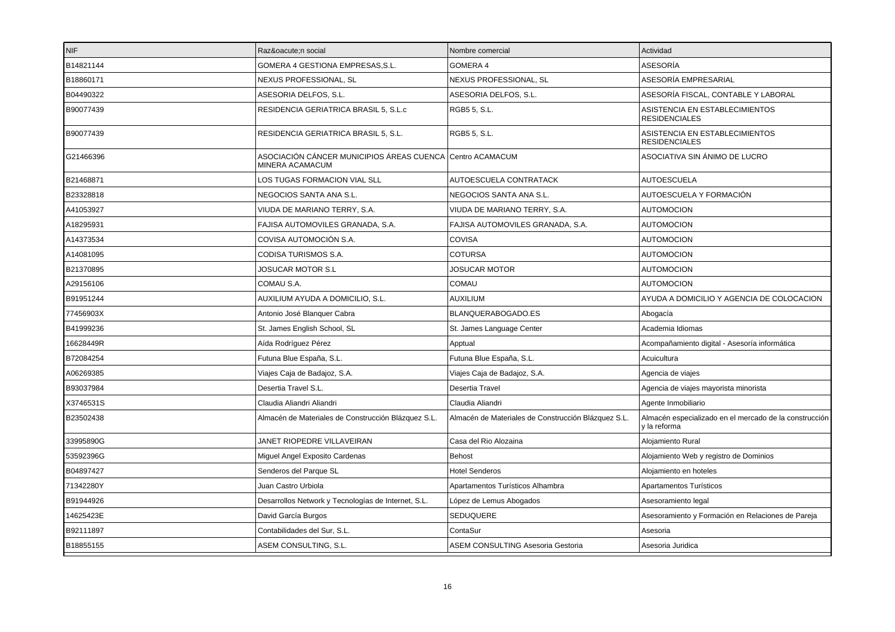| NIF       | Razón social                                                                 | Nombre comercial                                    | Actividad                                                              |
|-----------|------------------------------------------------------------------------------|-----------------------------------------------------|------------------------------------------------------------------------|
| B14821144 | GOMERA 4 GESTIONA EMPRESAS, S.L.                                             | GOMERA 4                                            | ASESORÍA                                                               |
| B18860171 | NEXUS PROFESSIONAL, SL                                                       | NEXUS PROFESSIONAL, SL                              | ASESORÍA EMPRESARIAL                                                   |
| B04490322 | ASESORIA DELFOS, S.L.                                                        | ASESORIA DELFOS, S.L.                               | ASESORÍA FISCAL, CONTABLE Y LABORAL                                    |
| B90077439 | RESIDENCIA GERIATRICA BRASIL 5, S.L.c                                        | RGB5 5, S.L.                                        | ASISTENCIA EN ESTABLECIMIENTOS<br><b>RESIDENCIALES</b>                 |
| B90077439 | RESIDENCIA GERIATRICA BRASIL 5, S.L.                                         | RGB5 5, S.L.                                        | ASISTENCIA EN ESTABLECIMIENTOS<br><b>RESIDENCIALES</b>                 |
| G21466396 | ASOCIACIÓN CÁNCER MUNICIPIOS ÁREAS CUENCA Centro ACAMACUM<br>MINERA ACAMACUM |                                                     | ASOCIATIVA SIN ÁNIMO DE LUCRO                                          |
| B21468871 | LOS TUGAS FORMACION VIAL SLL                                                 | AUTOESCUELA CONTRATACK                              | <b>AUTOESCUELA</b>                                                     |
| B23328818 | NEGOCIOS SANTA ANA S.L.                                                      | NEGOCIOS SANTA ANA S.L.                             | AUTOESCUELA Y FORMACIÓN                                                |
| A41053927 | VIUDA DE MARIANO TERRY, S.A.                                                 | VIUDA DE MARIANO TERRY, S.A.                        | <b>AUTOMOCION</b>                                                      |
| A18295931 | FAJISA AUTOMOVILES GRANADA, S.A.                                             | FAJISA AUTOMOVILES GRANADA, S.A.                    | <b>AUTOMOCION</b>                                                      |
| A14373534 | COVISA AUTOMOCIÓN S.A.                                                       | <b>COVISA</b>                                       | <b>AUTOMOCION</b>                                                      |
| A14081095 | CODISA TURISMOS S.A.                                                         | <b>COTURSA</b>                                      | AUTOMOCION                                                             |
| B21370895 | <b>JOSUCAR MOTOR S.L</b>                                                     | <b>JOSUCAR MOTOR</b>                                | <b>AUTOMOCION</b>                                                      |
| A29156106 | COMAU S.A.                                                                   | <b>COMAU</b>                                        | <b>AUTOMOCION</b>                                                      |
| B91951244 | AUXILIUM AYUDA A DOMICILIO, S.L.                                             | <b>AUXILIUM</b>                                     | AYUDA A DOMICILIO Y AGENCIA DE COLOCACION                              |
| 77456903X | Antonio José Blanquer Cabra                                                  | BLANQUERABOGADO.ES                                  | Abogacía                                                               |
| B41999236 | St. James English School, SL                                                 | St. James Language Center                           | Academia Idiomas                                                       |
| 16628449R | Aída Rodríguez Pérez                                                         | Apptual                                             | Acompañamiento digital - Asesoría informática                          |
| B72084254 | Futuna Blue España, S.L.                                                     | Futuna Blue España, S.L.                            | Acuicultura                                                            |
| A06269385 | Viajes Caja de Badajoz, S.A.                                                 | Viajes Caja de Badajoz, S.A.                        | Agencia de viajes                                                      |
| B93037984 | Desertia Travel S.L.                                                         | Desertia Travel                                     | Agencia de viajes mayorista minorista                                  |
| X3746531S | Claudia Aliandri Aliandri                                                    | Claudia Aliandri                                    | Agente Inmobiliario                                                    |
| B23502438 | Almacén de Materiales de Construcción Blázquez S.L.                          | Almacén de Materiales de Construcción Blázquez S.L. | Almacén especializado en el mercado de la construcción<br>y la reforma |
| 33995890G | JANET RIOPEDRE VILLAVEIRAN                                                   | Casa del Rio Alozaina                               | Alojamiento Rural                                                      |
| 53592396G | Miguel Angel Exposito Cardenas                                               | Behost                                              | Alojamiento Web y registro de Dominios                                 |
| B04897427 | Senderos del Parque SL                                                       | <b>Hotel Senderos</b>                               | Alojamiento en hoteles                                                 |
| 71342280Y | Juan Castro Urbiola                                                          | Apartamentos Turísticos Alhambra                    | Apartamentos Turísticos                                                |
| B91944926 | Desarrollos Network y Tecnologías de Internet, S.L.                          | López de Lemus Abogados                             | Asesoramiento legal                                                    |
| 14625423E | David García Burgos                                                          | SEDUQUERE                                           | Asesoramiento y Formación en Relaciones de Pareja                      |
| B92111897 | Contabilidades del Sur, S.L.                                                 | ContaSur                                            | Asesoria                                                               |
| B18855155 | ASEM CONSULTING, S.L.                                                        | <b>ASEM CONSULTING Asesoria Gestoria</b>            | Asesoria Juridica                                                      |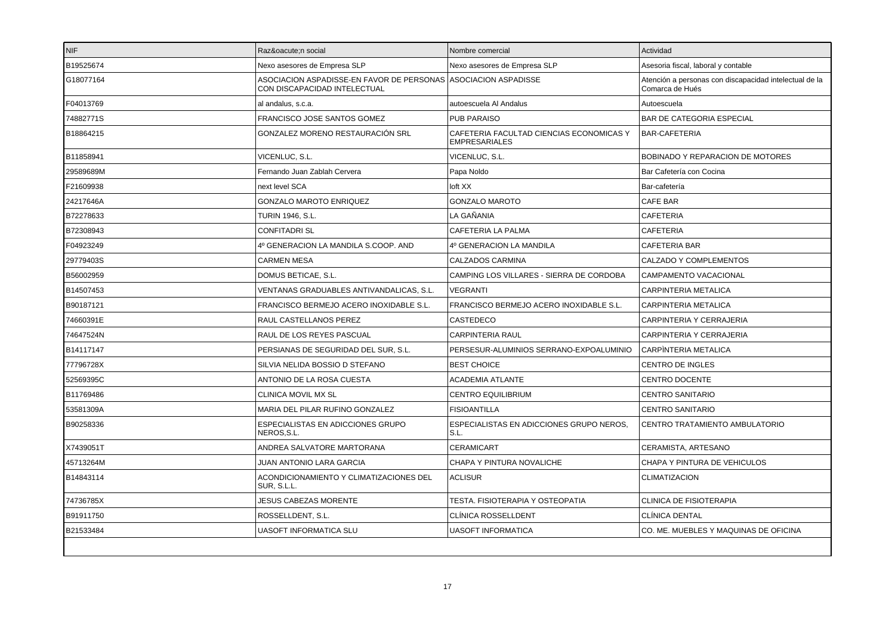| INIF.     | Razón social                                                                                   | Nombre comercial                                                 | Actividad                                                                 |
|-----------|------------------------------------------------------------------------------------------------|------------------------------------------------------------------|---------------------------------------------------------------------------|
| B19525674 | Nexo asesores de Empresa SLP                                                                   | Nexo asesores de Empresa SLP                                     | Asesoria fiscal, laboral y contable                                       |
| G18077164 | ASOCIACION ASPADISSE-EN FAVOR DE PERSONAS ASOCIACION ASPADISSE<br>CON DISCAPACIDAD INTELECTUAL |                                                                  | Atención a personas con discapacidad intelectual de la<br>Comarca de Hués |
| F04013769 | al andalus, s.c.a.                                                                             | autoescuela Al Andalus                                           | Autoescuela                                                               |
| 74882771S | FRANCISCO JOSE SANTOS GOMEZ                                                                    | <b>PUB PARAISO</b>                                               | BAR DE CATEGORIA ESPECIAL                                                 |
| B18864215 | GONZALEZ MORENO RESTAURACIÓN SRL                                                               | CAFETERIA FACULTAD CIENCIAS ECONOMICAS Y<br><b>EMPRESARIALES</b> | BAR-CAFETERIA                                                             |
| B11858941 | VICENLUC, S.L.                                                                                 | VICENLUC, S.L.                                                   | BOBINADO Y REPARACION DE MOTORES                                          |
| 29589689M | Fernando Juan Zablah Cervera                                                                   | Papa Noldo                                                       | Bar Cafetería con Cocina                                                  |
| F21609938 | next level SCA                                                                                 | loft XX                                                          | Bar-cafetería                                                             |
| 24217646A | <b>GONZALO MAROTO ENRIQUEZ</b>                                                                 | <b>GONZALO MAROTO</b>                                            | CAFE BAR                                                                  |
| B72278633 | <b>TURIN 1946, S.L.</b>                                                                        | LA GAÑANIA                                                       | <b>CAFETERIA</b>                                                          |
| B72308943 | <b>CONFITADRI SL</b>                                                                           | CAFETERIA LA PALMA                                               | <b>CAFETERIA</b>                                                          |
| F04923249 | 4º GENERACION LA MANDILA S.COOP. AND                                                           | 4º GENERACION LA MANDILA                                         | <b>CAFETERIA BAR</b>                                                      |
| 29779403S | <b>CARMEN MESA</b>                                                                             | CALZADOS CARMINA                                                 | CALZADO Y COMPLEMENTOS                                                    |
| B56002959 | DOMUS BETICAE, S.L.                                                                            | CAMPING LOS VILLARES - SIERRA DE CORDOBA                         | CAMPAMENTO VACACIONAL                                                     |
| B14507453 | VENTANAS GRADUABLES ANTIVANDALICAS. S.L.                                                       | <b>VEGRANTI</b>                                                  | <b>CARPINTERIA METALICA</b>                                               |
| B90187121 | FRANCISCO BERMEJO ACERO INOXIDABLE S.L.                                                        | FRANCISCO BERMEJO ACERO INOXIDABLE S.L.                          | CARPINTERIA METALICA                                                      |
| 74660391E | RAUL CASTELLANOS PEREZ                                                                         | CASTEDECO                                                        | CARPINTERIA Y CERRAJERIA                                                  |
| 74647524N | RAUL DE LOS REYES PASCUAL                                                                      | <b>CARPINTERIA RAUL</b>                                          | CARPINTERIA Y CERRAJERIA                                                  |
| B14117147 | PERSIANAS DE SEGURIDAD DEL SUR, S.L.                                                           | PERSESUR-ALUMINIOS SERRANO-EXPOALUMINIO                          | CARPINTERIA METALICA                                                      |
| 77796728X | SILVIA NELIDA BOSSIO D STEFANO                                                                 | <b>BEST CHOICE</b>                                               | CENTRO DE INGLES                                                          |
| 52569395C | ANTONIO DE LA ROSA CUESTA                                                                      | <b>ACADEMIA ATLANTE</b>                                          | <b>CENTRO DOCENTE</b>                                                     |
| B11769486 | <b>CLINICA MOVIL MX SL</b>                                                                     | <b>CENTRO EQUILIBRIUM</b>                                        | <b>CENTRO SANITARIO</b>                                                   |
| 53581309A | MARIA DEL PILAR RUFINO GONZALEZ                                                                | <b>FISIOANTILLA</b>                                              | <b>CENTRO SANITARIO</b>                                                   |
| B90258336 | ESPECIALISTAS EN ADICCIONES GRUPO<br>NEROS, S.L.                                               | ESPECIALISTAS EN ADICCIONES GRUPO NEROS,<br>S.L.                 | CENTRO TRATAMIENTO AMBULATORIO                                            |
| X7439051T | ANDREA SALVATORE MARTORANA                                                                     | CERAMICART                                                       | CERAMISTA, ARTESANO                                                       |
| 45713264M | JUAN ANTONIO LARA GARCIA                                                                       | CHAPA Y PINTURA NOVALICHE                                        | CHAPA Y PINTURA DE VEHICULOS                                              |
| B14843114 | ACONDICIONAMIENTO Y CLIMATIZACIONES DEL<br>SUR, S.L.L.                                         | <b>ACLISUR</b>                                                   | CLIMATIZACION                                                             |
| 74736785X | <b>JESUS CABEZAS MORENTE</b>                                                                   | TESTA. FISIOTERAPIA Y OSTEOPATIA                                 | CLINICA DE FISIOTERAPIA                                                   |
| B91911750 | ROSSELLDENT, S.L.                                                                              | CLÍNICA ROSSELLDENT                                              | CLÍNICA DENTAL                                                            |
| B21533484 | <b>UASOFT INFORMATICA SLU</b>                                                                  | <b>UASOFT INFORMATICA</b>                                        | CO. ME. MUEBLES Y MAQUINAS DE OFICINA                                     |
|           |                                                                                                |                                                                  |                                                                           |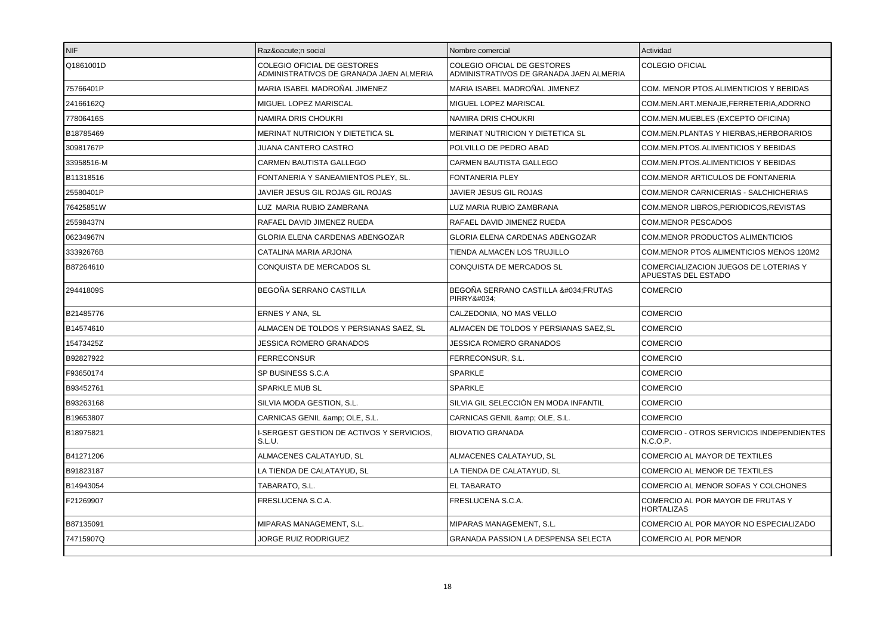| <b>NIF</b> | Razón social                                                           | Nombre comercial                                                              | Actividad                                                    |
|------------|------------------------------------------------------------------------|-------------------------------------------------------------------------------|--------------------------------------------------------------|
| Q1861001D  | COLEGIO OFICIAL DE GESTORES<br>ADMINISTRATIVOS DE GRANADA JAEN ALMERIA | <b>COLEGIO OFICIAL DE GESTORES</b><br>ADMINISTRATIVOS DE GRANADA JAEN ALMERIA | <b>COLEGIO OFICIAL</b>                                       |
| 75766401P  | MARIA ISABEL MADROÑAL JIMENEZ                                          | MARIA ISABEL MADROÑAL JIMENEZ                                                 | COM. MENOR PTOS.ALIMENTICIOS Y BEBIDAS                       |
| 24166162Q  | MIGUEL LOPEZ MARISCAL                                                  | MIGUEL LOPEZ MARISCAL                                                         | COM.MEN.ART.MENAJE,FERRETERIA,ADORNO                         |
| 77806416S  | NAMIRA DRIS CHOUKRI                                                    | NAMIRA DRIS CHOUKRI                                                           | COM.MEN.MUEBLES (EXCEPTO OFICINA)                            |
| B18785469  | MERINAT NUTRICION Y DIETETICA SL                                       | MERINAT NUTRICION Y DIETETICA SL                                              | COM.MEN.PLANTAS Y HIERBAS, HERBORARIOS                       |
| 30981767P  | JUANA CANTERO CASTRO                                                   | POLVILLO DE PEDRO ABAD                                                        | COM.MEN.PTOS.ALIMENTICIOS Y BEBIDAS                          |
| 33958516-M | <b>CARMEN BAUTISTA GALLEGO</b>                                         | CARMEN BAUTISTA GALLEGO                                                       | COM.MEN.PTOS.ALIMENTICIOS Y BEBIDAS                          |
| B11318516  | FONTANERIA Y SANEAMIENTOS PLEY, SL.                                    | <b>FONTANERIA PLEY</b>                                                        | COM.MENOR ARTICULOS DE FONTANERIA                            |
| 25580401P  | JAVIER JESUS GIL ROJAS GIL ROJAS                                       | JAVIER JESUS GIL ROJAS                                                        | COM.MENOR CARNICERIAS - SALCHICHERIAS                        |
| 76425851W  | LUZ MARIA RUBIO ZAMBRANA                                               | LUZ MARIA RUBIO ZAMBRANA                                                      | COM.MENOR LIBROS, PERIODICOS, REVISTAS                       |
| 25598437N  | RAFAEL DAVID JIMENEZ RUEDA                                             | RAFAEL DAVID JIMENEZ RUEDA                                                    | <b>COM.MENOR PESCADOS</b>                                    |
| 06234967N  | GLORIA ELENA CARDENAS ABENGOZAR                                        | GLORIA ELENA CARDENAS ABENGOZAR                                               | <b>COM.MENOR PRODUCTOS ALIMENTICIOS</b>                      |
| 33392676B  | CATALINA MARIA ARJONA                                                  | TIENDA ALMACEN LOS TRUJILLO                                                   | COM.MENOR PTOS ALIMENTICIOS MENOS 120M2                      |
| B87264610  | CONQUISTA DE MERCADOS SL                                               | CONQUISTA DE MERCADOS SL                                                      | COMERCIALIZACION JUEGOS DE LOTERIAS Y<br>APUESTAS DEL ESTADO |
| 29441809S  | BEGOÑA SERRANO CASTILLA                                                | BEGOÑA SERRANO CASTILLA ":FRUTAS<br>PIRRY"                                    | <b>COMERCIO</b>                                              |
| B21485776  | ERNES Y ANA, SL                                                        | CALZEDONIA, NO MAS VELLO                                                      | <b>COMERCIO</b>                                              |
| B14574610  | ALMACEN DE TOLDOS Y PERSIANAS SAEZ, SL                                 | ALMACEN DE TOLDOS Y PERSIANAS SAEZ.SL                                         | <b>COMERCIO</b>                                              |
| 15473425Z  | <b>JESSICA ROMERO GRANADOS</b>                                         | <b>JESSICA ROMERO GRANADOS</b>                                                | <b>COMERCIO</b>                                              |
| B92827922  | <b>FERRECONSUR</b>                                                     | FERRECONSUR, S.L.                                                             | <b>COMERCIO</b>                                              |
| F93650174  | SP BUSINESS S.C.A                                                      | <b>SPARKLE</b>                                                                | <b>COMERCIO</b>                                              |
| B93452761  | <b>SPARKLE MUB SL</b>                                                  | <b>SPARKLE</b>                                                                | <b>COMERCIO</b>                                              |
| B93263168  | SILVIA MODA GESTION, S.L.                                              | SILVIA GIL SELECCIÓN EN MODA INFANTIL                                         | <b>COMERCIO</b>                                              |
| B19653807  | CARNICAS GENIL & OLE, S.L.                                             | CARNICAS GENIL & amp; OLE, S.L.                                               | <b>COMERCIO</b>                                              |
| B18975821  | I-SERGEST GESTION DE ACTIVOS Y SERVICIOS.<br>S.L.U.                    | <b>BIOVATIO GRANADA</b>                                                       | <b>COMERCIO - OTROS SERVICIOS INDEPENDIENTES</b><br>N.C.O.P. |
| B41271206  | ALMACENES CALATAYUD, SL                                                | ALMACENES CALATAYUD, SL                                                       | COMERCIO AL MAYOR DE TEXTILES                                |
| B91823187  | LA TIENDA DE CALATAYUD, SL                                             | LA TIENDA DE CALATAYUD, SL                                                    | COMERCIO AL MENOR DE TEXTILES                                |
| B14943054  | TABARATO, S.L.                                                         | <b>EL TABARATO</b>                                                            | COMERCIO AL MENOR SOFAS Y COLCHONES                          |
| F21269907  | FRESLUCENA S.C.A.                                                      | FRESLUCENA S.C.A.                                                             | COMERCIO AL POR MAYOR DE FRUTAS Y<br><b>HORTALIZAS</b>       |
| B87135091  | MIPARAS MANAGEMENT, S.L.                                               | MIPARAS MANAGEMENT, S.L.                                                      | COMERCIO AL POR MAYOR NO ESPECIALIZADO                       |
| 74715907Q  | JORGE RUIZ RODRIGUEZ                                                   | GRANADA PASSION LA DESPENSA SELECTA                                           | COMERCIO AL POR MENOR                                        |
|            |                                                                        |                                                                               |                                                              |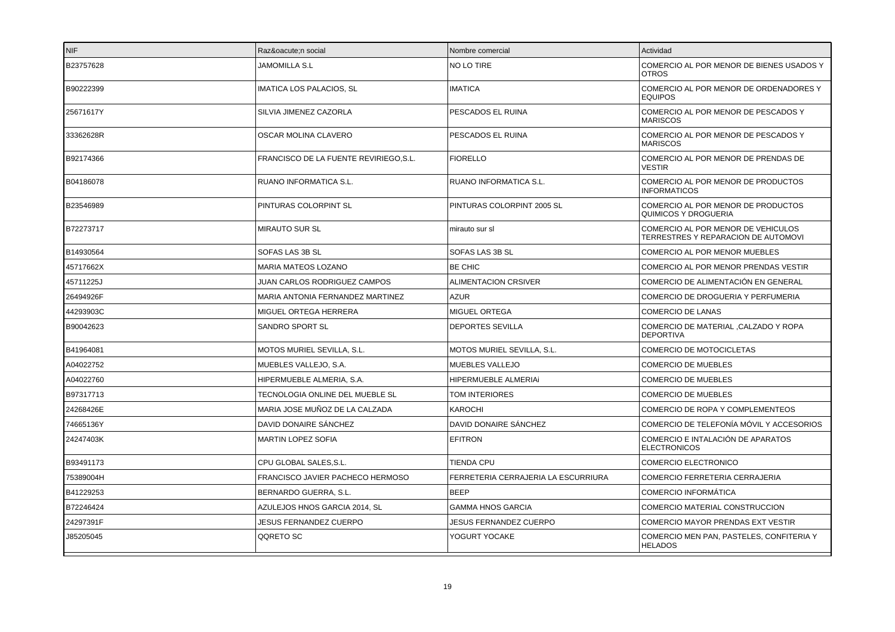| <b>NIF</b> | Razón social                          | Nombre comercial                    | Actividad                                                                 |
|------------|---------------------------------------|-------------------------------------|---------------------------------------------------------------------------|
| B23757628  | <b>JAMOMILLA S.L</b>                  | NO LO TIRE                          | COMERCIO AL POR MENOR DE BIENES USADOS Y<br><b>OTROS</b>                  |
| B90222399  | <b>IMATICA LOS PALACIOS, SL</b>       | <b>IMATICA</b>                      | COMERCIO AL POR MENOR DE ORDENADORES Y<br><b>EQUIPOS</b>                  |
| 25671617Y  | SILVIA JIMENEZ CAZORLA                | PESCADOS EL RUINA                   | COMERCIO AL POR MENOR DE PESCADOS Y<br><b>MARISCOS</b>                    |
| 33362628R  | OSCAR MOLINA CLAVERO                  | PESCADOS EL RUINA                   | COMERCIO AL POR MENOR DE PESCADOS Y<br><b>MARISCOS</b>                    |
| B92174366  | FRANCISCO DE LA FUENTE REVIRIEGO,S.L. | <b>FIORELLO</b>                     | COMERCIO AL POR MENOR DE PRENDAS DE<br><b>VESTIR</b>                      |
| B04186078  | <b>RUANO INFORMATICA S.L.</b>         | RUANO INFORMATICA S.L.              | COMERCIO AL POR MENOR DE PRODUCTOS<br><b>INFORMATICOS</b>                 |
| B23546989  | PINTURAS COLORPINT SL                 | PINTURAS COLORPINT 2005 SL          | COMERCIO AL POR MENOR DE PRODUCTOS<br>QUIMICOS Y DROGUERIA                |
| B72273717  | <b>MIRAUTO SUR SL</b>                 | mirauto sur sl                      | COMERCIO AL POR MENOR DE VEHICULOS<br>TERRESTRES Y REPARACION DE AUTOMOVI |
| B14930564  | SOFAS LAS 3B SL                       | SOFAS LAS 3B SL                     | COMERCIO AL POR MENOR MUEBLES                                             |
| 45717662X  | <b>MARIA MATEOS LOZANO</b>            | <b>BE CHIC</b>                      | COMERCIO AL POR MENOR PRENDAS VESTIR                                      |
| 45711225J  | JUAN CARLOS RODRIGUEZ CAMPOS          | ALIMENTACION CRSIVER                | COMERCIO DE ALIMENTACIÓN EN GENERAL                                       |
| 26494926F  | MARIA ANTONIA FERNANDEZ MARTINEZ      | <b>AZUR</b>                         | COMERCIO DE DROGUERIA Y PERFUMERIA                                        |
| 44293903C  | MIGUEL ORTEGA HERRERA                 | <b>MIGUEL ORTEGA</b>                | <b>COMERCIO DE LANAS</b>                                                  |
| B90042623  | SANDRO SPORT SL                       | <b>DEPORTES SEVILLA</b>             | COMERCIO DE MATERIAL , CALZADO Y ROPA<br><b>DEPORTIVA</b>                 |
| B41964081  | MOTOS MURIEL SEVILLA, S.L.            | MOTOS MURIEL SEVILLA, S.L.          | COMERCIO DE MOTOCICLETAS                                                  |
| A04022752  | MUEBLES VALLEJO. S.A.                 | MUEBLES VALLEJO                     | <b>COMERCIO DE MUEBLES</b>                                                |
| A04022760  | HIPERMUEBLE ALMERIA, S.A.             | HIPERMUEBLE ALMERIAI                | <b>COMERCIO DE MUEBLES</b>                                                |
| B97317713  | TECNOLOGIA ONLINE DEL MUEBLE SL       | TOM INTERIORES                      | <b>COMERCIO DE MUEBLES</b>                                                |
| 24268426E  | MARIA JOSE MUÑOZ DE LA CALZADA        | <b>KAROCHI</b>                      | COMERCIO DE ROPA Y COMPLEMENTEOS                                          |
| 74665136Y  | DAVID DONAIRE SÁNCHEZ                 | DAVID DONAIRE SÁNCHEZ               | COMERCIO DE TELEFONÍA MÓVIL Y ACCESORIOS                                  |
| 24247403K  | <b>MARTIN LOPEZ SOFIA</b>             | <b>EFITRON</b>                      | COMERCIO E INTALACIÓN DE APARATOS<br><b>ELECTRONICOS</b>                  |
| B93491173  | CPU GLOBAL SALES, S.L.                | TIENDA CPU                          | <b>COMERCIO ELECTRONICO</b>                                               |
| 75389004H  | FRANCISCO JAVIER PACHECO HERMOSO      | FERRETERIA CERRAJERIA LA ESCURRIURA | <b>COMERCIO FERRETERIA CERRAJERIA</b>                                     |
| B41229253  | BERNARDO GUERRA, S.L.                 | <b>BEEP</b>                         | <b>COMERCIO INFORMÁTICA</b>                                               |
| B72246424  | AZULEJOS HNOS GARCIA 2014, SL         | <b>GAMMA HNOS GARCIA</b>            | COMERCIO MATERIAL CONSTRUCCION                                            |
| 24297391F  | <b>JESUS FERNANDEZ CUERPO</b>         | <b>JESUS FERNANDEZ CUERPO</b>       | <b>COMERCIO MAYOR PRENDAS EXT VESTIR</b>                                  |
| J85205045  | QQRETO SC                             | YOGURT YOCAKE                       | COMERCIO MEN PAN, PASTELES, CONFITERIA Y<br><b>HELADOS</b>                |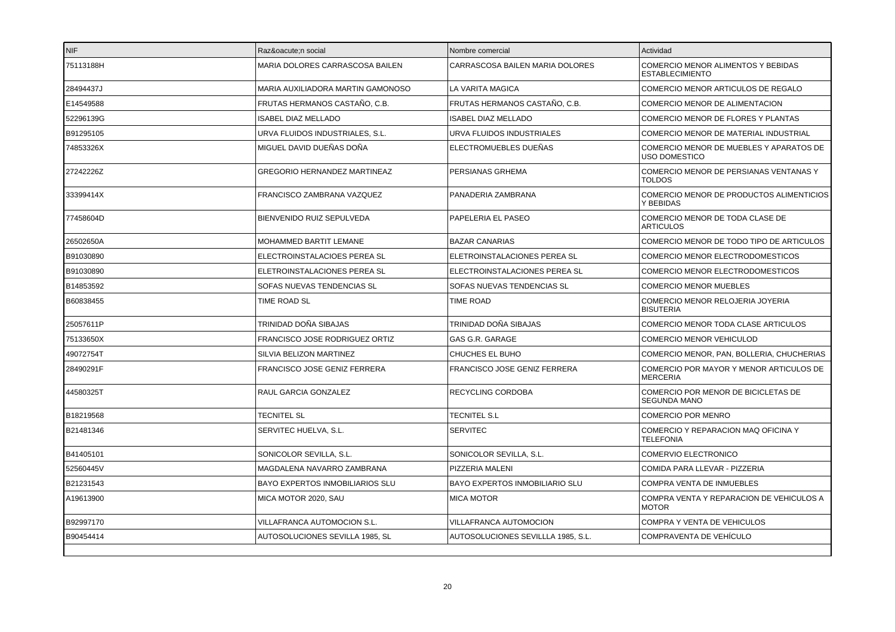| 75113188H<br>MARIA DOLORES CARRASCOSA BAILEN<br>CARRASCOSA BAILEN MARIA DOLORES<br>28494437J<br>MARIA AUXILIADORA MARTIN GAMONOSO<br>LA VARITA MAGICA<br>E14549588<br>FRUTAS HERMANOS CASTAÑO, C.B.<br>FRUTAS HERMANOS CASTAÑO, C.B.<br>52296139G<br><b>ISABEL DIAZ MELLADO</b><br><b>ISABEL DIAZ MELLADO</b><br>B91295105<br>URVA FLUIDOS INDUSTRIALES, S.L.<br>URVA FLUIDOS INDUSTRIALES<br>MIGUEL DAVID DUEÑAS DOÑA<br>74853326X<br>ELECTROMUEBLES DUEÑAS | COMERCIO MENOR ALIMENTOS Y BEBIDAS<br><b>ESTABLECIMIENTO</b><br>COMERCIO MENOR ARTICULOS DE REGALO<br>COMERCIO MENOR DE ALIMENTACION<br>COMERCIO MENOR DE FLORES Y PLANTAS<br>COMERCIO MENOR DE MATERIAL INDUSTRIAL<br>COMERCIO MENOR DE MUEBLES Y APARATOS DE<br><b>USO DOMESTICO</b><br>COMERCIO MENOR DE PERSIANAS VENTANAS Y |
|--------------------------------------------------------------------------------------------------------------------------------------------------------------------------------------------------------------------------------------------------------------------------------------------------------------------------------------------------------------------------------------------------------------------------------------------------------------|----------------------------------------------------------------------------------------------------------------------------------------------------------------------------------------------------------------------------------------------------------------------------------------------------------------------------------|
|                                                                                                                                                                                                                                                                                                                                                                                                                                                              |                                                                                                                                                                                                                                                                                                                                  |
|                                                                                                                                                                                                                                                                                                                                                                                                                                                              |                                                                                                                                                                                                                                                                                                                                  |
|                                                                                                                                                                                                                                                                                                                                                                                                                                                              |                                                                                                                                                                                                                                                                                                                                  |
|                                                                                                                                                                                                                                                                                                                                                                                                                                                              |                                                                                                                                                                                                                                                                                                                                  |
|                                                                                                                                                                                                                                                                                                                                                                                                                                                              |                                                                                                                                                                                                                                                                                                                                  |
|                                                                                                                                                                                                                                                                                                                                                                                                                                                              |                                                                                                                                                                                                                                                                                                                                  |
| <b>GREGORIO HERNANDEZ MARTINEAZ</b><br>PERSIANAS GRHEMA<br>27242226Z                                                                                                                                                                                                                                                                                                                                                                                         | <b>TOLDOS</b>                                                                                                                                                                                                                                                                                                                    |
| 33399414X<br>PANADERIA ZAMBRANA<br>FRANCISCO ZAMBRANA VAZQUEZ                                                                                                                                                                                                                                                                                                                                                                                                | COMERCIO MENOR DE PRODUCTOS ALIMENTICIOS<br>Y BEBIDAS                                                                                                                                                                                                                                                                            |
| PAPELERIA EL PASEO<br>77458604D<br>BIENVENIDO RUIZ SEPULVEDA                                                                                                                                                                                                                                                                                                                                                                                                 | COMERCIO MENOR DE TODA CLASE DE<br><b>ARTICULOS</b>                                                                                                                                                                                                                                                                              |
| 26502650A<br>MOHAMMED BARTIT LEMANE<br><b>BAZAR CANARIAS</b>                                                                                                                                                                                                                                                                                                                                                                                                 | COMERCIO MENOR DE TODO TIPO DE ARTICULOS                                                                                                                                                                                                                                                                                         |
| B91030890<br>ELETROINSTALACIONES PEREA SL<br>ELECTROINSTALACIOES PEREA SL                                                                                                                                                                                                                                                                                                                                                                                    | COMERCIO MENOR ELECTRODOMESTICOS                                                                                                                                                                                                                                                                                                 |
| ELETROINSTALACIONES PEREA SL<br>ELECTROINSTALACIONES PEREA SL<br>B91030890                                                                                                                                                                                                                                                                                                                                                                                   | COMERCIO MENOR ELECTRODOMESTICOS                                                                                                                                                                                                                                                                                                 |
| B14853592<br>SOFAS NUEVAS TENDENCIAS SL<br>SOFAS NUEVAS TENDENCIAS SL                                                                                                                                                                                                                                                                                                                                                                                        | <b>COMERCIO MENOR MUEBLES</b>                                                                                                                                                                                                                                                                                                    |
| B60838455<br><b>TIME ROAD</b><br>TIME ROAD SL                                                                                                                                                                                                                                                                                                                                                                                                                | COMERCIO MENOR RELOJERIA JOYERIA<br><b>BISUTERIA</b>                                                                                                                                                                                                                                                                             |
| TRINIDAD DOÑA SIBAJAS<br>TRINIDAD DOÑA SIBAJAS<br>25057611P                                                                                                                                                                                                                                                                                                                                                                                                  | COMERCIO MENOR TODA CLASE ARTICULOS                                                                                                                                                                                                                                                                                              |
| 75133650X<br>FRANCISCO JOSE RODRIGUEZ ORTIZ<br>GAS G.R. GARAGE                                                                                                                                                                                                                                                                                                                                                                                               | COMERCIO MENOR VEHICULOD                                                                                                                                                                                                                                                                                                         |
| CHUCHES EL BUHO<br>49072754T<br>SILVIA BELIZON MARTINEZ                                                                                                                                                                                                                                                                                                                                                                                                      | COMERCIO MENOR, PAN, BOLLERIA, CHUCHERIAS                                                                                                                                                                                                                                                                                        |
| 28490291F<br>FRANCISCO JOSE GENIZ FERRERA<br>FRANCISCO JOSE GENIZ FERRERA                                                                                                                                                                                                                                                                                                                                                                                    | COMERCIO POR MAYOR Y MENOR ARTICULOS DE<br><b>MERCERIA</b>                                                                                                                                                                                                                                                                       |
| 44580325T<br>RAUL GARCIA GONZALEZ<br>RECYCLING CORDOBA                                                                                                                                                                                                                                                                                                                                                                                                       | COMERCIO POR MENOR DE BICICLETAS DE<br><b>SEGUNDA MANO</b>                                                                                                                                                                                                                                                                       |
| <b>TECNITEL S.L</b><br>B18219568<br><b>TECNITEL SL</b>                                                                                                                                                                                                                                                                                                                                                                                                       | <b>COMERCIO POR MENRO</b>                                                                                                                                                                                                                                                                                                        |
| <b>SERVITEC</b><br>B21481346<br>SERVITEC HUELVA, S.L.                                                                                                                                                                                                                                                                                                                                                                                                        | COMERCIO Y REPARACION MAQ OFICINA Y<br><b>TELEFONIA</b>                                                                                                                                                                                                                                                                          |
| B41405101<br>SONICOLOR SEVILLA, S.L.<br>SONICOLOR SEVILLA, S.L.                                                                                                                                                                                                                                                                                                                                                                                              | COMERVIO ELECTRONICO                                                                                                                                                                                                                                                                                                             |
| PIZZERIA MALENI<br>52560445V<br>MAGDALENA NAVARRO ZAMBRANA                                                                                                                                                                                                                                                                                                                                                                                                   | COMIDA PARA LLEVAR - PIZZERIA                                                                                                                                                                                                                                                                                                    |
| <b>BAYO EXPERTOS INMOBILIARIOS SLU</b><br><b>BAYO EXPERTOS INMOBILIARIO SLU</b><br>B21231543                                                                                                                                                                                                                                                                                                                                                                 | COMPRA VENTA DE INMUEBLES                                                                                                                                                                                                                                                                                                        |
| A19613900<br>MICA MOTOR 2020, SAU<br><b>MICA MOTOR</b>                                                                                                                                                                                                                                                                                                                                                                                                       | COMPRA VENTA Y REPARACION DE VEHICULOS A<br><b>MOTOR</b>                                                                                                                                                                                                                                                                         |
| B92997170<br>VILLAFRANCA AUTOMOCION S.L.<br>VILLAFRANCA AUTOMOCION                                                                                                                                                                                                                                                                                                                                                                                           | COMPRA Y VENTA DE VEHICULOS                                                                                                                                                                                                                                                                                                      |
| B90454414<br>AUTOSOLUCIONES SEVILLA 1985. SL<br>AUTOSOLUCIONES SEVILLLA 1985. S.L.                                                                                                                                                                                                                                                                                                                                                                           | COMPRAVENTA DE VEHÍCULO                                                                                                                                                                                                                                                                                                          |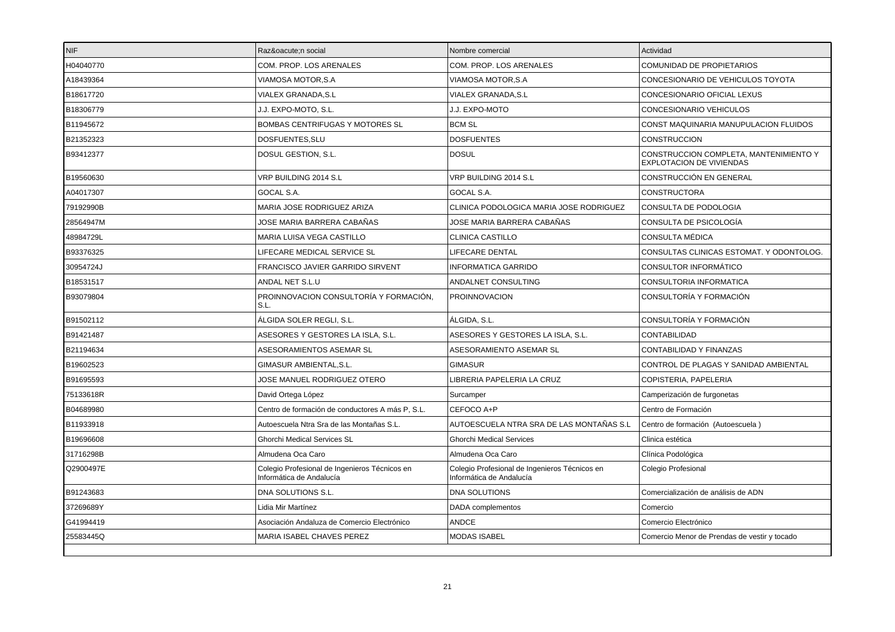| <b>NIF</b> | Razón social                                                              | Nombre comercial                                                          | Actividad                                                                 |
|------------|---------------------------------------------------------------------------|---------------------------------------------------------------------------|---------------------------------------------------------------------------|
| H04040770  | COM. PROP. LOS ARENALES                                                   | COM. PROP. LOS ARENALES                                                   | <b>COMUNIDAD DE PROPIETARIOS</b>                                          |
| A18439364  | VIAMOSA MOTOR, S.A                                                        | VIAMOSA MOTOR,S.A                                                         | CONCESIONARIO DE VEHICULOS TOYOTA                                         |
| B18617720  | VIALEX GRANADA, S.L                                                       | VIALEX GRANADA,S.L                                                        | CONCESIONARIO OFICIAL LEXUS                                               |
| B18306779  | J.J. EXPO-MOTO, S.L.                                                      | J.J. EXPO-MOTO                                                            | CONCESIONARIO VEHICULOS                                                   |
| B11945672  | <b>BOMBAS CENTRIFUGAS Y MOTORES SL</b>                                    | <b>BCM SL</b>                                                             | CONST MAQUINARIA MANUPULACION FLUIDOS                                     |
| B21352323  | DOSFUENTES, SLU                                                           | <b>DOSFUENTES</b>                                                         | <b>CONSTRUCCION</b>                                                       |
| B93412377  | DOSUL GESTION, S.L.                                                       | <b>DOSUL</b>                                                              | CONSTRUCCION COMPLETA, MANTENIMIENTO Y<br><b>EXPLOTACION DE VIVIENDAS</b> |
| B19560630  | VRP BUILDING 2014 S.L                                                     | VRP BUILDING 2014 S.L                                                     | CONSTRUCCIÓN EN GENERAL                                                   |
| A04017307  | GOCAL S.A.                                                                | GOCAL S.A.                                                                | <b>CONSTRUCTORA</b>                                                       |
| 79192990B  | MARIA JOSE RODRIGUEZ ARIZA                                                | CLINICA PODOLOGICA MARIA JOSE RODRIGUEZ                                   | CONSULTA DE PODOLOGIA                                                     |
| 28564947M  | JOSE MARIA BARRERA CABAÑAS                                                | JOSE MARIA BARRERA CABAÑAS                                                | CONSULTA DE PSICOLOGÍA                                                    |
| 48984729L  | <b>MARIA LUISA VEGA CASTILLO</b>                                          | <b>CLINICA CASTILLO</b>                                                   | <b>CONSULTA MÉDICA</b>                                                    |
| B93376325  | LIFECARE MEDICAL SERVICE SL                                               | LIFECARE DENTAL                                                           | CONSULTAS CLINICAS ESTOMAT. Y ODONTOLOG.                                  |
| 30954724J  | FRANCISCO JAVIER GARRIDO SIRVENT                                          | INFORMATICA GARRIDO                                                       | <b>CONSULTOR INFORMÁTICO</b>                                              |
| B18531517  | ANDAL NET S.L.U                                                           | ANDALNET CONSULTING                                                       | CONSULTORIA INFORMATICA                                                   |
| B93079804  | PROINNOVACION CONSULTORÍA Y FORMACIÓN,<br>S.L                             | PROINNOVACION                                                             | CONSULTORÍA Y FORMACIÓN                                                   |
| B91502112  | ÁLGIDA SOLER REGLI, S.L.                                                  | ÁLGIDA, S.L.                                                              | CONSULTORÍA Y FORMACIÓN                                                   |
| B91421487  | ASESORES Y GESTORES LA ISLA, S.L.                                         | ASESORES Y GESTORES LA ISLA, S.L.                                         | CONTABILIDAD                                                              |
| B21194634  | ASESORAMIENTOS ASEMAR SL                                                  | ASESORAMIENTO ASEMAR SL                                                   | CONTABILIDAD Y FINANZAS                                                   |
| B19602523  | GIMASUR AMBIENTAL, S.L.                                                   | <b>GIMASUR</b>                                                            | CONTROL DE PLAGAS Y SANIDAD AMBIENTAL                                     |
| B91695593  | JOSE MANUEL RODRIGUEZ OTERO                                               | LIBRERIA PAPELERIA LA CRUZ                                                | COPISTERIA, PAPELERIA                                                     |
| 75133618R  | David Ortega López                                                        | Surcamper                                                                 | Camperización de furgonetas                                               |
| B04689980  | Centro de formación de conductores A más P, S.L.                          | CEFOCO A+P                                                                | Centro de Formación                                                       |
| B11933918  | Autoescuela Ntra Sra de las Montañas S.L.                                 | AUTOESCUELA NTRA SRA DE LAS MONTAÑAS S.L                                  | Centro de formación (Autoescuela)                                         |
| B19696608  | <b>Ghorchi Medical Services SL</b>                                        | <b>Ghorchi Medical Services</b>                                           | Clinica estética                                                          |
| 31716298B  | Almudena Oca Caro                                                         | Almudena Oca Caro                                                         | Clínica Podológica                                                        |
| Q2900497E  | Colegio Profesional de Ingenieros Técnicos en<br>Informática de Andalucía | Colegio Profesional de Ingenieros Técnicos en<br>Informática de Andalucía | Colegio Profesional                                                       |
| B91243683  | DNA SOLUTIONS S.L.                                                        | <b>DNA SOLUTIONS</b>                                                      | Comercialización de análisis de ADN                                       |
| 37269689Y  | Lidia Mir Martínez                                                        | DADA complementos                                                         | Comercio                                                                  |
| G41994419  | Asociación Andaluza de Comercio Electrónico                               | ANDCE                                                                     | Comercio Electrónico                                                      |
| 25583445Q  | MARIA ISABEL CHAVES PEREZ                                                 | <b>MODAS ISABEL</b>                                                       | Comercio Menor de Prendas de vestir y tocado                              |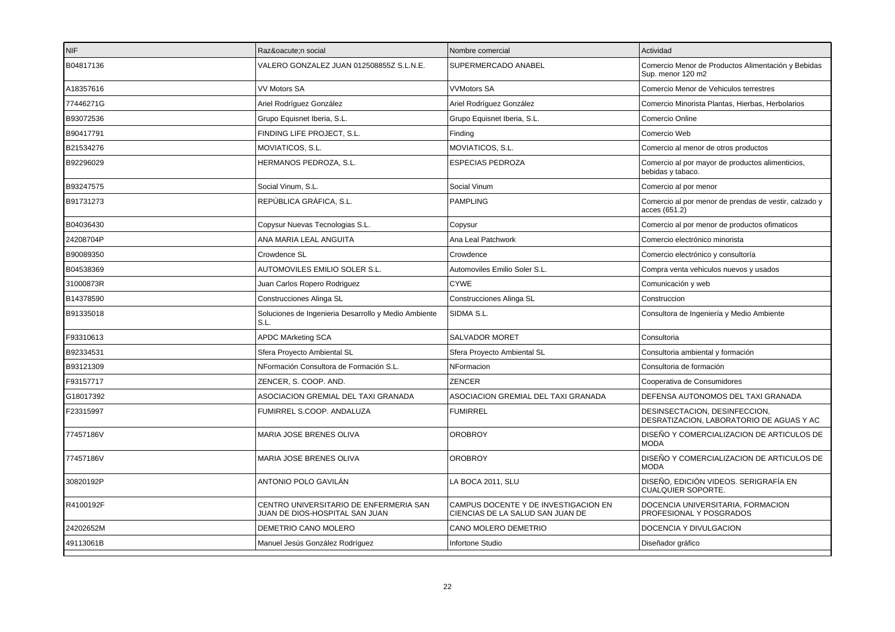| <b>NIF</b> | Razón social                                                             | Nombre comercial                                                         | Actividad                                                                 |
|------------|--------------------------------------------------------------------------|--------------------------------------------------------------------------|---------------------------------------------------------------------------|
| B04817136  | VALERO GONZALEZ JUAN 012508855Z S.L.N.E.                                 | SUPERMERCADO ANABEL                                                      | Comercio Menor de Productos Alimentación y Bebidas<br>Sup. menor 120 m2   |
| A18357616  | VV Motors SA                                                             | <b>VVMotors SA</b>                                                       | Comercio Menor de Vehiculos terrestres                                    |
| 77446271G  | Ariel Rodríguez González                                                 | Ariel Rodríguez González                                                 | Comercio Minorista Plantas, Hierbas, Herbolarios                          |
| B93072536  | Grupo Equisnet Iberia, S.L.                                              | Grupo Equisnet Iberia, S.L.                                              | Comercio Online                                                           |
| B90417791  | FINDING LIFE PROJECT, S.L.                                               | Finding                                                                  | Comercio Web                                                              |
| B21534276  | MOVIATICOS, S.L.                                                         | MOVIATICOS, S.L.                                                         | Comercio al menor de otros productos                                      |
| B92296029  | HERMANOS PEDROZA, S.L.                                                   | <b>ESPECIAS PEDROZA</b>                                                  | Comercio al por mayor de productos alimenticios,<br>bebidas y tabaco.     |
| B93247575  | Social Vinum, S.L.                                                       | Social Vinum                                                             | Comercio al por menor                                                     |
| B91731273  | REPÚBLICA GRÁFICA, S.L.                                                  | <b>PAMPLING</b>                                                          | Comercio al por menor de prendas de vestir, calzado y<br>acces (651.2)    |
| B04036430  | Copysur Nuevas Tecnologias S.L.                                          | Copysur                                                                  | Comercio al por menor de productos ofimaticos                             |
| 24208704P  | ANA MARIA LEAL ANGUITA                                                   | Ana Leal Patchwork                                                       | Comercio electrónico minorista                                            |
| B90089350  | Crowdence SL                                                             | Crowdence                                                                | Comercio electrónico y consultoría                                        |
| B04538369  | AUTOMOVILES EMILIO SOLER S.L.                                            | Automoviles Emilio Soler S.L.                                            | Compra venta vehiculos nuevos y usados                                    |
| 31000873R  | Juan Carlos Ropero Rodriguez                                             | <b>CYWE</b>                                                              | Comunicación y web                                                        |
| B14378590  | Construcciones Alinga SL                                                 | Construcciones Alinga SL                                                 | Construccion                                                              |
| B91335018  | Soluciones de Ingenieria Desarrollo y Medio Ambiente<br>S.L.             | SIDMA S.L.                                                               | Consultora de Ingeniería y Medio Ambiente                                 |
| F93310613  | <b>APDC MArketing SCA</b>                                                | <b>SALVADOR MORET</b>                                                    | Consultoria                                                               |
| B92334531  | Sfera Proyecto Ambiental SL                                              | Sfera Proyecto Ambiental SL                                              | Consultoria ambiental y formación                                         |
| B93121309  | NFormación Consultora de Formación S.L.                                  | NFormacion                                                               | Consultoria de formación                                                  |
| F93157717  | ZENCER, S. COOP. AND.                                                    | <b>ZENCER</b>                                                            | Cooperativa de Consumidores                                               |
| G18017392  | ASOCIACION GREMIAL DEL TAXI GRANADA                                      | ASOCIACION GREMIAL DEL TAXI GRANADA                                      | DEFENSA AUTONOMOS DEL TAXI GRANADA                                        |
| F23315997  | FUMIRREL S.COOP. ANDALUZA                                                | <b>FUMIRREL</b>                                                          | DESINSECTACION, DESINFECCION,<br>DESRATIZACION, LABORATORIO DE AGUAS Y AC |
| 77457186V  | MARIA JOSE BRENES OLIVA                                                  | <b>OROBROY</b>                                                           | DISEÑO Y COMERCIALIZACION DE ARTICULOS DE<br><b>MODA</b>                  |
| 77457186V  | MARIA JOSE BRENES OLIVA                                                  | OROBROY                                                                  | DISEÑO Y COMERCIALIZACION DE ARTICULOS DE<br><b>MODA</b>                  |
| 30820192P  | ANTONIO POLO GAVILÁN                                                     | LA BOCA 2011, SLU                                                        | DISEÑO, EDICIÓN VIDEOS. SERIGRAFÍA EN<br><b>CUALQUIER SOPORTE.</b>        |
| R4100192F  | CENTRO UNIVERSITARIO DE ENFERMERIA SAN<br>JUAN DE DIOS-HOSPITAL SAN JUAN | CAMPUS DOCENTE Y DE INVESTIGACION EN<br>CIENCIAS DE LA SALUD SAN JUAN DE | DOCENCIA UNIVERSITARIA, FORMACION<br>PROFESIONAL Y POSGRADOS              |
| 24202652M  | <b>DEMETRIO CANO MOLERO</b>                                              | <b>CANO MOLERO DEMETRIO</b>                                              | DOCENCIA Y DIVULGACION                                                    |
| 49113061B  | Manuel Jesús González Rodríguez                                          | Infortone Studio                                                         | Diseñador gráfico                                                         |
|            |                                                                          |                                                                          |                                                                           |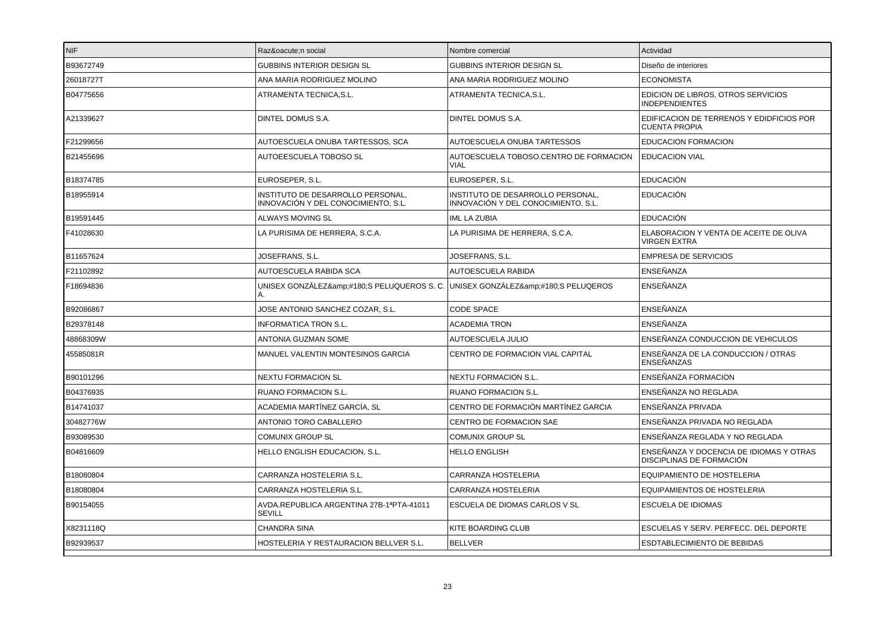| INIF.     | Razón social                                                                     | Nombre comercial                                                         | Actividad                                                           |
|-----------|----------------------------------------------------------------------------------|--------------------------------------------------------------------------|---------------------------------------------------------------------|
| B93672749 | <b>GUBBINS INTERIOR DESIGN SL</b>                                                | <b>GUBBINS INTERIOR DESIGN SL</b>                                        | Diseño de interiores                                                |
| 26018727T | ANA MARIA RODRIGUEZ MOLINO                                                       | ANA MARIA RODRIGUEZ MOLINO                                               | <b>ECONOMISTA</b>                                                   |
| B04775656 | ATRAMENTA TECNICA.S.L.                                                           | ATRAMENTA TECNICA.S.L.                                                   | EDICION DE LIBROS, OTROS SERVICIOS<br><b>INDEPENDIENTES</b>         |
| A21339627 | DINTEL DOMUS S.A.                                                                | DINTEL DOMUS S.A.                                                        | EDIFICACION DE TERRENOS Y EDIDFICIOS POR<br><b>CUENTA PROPIA</b>    |
| F21299656 | AUTOESCUELA ONUBA TARTESSOS, SCA                                                 | AUTOESCUELA ONUBA TARTESSOS                                              | <b>EDUCACION FORMACION</b>                                          |
| B21455696 | AUTOEESCUELA TOBOSO SL                                                           | AUTOESCUELA TOBOSO.CENTRO DE FORMACION<br>VIAL                           | <b>EDUCACION VIAL</b>                                               |
| B18374785 | EUROSEPER, S.L.                                                                  | EUROSEPER, S.L.                                                          | <b>EDUCACIÓN</b>                                                    |
| B18955914 | INSTITUTO DE DESARROLLO PERSONAL,<br>INNOVACIÓN Y DEL CONOCIMIENTO, S.L.         | INSTITUTO DE DESARROLLO PERSONAL,<br>INNOVACIÓN Y DEL CONOCIMIENTO, S.L. | <b>EDUCACIÓN</b>                                                    |
| B19591445 | ALWAYS MOVING SL                                                                 | <b>IML LA ZUBIA</b>                                                      | <b>EDUCACIÓN</b>                                                    |
| F41028630 | LA PURISIMA DE HERRERA, S.C.A.                                                   | LA PURISIMA DE HERRERA, S.C.A.                                           | ELABORACION Y VENTA DE ACEITE DE OLIVA<br><b>VIRGEN EXTRA</b>       |
| B11657624 | JOSEFRANS, S.L.                                                                  | JOSEFRANS, S.L.                                                          | <b>EMPRESA DE SERVICIOS</b>                                         |
| F21102892 | AUTOESCUELA RABIDA SCA                                                           | <b>AUTOESCUELA RABIDA</b>                                                | <b>ENSEÑANZA</b>                                                    |
| F18694836 | UNISEX GONZÁLEZ&:#180:S PELUQUEROS S. C. UNISEX GONZÁLEZ&:#180:S PELUQEROS<br>А. |                                                                          | ENSEÑANZA                                                           |
| B92086867 | JOSE ANTONIO SANCHEZ COZAR, S.L.                                                 | <b>CODE SPACE</b>                                                        | ENSEÑANZA                                                           |
| B29378148 | INFORMATICA TRON S.L.                                                            | <b>ACADEMIA TRON</b>                                                     | ENSEÑANZA                                                           |
| 48868309W | ANTONIA GUZMAN SOME                                                              | AUTOESCUELA JULIO                                                        | ENSEÑANZA CONDUCCION DE VEHICULOS                                   |
| 45585081R | MANUEL VALENTIN MONTESINOS GARCIA                                                | CENTRO DE FORMACION VIAL CAPITAL                                         | ENSEÑANZA DE LA CONDUCCION / OTRAS<br><b>ENSEÑANZAS</b>             |
| B90101296 | <b>NEXTU FORMACION SL</b>                                                        | NEXTU FORMACION S.L.                                                     | ENSEÑANZA FORMACION                                                 |
| B04376935 | <b>RUANO FORMACION S.L.</b>                                                      | RUANO FORMACION S.L.                                                     | ENSEÑANZA NO REGLADA                                                |
| B14741037 | ACADEMIA MARTÍNEZ GARCÍA. SL                                                     | CENTRO DE FORMACIÓN MARTÍNEZ GARCIA                                      | ENSEÑANZA PRIVADA                                                   |
| 30482776W | ANTONIO TORO CABALLERO                                                           | CENTRO DE FORMACION SAE                                                  | ENSEÑANZA PRIVADA NO REGLADA                                        |
| B93089530 | <b>COMUNIX GROUP SL</b>                                                          | <b>COMUNIX GROUP SL</b>                                                  | ENSEÑANZA REGLADA Y NO REGLADA                                      |
| B04816609 | HELLO ENGLISH EDUCACION, S.L.                                                    | <b>HELLO ENGLISH</b>                                                     | ENSEÑANZA Y DOCENCIA DE IDIOMAS Y OTRAS<br>DISCIPLINAS DE FORMACIÓN |
| B18080804 | CARRANZA HOSTELERIA S.L.                                                         | CARRANZA HOSTELERIA                                                      | EQUIPAMIENTO DE HOSTELERIA                                          |
| B18080804 | CARRANZA HOSTELERIA S.L.                                                         | <b>CARRANZA HOSTELERIA</b>                                               | <b>EQUIPAMIENTOS DE HOSTELERIA</b>                                  |
| B90154055 | AVDA.REPUBLICA ARGENTINA 27B-1ªPTA-41011<br><b>SEVILL</b>                        | ESCUELA DE DIOMAS CARLOS V SL                                            | <b>ESCUELA DE IDIOMAS</b>                                           |
| X8231118Q | <b>CHANDRA SINA</b>                                                              | KITE BOARDING CLUB                                                       | ESCUELAS Y SERV. PERFECC. DEL DEPORTE                               |
| B92939537 | HOSTELERIA Y RESTAURACION BELLVER S.L.                                           | <b>BELLVER</b>                                                           | <b>ESDTABLECIMIENTO DE BEBIDAS</b>                                  |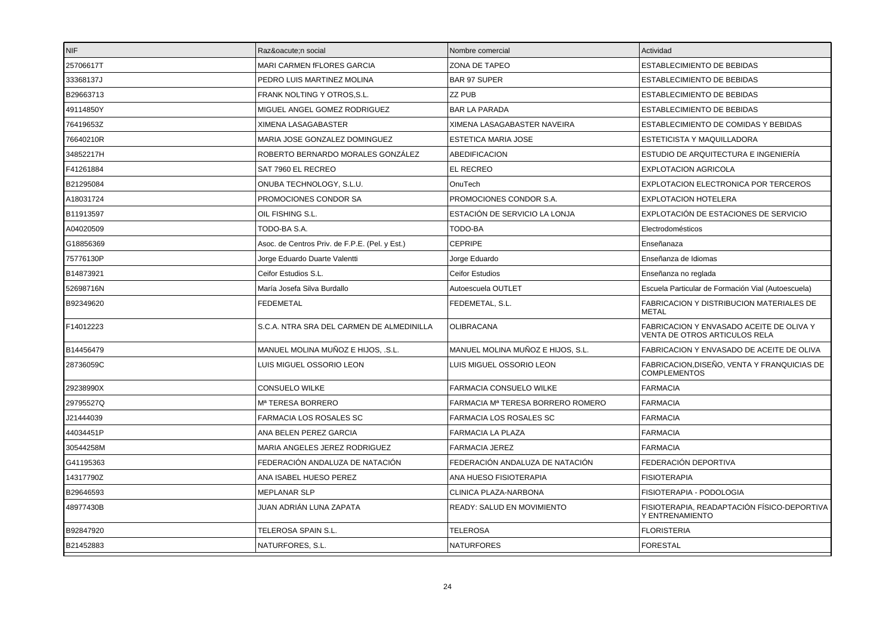| <b>NIF</b> | Razón social                                   | Nombre comercial                  | Actividad                                                                 |
|------------|------------------------------------------------|-----------------------------------|---------------------------------------------------------------------------|
| 25706617T  | <b>MARI CARMEN fFLORES GARCIA</b>              | ZONA DE TAPEO                     | <b>ESTABLECIMIENTO DE BEBIDAS</b>                                         |
| 33368137J  | PEDRO LUIS MARTINEZ MOLINA                     | <b>BAR 97 SUPER</b>               | <b>ESTABLECIMIENTO DE BEBIDAS</b>                                         |
| B29663713  | FRANK NOLTING Y OTROS.S.L.                     | ZZ PUB                            | <b>ESTABLECIMIENTO DE BEBIDAS</b>                                         |
| 49114850Y  | MIGUEL ANGEL GOMEZ RODRIGUEZ                   | <b>BAR LA PARADA</b>              | ESTABLECIMIENTO DE BEBIDAS                                                |
| 76419653Z  | XIMENA LASAGABASTER                            | XIMENA LASAGABASTER NAVEIRA       | ESTABLECIMIENTO DE COMIDAS Y BEBIDAS                                      |
| 76640210R  | MARIA JOSE GONZALEZ DOMINGUEZ                  | <b>ESTETICA MARIA JOSE</b>        | ESTETICISTA Y MAQUILLADORA                                                |
| 34852217H  | ROBERTO BERNARDO MORALES GONZÁLEZ              | <b>ABEDIFICACION</b>              | ESTUDIO DE ARQUITECTURA E INGENIERÍA                                      |
| F41261884  | SAT 7960 EL RECREO                             | EL RECREO                         | <b>EXPLOTACION AGRICOLA</b>                                               |
| B21295084  | ONUBA TECHNOLOGY, S.L.U.                       | OnuTech                           | EXPLOTACION ELECTRONICA POR TERCEROS                                      |
| A18031724  | PROMOCIONES CONDOR SA                          | PROMOCIONES CONDOR S.A.           | <b>EXPLOTACION HOTELERA</b>                                               |
| B11913597  | OIL FISHING S.L.                               | ESTACIÓN DE SERVICIO LA LONJA     | EXPLOTACIÓN DE ESTACIONES DE SERVICIO                                     |
| A04020509  | TODO-BA S.A.                                   | TODO-BA                           | Electrodomésticos                                                         |
| G18856369  | Asoc. de Centros Priv. de F.P.E. (Pel. y Est.) | <b>CEPRIPE</b>                    | Enseñanaza                                                                |
| 75776130P  | Jorge Eduardo Duarte Valentti                  | Jorge Eduardo                     | Enseñanza de Idiomas                                                      |
| B14873921  | Ceifor Estudios S.L.                           | Ceifor Estudios                   | Enseñanza no reglada                                                      |
| 52698716N  | María Josefa Silva Burdallo                    | Autoescuela OUTLET                | Escuela Particular de Formación Vial (Autoescuela)                        |
| B92349620  | <b>FEDEMETAL</b>                               | FEDEMETAL, S.L.                   | <b>FABRICACION Y DISTRIBUCION MATERIALES DE</b><br><b>METAL</b>           |
| F14012223  | S.C.A. NTRA SRA DEL CARMEN DE ALMEDINILLA      | <b>OLIBRACANA</b>                 | FABRICACION Y ENVASADO ACEITE DE OLIVA Y<br>VENTA DE OTROS ARTICULOS RELA |
| B14456479  | MANUEL MOLINA MUÑOZ E HIJOS, .S.L.             | MANUEL MOLINA MUÑOZ E HIJOS, S.L. | FABRICACION Y ENVASADO DE ACEITE DE OLIVA                                 |
| 28736059C  | LUIS MIGUEL OSSORIO LEON                       | LUIS MIGUEL OSSORIO LEON          | FABRICACION, DISEÑO, VENTA Y FRANQUICIAS DE<br><b>COMPLEMENTOS</b>        |
| 29238990X  | <b>CONSUELO WILKE</b>                          | <b>FARMACIA CONSUELO WILKE</b>    | <b>FARMACIA</b>                                                           |
| 29795527Q  | M <sup>a</sup> TERESA BORRERO                  | FARMACIA Mª TERESA BORRERO ROMERO | <b>FARMACIA</b>                                                           |
| J21444039  | <b>FARMACIA LOS ROSALES SC</b>                 | <b>FARMACIA LOS ROSALES SC</b>    | <b>FARMACIA</b>                                                           |
| 44034451P  | ANA BELEN PEREZ GARCIA                         | FARMACIA LA PLAZA                 | <b>FARMACIA</b>                                                           |
| 30544258M  | MARIA ANGELES JEREZ RODRIGUEZ                  | <b>FARMACIA JEREZ</b>             | <b>FARMACIA</b>                                                           |
| G41195363  | FEDERACIÓN ANDALUZA DE NATACIÓN                | FEDERACIÓN ANDALUZA DE NATACIÓN   | FEDERACIÓN DEPORTIVA                                                      |
| 14317790Z  | ANA ISABEL HUESO PEREZ                         | ANA HUESO FISIOTERAPIA            | <b>FISIOTERAPIA</b>                                                       |
| B29646593  | <b>MEPLANAR SLP</b>                            | CLINICA PLAZA-NARBONA             | FISIOTERAPIA - PODOLOGIA                                                  |
| 48977430B  | JUAN ADRIÁN LUNA ZAPATA                        | <b>READY: SALUD EN MOVIMIENTO</b> | FISIOTERAPIA, READAPTACIÓN FÍSICO-DEPORTIVA<br>Y ENTRENAMIENTO            |
| B92847920  | TELEROSA SPAIN S.L.                            | <b>TELEROSA</b>                   | <b>FLORISTERIA</b>                                                        |
| B21452883  | NATURFORES, S.L.                               | <b>NATURFORES</b>                 | <b>FORESTAL</b>                                                           |
|            |                                                |                                   |                                                                           |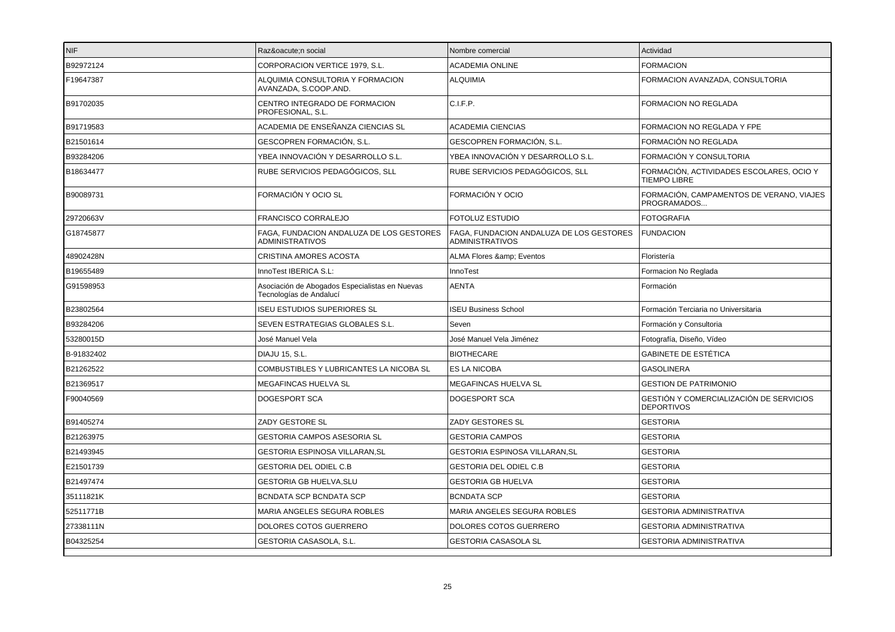| NIF        | Razón social                                                              | Nombre comercial                                                   | Actividad                                                           |
|------------|---------------------------------------------------------------------------|--------------------------------------------------------------------|---------------------------------------------------------------------|
| B92972124  | CORPORACION VERTICE 1979, S.L.                                            | <b>ACADEMIA ONLINE</b>                                             | <b>FORMACION</b>                                                    |
| F19647387  | ALQUIMIA CONSULTORIA Y FORMACION<br>AVANZADA, S.COOP.AND.                 | <b>ALQUIMIA</b>                                                    | FORMACION AVANZADA, CONSULTORIA                                     |
| B91702035  | CENTRO INTEGRADO DE FORMACION<br>PROFESIONAL, S.L.                        | C.I.F.P.                                                           | FORMACION NO REGLADA                                                |
| B91719583  | ACADEMIA DE ENSEÑANZA CIENCIAS SL                                         | <b>ACADEMIA CIENCIAS</b>                                           | FORMACION NO REGLADA Y FPE                                          |
| B21501614  | GESCOPREN FORMACIÓN, S.L.                                                 | GESCOPREN FORMACIÓN, S.L.                                          | FORMACIÓN NO REGLADA                                                |
| B93284206  | YBEA INNOVACIÓN Y DESARROLLO S.L.                                         | YBEA INNOVACIÓN Y DESARROLLO S.L.                                  | FORMACIÓN Y CONSULTORIA                                             |
| B18634477  | RUBE SERVICIOS PEDAGÓGICOS, SLL                                           | RUBE SERVICIOS PEDAGÓGICOS, SLL                                    | FORMACIÓN, ACTIVIDADES ESCOLARES, OCIO Y<br><b>TIEMPO LIBRE</b>     |
| B90089731  | FORMACIÓN Y OCIO SL                                                       | FORMACIÓN Y OCIO                                                   | FORMACIÓN, CAMPAMENTOS DE VERANO, VIAJES<br>PROGRAMADOS             |
| 29720663V  | FRANCISCO CORRALEJO                                                       | FOTOLUZ ESTUDIO                                                    | <b>FOTOGRAFIA</b>                                                   |
| G18745877  | FAGA. FUNDACION ANDALUZA DE LOS GESTORES<br><b>ADMINISTRATIVOS</b>        | FAGA. FUNDACION ANDALUZA DE LOS GESTORES<br><b>ADMINISTRATIVOS</b> | <b>FUNDACION</b>                                                    |
| 48902428N  | CRISTINA AMORES ACOSTA                                                    | ALMA Flores & Eventos                                              | Floristería                                                         |
| B19655489  | InnoTest IBERICA S.L:                                                     | InnoTest                                                           | Formacion No Reglada                                                |
| G91598953  | Asociación de Abogados Especialistas en Nuevas<br>Tecnologías de Andalucí | <b>AENTA</b>                                                       | Formación                                                           |
| B23802564  | <b>ISEU ESTUDIOS SUPERIORES SL</b>                                        | <b>ISEU Business School</b>                                        | Formación Terciaria no Universitaria                                |
| B93284206  | SEVEN ESTRATEGIAS GLOBALES S.L.                                           | Seven                                                              | Formación y Consultoria                                             |
| 53280015D  | José Manuel Vela                                                          | José Manuel Vela Jiménez                                           | Fotografía, Diseño, Vídeo                                           |
| B-91832402 | <b>DIAJU 15, S.L.</b>                                                     | <b>BIOTHECARE</b>                                                  | <b>GABINETE DE ESTÉTICA</b>                                         |
| B21262522  | COMBUSTIBLES Y LUBRICANTES LA NICOBA SL                                   | <b>ES LA NICOBA</b>                                                | <b>GASOLINERA</b>                                                   |
| B21369517  | MEGAFINCAS HUELVA SL                                                      | MEGAFINCAS HUELVA SL                                               | <b>GESTION DE PATRIMONIO</b>                                        |
| F90040569  | DOGESPORT SCA                                                             | DOGESPORT SCA                                                      | <b>GESTIÓN Y COMERCIALIZACIÓN DE SERVICIOS</b><br><b>DEPORTIVOS</b> |
| B91405274  | ZADY GESTORE SL                                                           | <b>ZADY GESTORES SL</b>                                            | <b>GESTORIA</b>                                                     |
| B21263975  | GESTORIA CAMPOS ASESORIA SL                                               | <b>GESTORIA CAMPOS</b>                                             | <b>GESTORIA</b>                                                     |
| B21493945  | GESTORIA ESPINOSA VILLARAN,SL                                             | GESTORIA ESPINOSA VILLARAN, SL                                     | <b>GESTORIA</b>                                                     |
| E21501739  | <b>GESTORIA DEL ODIEL C.B</b>                                             | <b>GESTORIA DEL ODIEL C.B</b>                                      | <b>GESTORIA</b>                                                     |
| B21497474  | <b>GESTORIA GB HUELVA, SLU</b>                                            | <b>GESTORIA GB HUELVA</b>                                          | <b>GESTORIA</b>                                                     |
| 35111821K  | BCNDATA SCP BCNDATA SCP                                                   | <b>BCNDATA SCP</b>                                                 | <b>GESTORIA</b>                                                     |
| 52511771B  | MARIA ANGELES SEGURA ROBLES                                               | MARIA ANGELES SEGURA ROBLES                                        | <b>GESTORIA ADMINISTRATIVA</b>                                      |
| 27338111N  | DOLORES COTOS GUERRERO                                                    | DOLORES COTOS GUERRERO                                             | <b>GESTORIA ADMINISTRATIVA</b>                                      |
| B04325254  | GESTORIA CASASOLA, S.L.                                                   | <b>GESTORIA CASASOLA SL</b>                                        | <b>GESTORIA ADMINISTRATIVA</b>                                      |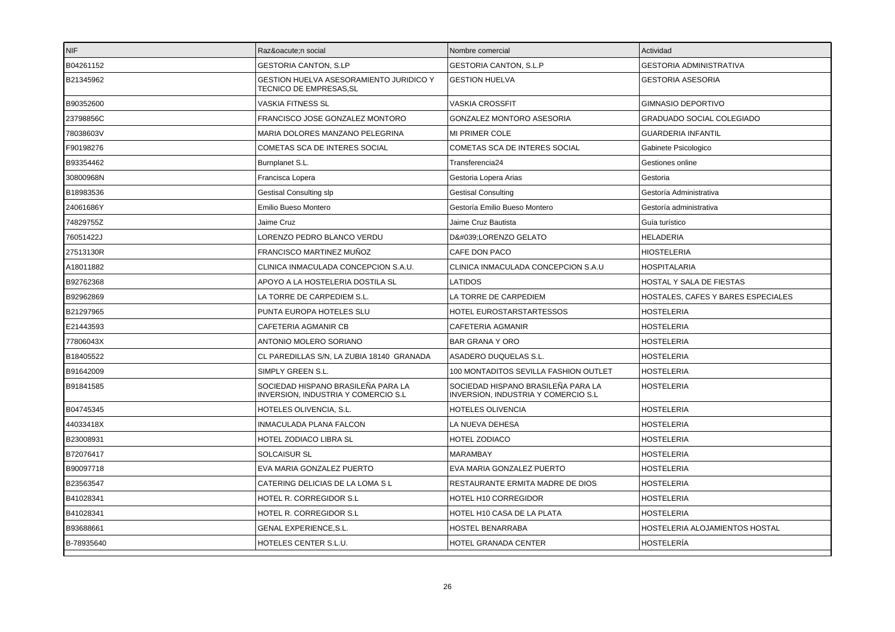| <b>NIF</b> | Razón social                                                              | Nombre comercial                                                                 | Actividad                          |
|------------|---------------------------------------------------------------------------|----------------------------------------------------------------------------------|------------------------------------|
| B04261152  | <b>GESTORIA CANTON, S.LP</b>                                              | <b>GESTORIA CANTON, S.L.P</b>                                                    | <b>GESTORIA ADMINISTRATIVA</b>     |
| B21345962  | GESTION HUELVA ASESORAMIENTO JURIDICO Y<br>TECNICO DE EMPRESAS, SL        | <b>GESTION HUELVA</b>                                                            | <b>GESTORIA ASESORIA</b>           |
| B90352600  | VASKIA FITNESS SL                                                         | <b>VASKIA CROSSFIT</b>                                                           | <b>GIMNASIO DEPORTIVO</b>          |
| 23798856C  | FRANCISCO JOSE GONZALEZ MONTORO                                           | GONZALEZ MONTORO ASESORIA                                                        | GRADUADO SOCIAL COLEGIADO          |
| 78038603V  | MARIA DOLORES MANZANO PELEGRINA                                           | <b>MI PRIMER COLE</b>                                                            | <b>GUARDERIA INFANTIL</b>          |
| F90198276  | COMETAS SCA DE INTERES SOCIAL                                             | COMETAS SCA DE INTERES SOCIAL                                                    | Gabinete Psicologico               |
| B93354462  | Burnplanet S.L.                                                           | Transferencia24                                                                  | Gestiones online                   |
| 30800968N  | Francisca Lopera                                                          | Gestoria Lopera Arias                                                            | Gestoria                           |
| B18983536  | <b>Gestisal Consulting slp</b>                                            | <b>Gestisal Consulting</b>                                                       | Gestoría Administrativa            |
| 24061686Y  | Emilio Bueso Montero                                                      | Gestoría Emilio Bueso Montero                                                    | Gestoría administrativa            |
| 74829755Z  | Jaime Cruz                                                                | Jaime Cruz Bautista                                                              | Guía turístico                     |
| 76051422J  | LORENZO PEDRO BLANCO VERDU                                                | D':LORENZO GELATO                                                                | <b>HELADERIA</b>                   |
| 27513130R  | FRANCISCO MARTINEZ MUÑOZ                                                  | CAFE DON PACO                                                                    | <b>HIOSTELERIA</b>                 |
| A18011882  | CLINICA INMACULADA CONCEPCION S.A.U.                                      | CLINICA INMACULADA CONCEPCION S.A.U                                              | <b>HOSPITALARIA</b>                |
| B92762368  | APOYO A LA HOSTELERIA DOSTILA SL                                          | LATIDOS                                                                          | HOSTAL Y SALA DE FIESTAS           |
| B92962869  | LA TORRE DE CARPEDIEM S.L.                                                | LA TORRE DE CARPEDIEM                                                            | HOSTALES, CAFES Y BARES ESPECIALES |
| B21297965  | PUNTA EUROPA HOTELES SLU                                                  | HOTEL EUROSTARSTARTESSOS                                                         | <b>HOSTELERIA</b>                  |
| E21443593  | CAFETERIA AGMANIR CB                                                      | CAFETERIA AGMANIR                                                                | <b>HOSTELERIA</b>                  |
| 77806043X  | ANTONIO MOLERO SORIANO                                                    | <b>BAR GRANA Y ORO</b>                                                           | <b>HOSTELERIA</b>                  |
| B18405522  | CL PAREDILLAS S/N, LA ZUBIA 18140 GRANADA                                 | ASADERO DUQUELAS S.L.                                                            | <b>HOSTELERIA</b>                  |
| B91642009  | SIMPLY GREEN S.L.                                                         | 100 MONTADITOS SEVILLA FASHION OUTLET                                            | <b>HOSTELERIA</b>                  |
| B91841585  | SOCIEDAD HISPANO BRASILEÑA PARA LA<br>INVERSION, INDUSTRIA Y COMERCIO S.L | SOCIEDAD HISPANO BRASILEÑA PARA LA<br><b>INVERSION, INDUSTRIA Y COMERCIO S.L</b> | <b>HOSTELERIA</b>                  |
| B04745345  | HOTELES OLIVENCIA, S.L.                                                   | HOTELES OLIVENCIA                                                                | <b>HOSTELERIA</b>                  |
| 44033418X  | INMACULADA PLANA FALCON                                                   | LA NUEVA DEHESA                                                                  | <b>HOSTELERIA</b>                  |
| B23008931  | HOTEL ZODIACO LIBRA SL                                                    | <b>HOTEL ZODIACO</b>                                                             | <b>HOSTELERIA</b>                  |
| B72076417  | <b>SOLCAISUR SL</b>                                                       | MARAMBAY                                                                         | <b>HOSTELERIA</b>                  |
| B90097718  | EVA MARIA GONZALEZ PUERTO                                                 | EVA MARIA GONZALEZ PUERTO                                                        | <b>HOSTELERIA</b>                  |
| B23563547  | CATERING DELICIAS DE LA LOMA S L                                          | RESTAURANTE ERMITA MADRE DE DIOS                                                 | <b>HOSTELERIA</b>                  |
| B41028341  | HOTEL R. CORREGIDOR S.L                                                   | HOTEL H10 CORREGIDOR                                                             | <b>HOSTELERIA</b>                  |
| B41028341  | HOTEL R. CORREGIDOR S.L                                                   | HOTEL H10 CASA DE LA PLATA                                                       | <b>HOSTELERIA</b>                  |
| B93688661  | GENAL EXPERIENCE, S.L.                                                    | HOSTEL BENARRABA                                                                 | HOSTELERIA ALOJAMIENTOS HOSTAL     |
| B-78935640 | HOTELES CENTER S.L.U.                                                     | <b>HOTEL GRANADA CENTER</b>                                                      | <b>HOSTELERÍA</b>                  |
|            |                                                                           |                                                                                  |                                    |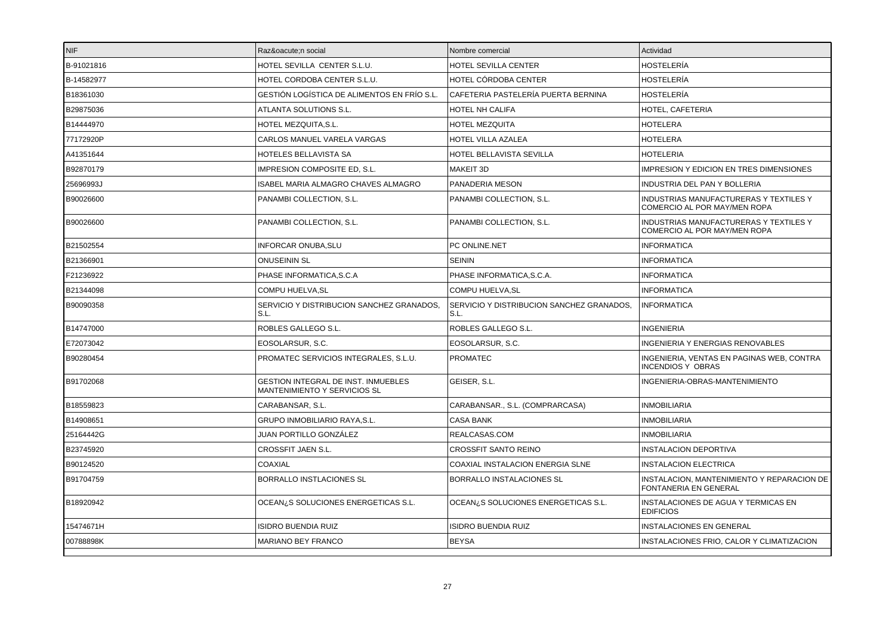| <b>NIF</b> | Razón social                                                        | Nombre comercial                                  | Actividad                                                              |
|------------|---------------------------------------------------------------------|---------------------------------------------------|------------------------------------------------------------------------|
| B-91021816 | HOTEL SEVILLA CENTER S.L.U.                                         | HOTEL SEVILLA CENTER                              | <b>HOSTELERÍA</b>                                                      |
| B-14582977 | HOTEL CORDOBA CENTER S.L.U.                                         | HOTEL CÓRDOBA CENTER                              | <b>HOSTELERÍA</b>                                                      |
| B18361030  | GESTIÓN LOGÍSTICA DE ALIMENTOS EN FRÍO S.L.                         | CAFETERIA PASTELERÍA PUERTA BERNINA               | <b>HOSTELERÍA</b>                                                      |
| B29875036  | ATLANTA SOLUTIONS S.L.                                              | HOTEL NH CALIFA                                   | HOTEL, CAFETERIA                                                       |
| B14444970  | HOTEL MEZQUITA, S.L.                                                | HOTEL MEZQUITA                                    | <b>HOTELERA</b>                                                        |
| 77172920P  | CARLOS MANUEL VARELA VARGAS                                         | HOTEL VILLA AZALEA                                | <b>HOTELERA</b>                                                        |
| A41351644  | HOTELES BELLAVISTA SA                                               | HOTEL BELLAVISTA SEVILLA                          | <b>HOTELERIA</b>                                                       |
| B92870179  | IMPRESION COMPOSITE ED, S.L.                                        | MAKEIT 3D                                         | <b>IMPRESION Y EDICION EN TRES DIMENSIONES</b>                         |
| 25696993J  | ISABEL MARIA ALMAGRO CHAVES ALMAGRO                                 | PANADERIA MESON                                   | INDUSTRIA DEL PAN Y BOLLERIA                                           |
| B90026600  | PANAMBI COLLECTION, S.L.                                            | PANAMBI COLLECTION, S.L.                          | INDUSTRIAS MANUFACTURERAS Y TEXTILES Y<br>COMERCIO AL POR MAY/MEN ROPA |
| B90026600  | PANAMBI COLLECTION, S.L.                                            | PANAMBI COLLECTION, S.L.                          | INDUSTRIAS MANUFACTURERAS Y TEXTILES Y<br>COMERCIO AL POR MAY/MEN ROPA |
| B21502554  | <b>INFORCAR ONUBA, SLU</b>                                          | PC ONLINE.NET                                     | <b>INFORMATICA</b>                                                     |
| B21366901  | <b>ONUSEININ SL</b>                                                 | <b>SEININ</b>                                     | <b>INFORMATICA</b>                                                     |
| F21236922  | PHASE INFORMATICA, S.C.A                                            | PHASE INFORMATICA, S.C.A.                         | <b>INFORMATICA</b>                                                     |
| B21344098  | <b>COMPU HUELVA.SL</b>                                              | <b>COMPU HUELVA.SL</b>                            | <b>INFORMATICA</b>                                                     |
| B90090358  | SERVICIO Y DISTRIBUCION SANCHEZ GRANADOS,<br>S.L.                   | SERVICIO Y DISTRIBUCION SANCHEZ GRANADOS,<br>S.L. | <b>INFORMATICA</b>                                                     |
| B14747000  | ROBLES GALLEGO S.L.                                                 | ROBLES GALLEGO S.L.                               | INGENIERIA                                                             |
| E72073042  | EOSOLARSUR, S.C.                                                    | EOSOLARSUR, S.C.                                  | <b>INGENIERIA Y ENERGIAS RENOVABLES</b>                                |
| B90280454  | PROMATEC SERVICIOS INTEGRALES, S.L.U.                               | <b>PROMATEC</b>                                   | INGENIERIA, VENTAS EN PAGINAS WEB, CONTRA<br><b>INCENDIOS Y OBRAS</b>  |
| B91702068  | GESTION INTEGRAL DE INST. INMUEBLES<br>MANTENIMIENTO Y SERVICIOS SL | GEISER, S.L.                                      | INGENIERIA-OBRAS-MANTENIMIENTO                                         |
| B18559823  | CARABANSAR, S.L.                                                    | CARABANSAR., S.L. (COMPRARCASA)                   | <b>INMOBILIARIA</b>                                                    |
| B14908651  | <b>GRUPO INMOBILIARIO RAYA.S.L.</b>                                 | <b>CASA BANK</b>                                  | <b>INMOBILIARIA</b>                                                    |
| 25164442G  | JUAN PORTILLO GONZÁLEZ                                              | REALCASAS.COM                                     | <b>INMOBILIARIA</b>                                                    |
| B23745920  | CROSSFIT JAEN S.L.                                                  | CROSSFIT SANTO REINO                              | <b>INSTALACION DEPORTIVA</b>                                           |
| B90124520  | COAXIAL                                                             | COAXIAL INSTALACION ENERGIA SLNE                  | <b>INSTALACION ELECTRICA</b>                                           |
| B91704759  | BORRALLO INSTLACIONES SL                                            | BORRALLO INSTALACIONES SL                         | INSTALACION, MANTENIMIENTO Y REPARACION DE<br>FONTANERIA EN GENERAL    |
| B18920942  | OCEAN <sub>i</sub> S SOLUCIONES ENERGETICAS S.L.                    | OCEAN <sub>i</sub> S SOLUCIONES ENERGETICAS S.L.  | INSTALACIONES DE AGUA Y TERMICAS EN<br><b>EDIFICIOS</b>                |
| 15474671H  | <b>ISIDRO BUENDIA RUIZ</b>                                          | ISIDRO BUENDIA RUIZ                               | <b>INSTALACIONES EN GENERAL</b>                                        |
| 00788898K  | <b>MARIANO BEY FRANCO</b>                                           | <b>BEYSA</b>                                      | INSTALACIONES FRIO, CALOR Y CLIMATIZACION                              |
|            |                                                                     |                                                   |                                                                        |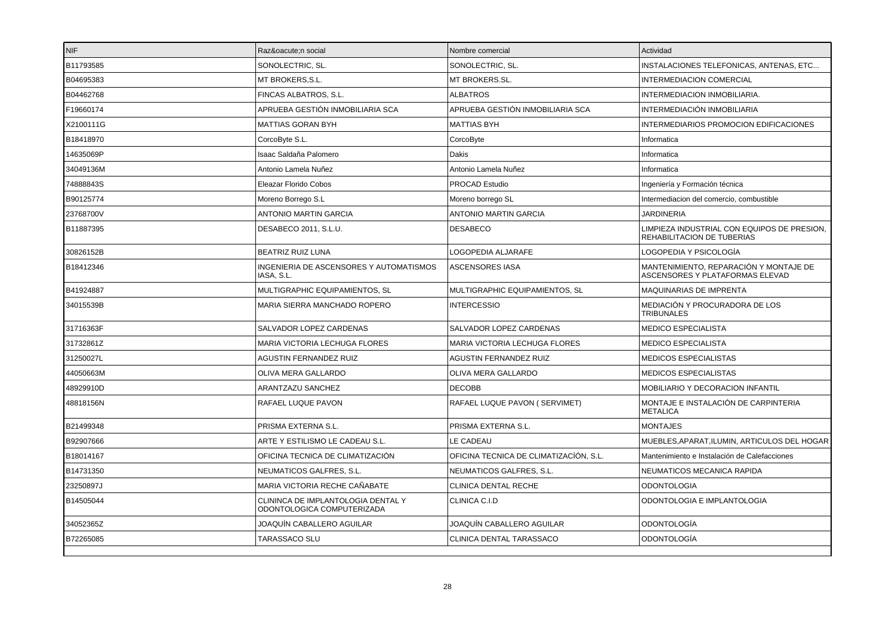| <b>NIF</b> | Razón social                                                     | Nombre comercial                       | Actividad                                                                 |
|------------|------------------------------------------------------------------|----------------------------------------|---------------------------------------------------------------------------|
| B11793585  | SONOLECTRIC, SL.                                                 | SONOLECTRIC, SL.                       | INSTALACIONES TELEFONICAS, ANTENAS, ETC                                   |
| B04695383  | MT BROKERS, S.L.                                                 | MT BROKERS.SL.                         | <b>INTERMEDIACION COMERCIAL</b>                                           |
| B04462768  | FINCAS ALBATROS, S.L.                                            | <b>ALBATROS</b>                        | INTERMEDIACION INMOBILIARIA.                                              |
| F19660174  | APRUEBA GESTIÓN INMOBILIARIA SCA                                 | APRUEBA GESTIÓN INMOBILIARIA SCA       | INTERMEDIACIÓN INMOBILIARIA                                               |
| X2100111G  | <b>MATTIAS GORAN BYH</b>                                         | <b>MATTIAS BYH</b>                     | <b>INTERMEDIARIOS PROMOCION EDIFICACIONES</b>                             |
| B18418970  | CorcoByte S.L.                                                   | CorcoByte                              | Informatica                                                               |
| 14635069P  | Isaac Saldaña Palomero                                           | Dakis                                  | Informatica                                                               |
| 34049136M  | Antonio Lamela Nuñez                                             | Antonio Lamela Nuñez                   | Informatica                                                               |
| 74888843S  | Eleazar Florido Cobos                                            | PROCAD Estudio                         | Ingeniería y Formación técnica                                            |
| B90125774  | Moreno Borrego S.L                                               | Moreno borrego SL                      | Intermediacion del comercio, combustible                                  |
| 23768700V  | <b>ANTONIO MARTIN GARCIA</b>                                     | ANTONIO MARTIN GARCIA                  | <b>JARDINERIA</b>                                                         |
| B11887395  | DESABECO 2011, S.L.U.                                            | <b>DESABECO</b>                        | LIMPIEZA INDUSTRIAL CON EQUIPOS DE PRESION,<br>REHABILITACION DE TUBERIAS |
| 30826152B  | <b>BEATRIZ RUIZ LUNA</b>                                         | LOGOPEDIA ALJARAFE                     | LOGOPEDIA Y PSICOLOGÍA                                                    |
| B18412346  | INGENIERIA DE ASCENSORES Y AUTOMATISMOS<br>IASA, S.L.            | <b>ASCENSORES IASA</b>                 | MANTENIMIENTO, REPARACIÓN Y MONTAJE DE<br>ASCENSORES Y PLATAFORMAS ELEVAD |
| B41924887  | MULTIGRAPHIC EQUIPAMIENTOS, SL                                   | MULTIGRAPHIC EQUIPAMIENTOS, SL         | MAQUINARIAS DE IMPRENTA                                                   |
| 34015539B  | MARIA SIERRA MANCHADO ROPERO                                     | <b>INTERCESSIO</b>                     | MEDIACIÓN Y PROCURADORA DE LOS<br><b>TRIBUNALES</b>                       |
| 31716363F  | SALVADOR LOPEZ CARDENAS                                          | SALVADOR LOPEZ CARDENAS                | <b>MEDICO ESPECIALISTA</b>                                                |
| 31732861Z  | MARIA VICTORIA LECHUGA FLORES                                    | MARIA VICTORIA LECHUGA FLORES          | <b>MEDICO ESPECIALISTA</b>                                                |
| 31250027L  | <b>AGUSTIN FERNANDEZ RUIZ</b>                                    | <b>AGUSTIN FERNANDEZ RUIZ</b>          | MEDICOS ESPECIALISTAS                                                     |
| 44050663M  | OLIVA MERA GALLARDO                                              | OLIVA MERA GALLARDO                    | <b>MEDICOS ESPECIALISTAS</b>                                              |
| 48929910D  | ARANTZAZU SANCHEZ                                                | <b>DECOBB</b>                          | <b>MOBILIARIO Y DECORACION INFANTIL</b>                                   |
| 48818156N  | RAFAEL LUQUE PAVON                                               | RAFAEL LUQUE PAVON ( SERVIMET)         | MONTAJE E INSTALACIÓN DE CARPINTERIA<br><b>METALICA</b>                   |
| B21499348  | PRISMA EXTERNA S.L.                                              | PRISMA EXTERNA S.L.                    | <b>MONTAJES</b>                                                           |
| B92907666  | ARTE Y ESTILISMO LE CADEAU S.L.                                  | LE CADEAU                              | MUEBLES.APARAT.ILUMIN. ARTICULOS DEL HOGAR                                |
| B18014167  | OFICINA TECNICA DE CLIMATIZACIÓN                                 | OFICINA TECNICA DE CLIMATIZACIÓN, S.L. | Mantenimiento e Instalación de Calefacciones                              |
| B14731350  | NEUMATICOS GALFRES, S.L.                                         | NEUMATICOS GALFRES, S.L.               | NEUMATICOS MECANICA RAPIDA                                                |
| 23250897J  | MARIA VICTORIA RECHE CAÑABATE                                    | CLINICA DENTAL RECHE                   | <b>ODONTOLOGIA</b>                                                        |
| B14505044  | CLININCA DE IMPLANTOLOGIA DENTAL Y<br>ODONTOLOGICA COMPUTERIZADA | CLINICA C.I.D                          | ODONTOLOGIA E IMPLANTOLOGIA                                               |
| 34052365Z  | JOAQUÍN CABALLERO AGUILAR                                        | JOAQUÍN CABALLERO AGUILAR              | ODONTOLOGÍA                                                               |
| B72265085  | TARASSACO SLU                                                    | CLINICA DENTAL TARASSACO               | ODONTOLOGÍA                                                               |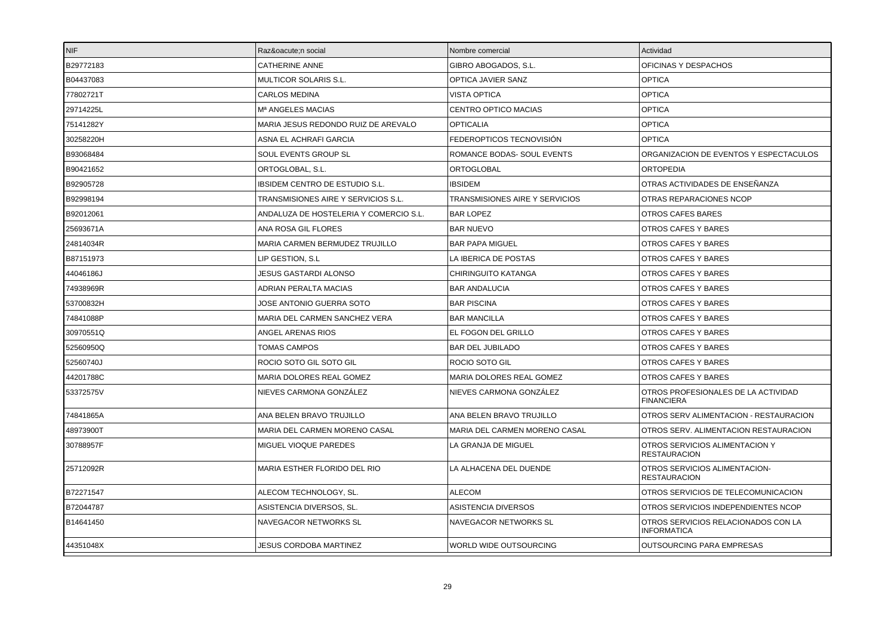| <b>NIF</b> | Razón social                           | Nombre comercial               | Actividad                                                 |
|------------|----------------------------------------|--------------------------------|-----------------------------------------------------------|
| B29772183  | <b>CATHERINE ANNE</b>                  | GIBRO ABOGADOS, S.L.           | OFICINAS Y DESPACHOS                                      |
| B04437083  | MULTICOR SOLARIS S.L.                  | OPTICA JAVIER SANZ             | <b>OPTICA</b>                                             |
| 77802721T  | <b>CARLOS MEDINA</b>                   | <b>VISTA OPTICA</b>            | <b>OPTICA</b>                                             |
| 29714225L  | M <sup>a</sup> ANGELES MACIAS          | CENTRO OPTICO MACIAS           | <b>OPTICA</b>                                             |
| 75141282Y  | MARIA JESUS REDONDO RUIZ DE AREVALO    | <b>OPTICALIA</b>               | <b>OPTICA</b>                                             |
| 30258220H  | ASNA EL ACHRAFI GARCIA                 | FEDEROPTICOS TECNOVISIÓN       | <b>OPTICA</b>                                             |
| B93068484  | SOUL EVENTS GROUP SL                   | ROMANCE BODAS- SOUL EVENTS     | ORGANIZACION DE EVENTOS Y ESPECTACULOS                    |
| B90421652  | ORTOGLOBAL, S.L.                       | ORTOGLOBAL                     | <b>ORTOPEDIA</b>                                          |
| B92905728  | IBSIDEM CENTRO DE ESTUDIO S.L.         | <b>IBSIDEM</b>                 | OTRAS ACTIVIDADES DE ENSEÑANZA                            |
| B92998194  | TRANSMISIONES AIRE Y SERVICIOS S.L.    | TRANSMISIONES AIRE Y SERVICIOS | OTRAS REPARACIONES NCOP                                   |
| B92012061  | ANDALUZA DE HOSTELERIA Y COMERCIO S.L. | <b>BAR LOPEZ</b>               | <b>OTROS CAFES BARES</b>                                  |
| 25693671A  | ANA ROSA GIL FLORES                    | <b>BAR NUEVO</b>               | OTROS CAFES Y BARES                                       |
| 24814034R  | <b>MARIA CARMEN BERMUDEZ TRUJILLO</b>  | <b>BAR PAPA MIGUEL</b>         | OTROS CAFES Y BARES                                       |
| B87151973  | LIP GESTION, S.L                       | LA IBERICA DE POSTAS           | OTROS CAFES Y BARES                                       |
| 44046186J  | JESUS GASTARDI ALONSO                  | <b>CHIRINGUITO KATANGA</b>     | OTROS CAFES Y BARES                                       |
| 74938969R  | ADRIAN PERALTA MACIAS                  | <b>BAR ANDALUCIA</b>           | OTROS CAFES Y BARES                                       |
| 53700832H  | JOSE ANTONIO GUERRA SOTO               | <b>BAR PISCINA</b>             | OTROS CAFES Y BARES                                       |
| 74841088P  | MARIA DEL CARMEN SANCHEZ VERA          | <b>BAR MANCILLA</b>            | OTROS CAFES Y BARES                                       |
| 30970551Q  | ANGEL ARENAS RIOS                      | EL FOGON DEL GRILLO            | OTROS CAFES Y BARES                                       |
| 52560950Q  | <b>TOMAS CAMPOS</b>                    | <b>BAR DEL JUBILADO</b>        | OTROS CAFES Y BARES                                       |
| 52560740J  | ROCIO SOTO GIL SOTO GIL                | ROCIO SOTO GIL                 | OTROS CAFES Y BARES                                       |
| 44201788C  | MARIA DOLORES REAL GOMEZ               | MARIA DOLORES REAL GOMEZ       | OTROS CAFES Y BARES                                       |
| 53372575V  | NIEVES CARMONA GONZÁLEZ                | NIEVES CARMONA GONZALEZ        | OTROS PROFESIONALES DE LA ACTIVIDAD<br><b>FINANCIERA</b>  |
| 74841865A  | ANA BELEN BRAVO TRUJILLO               | ANA BELEN BRAVO TRUJILLO       | OTROS SERV ALIMENTACION - RESTAURACION                    |
| 48973900T  | MARIA DEL CARMEN MORENO CASAL          | MARIA DEL CARMEN MORENO CASAL  | OTROS SERV. ALIMENTACION RESTAURACION                     |
| 30788957F  | MIGUEL VIOQUE PAREDES                  | LA GRANJA DE MIGUEL            | OTROS SERVICIOS ALIMENTACION Y<br><b>RESTAURACION</b>     |
| 25712092R  | MARIA ESTHER FLORIDO DEL RIO           | LA ALHACENA DEL DUENDE         | OTROS SERVICIOS ALIMENTACION-<br><b>RESTAURACION</b>      |
| B72271547  | ALECOM TECHNOLOGY, SL.                 | <b>ALECOM</b>                  | OTROS SERVICIOS DE TELECOMUNICACION                       |
| B72044787  | ASISTENCIA DIVERSOS, SL.               | ASISTENCIA DIVERSOS            | OTROS SERVICIOS INDEPENDIENTES NCOP                       |
| B14641450  | NAVEGACOR NETWORKS SL                  | NAVEGACOR NETWORKS SL          | OTROS SERVICIOS RELACIONADOS CON LA<br><b>INFORMATICA</b> |
| 44351048X  | <b>JESUS CORDOBA MARTINEZ</b>          | WORLD WIDE OUTSOURCING         | <b>OUTSOURCING PARA EMPRESAS</b>                          |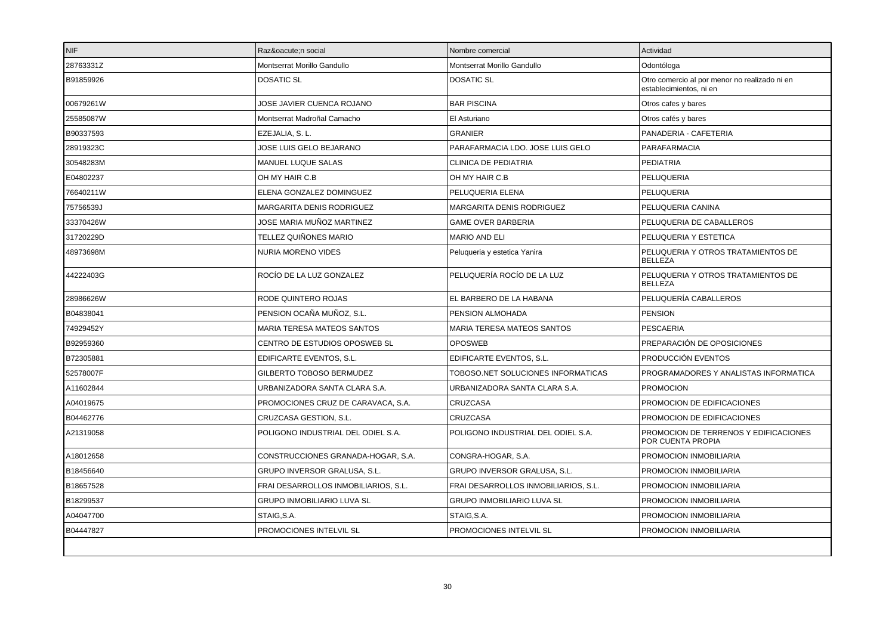| <b>NIF</b> | Razón social                         | Nombre comercial                     | Actividad                                                                |
|------------|--------------------------------------|--------------------------------------|--------------------------------------------------------------------------|
| 28763331Z  | Montserrat Morillo Gandullo          | Montserrat Morillo Gandullo          | Odontóloga                                                               |
| B91859926  | <b>DOSATIC SL</b>                    | <b>DOSATIC SL</b>                    | Otro comercio al por menor no realizado ni en<br>establecimientos, ni en |
| 00679261W  | JOSE JAVIER CUENCA ROJANO            | <b>BAR PISCINA</b>                   | Otros cafes y bares                                                      |
| 25585087W  | Montserrat Madroñal Camacho          | El Asturiano                         | Otros cafés y bares                                                      |
| B90337593  | EZEJALIA, S. L.                      | <b>GRANIER</b>                       | PANADERIA - CAFETERIA                                                    |
| 28919323C  | JOSE LUIS GELO BEJARANO              | PARAFARMACIA LDO. JOSE LUIS GELO     | PARAFARMACIA                                                             |
| 30548283M  | MANUEL LUQUE SALAS                   | <b>CLINICA DE PEDIATRIA</b>          | <b>PEDIATRIA</b>                                                         |
| E04802237  | OH MY HAIR C.B                       | OH MY HAIR C.B                       | PELUQUERIA                                                               |
| 76640211W  | ELENA GONZALEZ DOMINGUEZ             | PELUQUERIA ELENA                     | PELUQUERIA                                                               |
| 75756539J  | MARGARITA DENIS RODRIGUEZ            | MARGARITA DENIS RODRIGUEZ            | PELUQUERIA CANINA                                                        |
| 33370426W  | JOSE MARIA MUÑOZ MARTINEZ            | <b>GAME OVER BARBERIA</b>            | PELUQUERIA DE CABALLEROS                                                 |
| 31720229D  | TELLEZ QUIÑONES MARIO                | <b>MARIO AND ELI</b>                 | PELUQUERIA Y ESTETICA                                                    |
| 48973698M  | NURIA MORENO VIDES                   | Peluqueria y estetica Yanira         | PELUQUERIA Y OTROS TRATAMIENTOS DE<br><b>BELLEZA</b>                     |
| 44222403G  | ROCÍO DE LA LUZ GONZALEZ             | PELUQUERÍA ROCÍO DE LA LUZ           | PELUQUERIA Y OTROS TRATAMIENTOS DE<br><b>BELLEZA</b>                     |
| 28986626W  | RODE QUINTERO ROJAS                  | EL BARBERO DE LA HABANA              | PELUQUERÍA CABALLEROS                                                    |
| B04838041  | PENSION OCAÑA MUÑOZ, S.L.            | PENSION ALMOHADA                     | <b>PENSION</b>                                                           |
| 74929452Y  | <b>MARIA TERESA MATEOS SANTOS</b>    | <b>MARIA TERESA MATEOS SANTOS</b>    | <b>PESCAERIA</b>                                                         |
| B92959360  | CENTRO DE ESTUDIOS OPOSWEB SL        | <b>OPOSWEB</b>                       | PREPARACIÓN DE OPOSICIONES                                               |
| B72305881  | EDIFICARTE EVENTOS, S.L.             | EDIFICARTE EVENTOS, S.L.             | PRODUCCIÓN EVENTOS                                                       |
| 52578007F  | GILBERTO TOBOSO BERMUDEZ             | TOBOSO.NET SOLUCIONES INFORMATICAS   | PROGRAMADORES Y ANALISTAS INFORMATICA                                    |
| A11602844  | URBANIZADORA SANTA CLARA S.A.        | URBANIZADORA SANTA CLARA S.A.        | <b>PROMOCION</b>                                                         |
| A04019675  | PROMOCIONES CRUZ DE CARAVACA, S.A.   | CRUZCASA                             | PROMOCION DE EDIFICACIONES                                               |
| B04462776  | CRUZCASA GESTION, S.L.               | CRUZCASA                             | PROMOCION DE EDIFICACIONES                                               |
| A21319058  | POLIGONO INDUSTRIAL DEL ODIEL S.A.   | POLIGONO INDUSTRIAL DEL ODIEL S.A.   | PROMOCION DE TERRENOS Y EDIFICACIONES<br>POR CUENTA PROPIA               |
| A18012658  | CONSTRUCCIONES GRANADA-HOGAR, S.A.   | CONGRA-HOGAR, S.A.                   | PROMOCION INMOBILIARIA                                                   |
| B18456640  | GRUPO INVERSOR GRALUSA, S.L.         | GRUPO INVERSOR GRALUSA, S.L.         | PROMOCION INMOBILIARIA                                                   |
| B18657528  | FRAI DESARROLLOS INMOBILIARIOS, S.L. | FRAI DESARROLLOS INMOBILIARIOS, S.L. | PROMOCION INMOBILIARIA                                                   |
| B18299537  | <b>GRUPO INMOBILIARIO LUVA SL</b>    | <b>GRUPO INMOBILIARIO LUVA SL</b>    | PROMOCION INMOBILIARIA                                                   |
| A04047700  | STAIG, S.A.                          | STAIG, S.A.                          | PROMOCION INMOBILIARIA                                                   |
| B04447827  | PROMOCIONES INTELVIL SL              | PROMOCIONES INTELVIL SL              | PROMOCION INMOBILIARIA                                                   |
|            |                                      |                                      |                                                                          |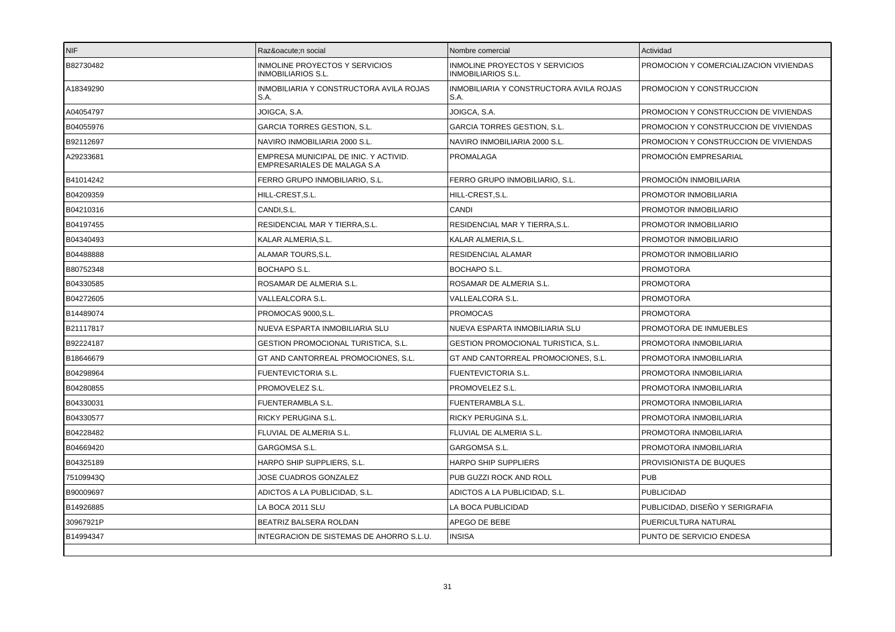| <b>NIF</b> | Razón social                                                         | Nombre comercial                                                   | Actividad                              |
|------------|----------------------------------------------------------------------|--------------------------------------------------------------------|----------------------------------------|
| B82730482  | <b>INMOLINE PROYECTOS Y SERVICIOS</b><br><b>INMOBILIARIOS S.L.</b>   | <b>INMOLINE PROYECTOS Y SERVICIOS</b><br><b>INMOBILIARIOS S.L.</b> | PROMOCION Y COMERCIALIZACION VIVIENDAS |
| A18349290  | INMOBILIARIA Y CONSTRUCTORA AVILA ROJAS<br>S.A.                      | INMOBILIARIA Y CONSTRUCTORA AVILA ROJAS<br>S.A.                    | PROMOCION Y CONSTRUCCION               |
| A04054797  | JOIGCA, S.A.                                                         | JOIGCA, S.A.                                                       | PROMOCION Y CONSTRUCCION DE VIVIENDAS  |
| B04055976  | <b>GARCIA TORRES GESTION, S.L.</b>                                   | <b>GARCIA TORRES GESTION, S.L.</b>                                 | PROMOCION Y CONSTRUCCION DE VIVIENDAS  |
| B92112697  | NAVIRO INMOBILIARIA 2000 S.L.                                        | NAVIRO INMOBILIARIA 2000 S.L.                                      | PROMOCION Y CONSTRUCCION DE VIVIENDAS  |
| A29233681  | EMPRESA MUNICIPAL DE INIC. Y ACTIVID.<br>EMPRESARIALES DE MALAGA S.A | PROMALAGA                                                          | PROMOCIÓN EMPRESARIAL                  |
| B41014242  | FERRO GRUPO INMOBILIARIO, S.L.                                       | FERRO GRUPO INMOBILIARIO, S.L.                                     | PROMOCIÓN INMOBILIARIA                 |
| B04209359  | HILL-CREST.S.L.                                                      | HILL-CREST.S.L.                                                    | PROMOTOR INMOBILIARIA                  |
| B04210316  | CANDI, S.L.                                                          | CANDI                                                              | PROMOTOR INMOBILIARIO                  |
| B04197455  | RESIDENCIAL MAR Y TIERRA, S.L.                                       | RESIDENCIAL MAR Y TIERRA, S.L.                                     | PROMOTOR INMOBILIARIO                  |
| B04340493  | KALAR ALMERIA, S.L.                                                  | KALAR ALMERIA, S.L.                                                | PROMOTOR INMOBILIARIO                  |
| B04488888  | ALAMAR TOURS, S.L.                                                   | RESIDENCIAL ALAMAR                                                 | PROMOTOR INMOBILIARIO                  |
| B80752348  | <b>BOCHAPO S.L.</b>                                                  | <b>BOCHAPO S.L.</b>                                                | <b>PROMOTORA</b>                       |
| B04330585  | ROSAMAR DE ALMERIA S.L.                                              | ROSAMAR DE ALMERIA S.L.                                            | <b>PROMOTORA</b>                       |
| B04272605  | VALLEALCORA S.L.                                                     | VALLEALCORA S.L.                                                   | <b>PROMOTORA</b>                       |
| B14489074  | PROMOCAS 9000,S.L.                                                   | <b>PROMOCAS</b>                                                    | <b>PROMOTORA</b>                       |
| B21117817  | NUEVA ESPARTA INMOBILIARIA SLU                                       | NUEVA ESPARTA INMOBILIARIA SLU                                     | PROMOTORA DE INMUEBLES                 |
| B92224187  | GESTION PROMOCIONAL TURISTICA, S.L.                                  | <b>GESTION PROMOCIONAL TURISTICA, S.L.</b>                         | PROMOTORA INMOBILIARIA                 |
| B18646679  | GT AND CANTORREAL PROMOCIONES, S.L.                                  | GT AND CANTORREAL PROMOCIONES, S.L.                                | PROMOTORA INMOBILIARIA                 |
| B04298964  | FUENTEVICTORIA S.L.                                                  | <b>FUENTEVICTORIA S.L.</b>                                         | PROMOTORA INMOBILIARIA                 |
| B04280855  | PROMOVELEZ S.L.                                                      | PROMOVELEZ S.L.                                                    | PROMOTORA INMOBILIARIA                 |
| B04330031  | <b>FUENTERAMBLA S.L.</b>                                             | FUENTERAMBLA S.L.                                                  | PROMOTORA INMOBILIARIA                 |
| B04330577  | RICKY PERUGINA S.L.                                                  | RICKY PERUGINA S.L.                                                | PROMOTORA INMOBILIARIA                 |
| B04228482  | FLUVIAL DE ALMERIA S.L.                                              | FLUVIAL DE ALMERIA S.L.                                            | PROMOTORA INMOBILIARIA                 |
| B04669420  | GARGOMSA S.L.                                                        | GARGOMSA S.L.                                                      | PROMOTORA INMOBILIARIA                 |
| B04325189  | HARPO SHIP SUPPLIERS, S.L.                                           | <b>HARPO SHIP SUPPLIERS</b>                                        | PROVISIONISTA DE BUQUES                |
| 75109943Q  | JOSE CUADROS GONZALEZ                                                | PUB GUZZI ROCK AND ROLL                                            | <b>PUB</b>                             |
| B90009697  | ADICTOS A LA PUBLICIDAD, S.L.                                        | ADICTOS A LA PUBLICIDAD, S.L.                                      | <b>PUBLICIDAD</b>                      |
| B14926885  | LA BOCA 2011 SLU                                                     | LA BOCA PUBLICIDAD                                                 | PUBLICIDAD. DISEÑO Y SERIGRAFIA        |
| 30967921P  | BEATRIZ BALSERA ROLDAN                                               | APEGO DE BEBE                                                      | PUERICULTURA NATURAL                   |
| B14994347  | INTEGRACION DE SISTEMAS DE AHORRO S.L.U.                             | <b>INSISA</b>                                                      | PUNTO DE SERVICIO ENDESA               |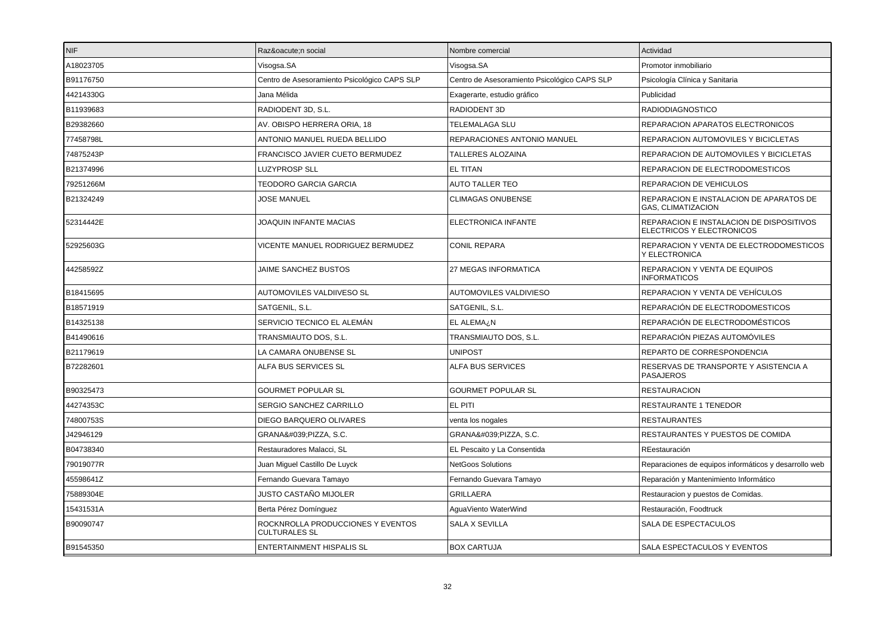| INIF.     | Razón social                                              | Nombre comercial                             | Actividad                                                             |
|-----------|-----------------------------------------------------------|----------------------------------------------|-----------------------------------------------------------------------|
| A18023705 | Visogsa.SA                                                | Visogsa.SA                                   | Promotor inmobiliario                                                 |
| B91176750 | Centro de Asesoramiento Psicológico CAPS SLP              | Centro de Asesoramiento Psicológico CAPS SLP | Psicología Clínica y Sanitaria                                        |
| 44214330G | Jana Mélida                                               | Exagerarte, estudio gráfico                  | Publicidad                                                            |
| B11939683 | RADIODENT 3D, S.L.                                        | RADIODENT 3D                                 | <b>RADIODIAGNOSTICO</b>                                               |
| B29382660 | AV. OBISPO HERRERA ORIA, 18                               | TELEMALAGA SLU                               | REPARACION APARATOS ELECTRONICOS                                      |
| 77458798L | ANTONIO MANUEL RUEDA BELLIDO                              | REPARACIONES ANTONIO MANUEL                  | REPARACION AUTOMOVILES Y BICICLETAS                                   |
| 74875243P | FRANCISCO JAVIER CUETO BERMUDEZ                           | TALLERES ALOZAINA                            | REPARACION DE AUTOMOVILES Y BICICLETAS                                |
| B21374996 | <b>LUZYPROSP SLL</b>                                      | <b>EL TITAN</b>                              | REPARACION DE ELECTRODOMESTICOS                                       |
| 79251266M | TEODORO GARCIA GARCIA                                     | <b>AUTO TALLER TEO</b>                       | <b>REPARACION DE VEHICULOS</b>                                        |
| B21324249 | <b>JOSE MANUEL</b>                                        | <b>CLIMAGAS ONUBENSE</b>                     | REPARACION E INSTALACION DE APARATOS DE<br><b>GAS, CLIMATIZACION</b>  |
| 52314442E | JOAQUIN INFANTE MACIAS                                    | ELECTRONICA INFANTE                          | REPARACION E INSTALACION DE DISPOSITIVOS<br>ELECTRICOS Y ELECTRONICOS |
| 52925603G | VICENTE MANUEL RODRIGUEZ BERMUDEZ                         | <b>CONIL REPARA</b>                          | REPARACION Y VENTA DE ELECTRODOMESTICOS<br>Y ELECTRONICA              |
| 44258592Z | JAIME SANCHEZ BUSTOS                                      | 27 MEGAS INFORMATICA                         | REPARACION Y VENTA DE EQUIPOS<br><b>INFORMATICOS</b>                  |
| B18415695 | AUTOMOVILES VALDIIVESO SL                                 | AUTOMOVILES VALDIVIESO                       | REPARACION Y VENTA DE VEHÍCULOS                                       |
| B18571919 | SATGENIL, S.L.                                            | SATGENIL, S.L.                               | REPARACIÓN DE ELECTRODOMESTICOS                                       |
| B14325138 | SERVICIO TECNICO EL ALEMÁN                                | EL ALEMA¿N                                   | REPARACIÓN DE ELECTRODOMÉSTICOS                                       |
| B41490616 | TRANSMIAUTO DOS, S.L.                                     | TRANSMIAUTO DOS, S.L.                        | REPARACIÓN PIEZAS AUTOMÓVILES                                         |
| B21179619 | LA CAMARA ONUBENSE SL                                     | <b>UNIPOST</b>                               | REPARTO DE CORRESPONDENCIA                                            |
| B72282601 | ALFA BUS SERVICES SL                                      | <b>ALFA BUS SERVICES</b>                     | RESERVAS DE TRANSPORTE Y ASISTENCIA A<br><b>PASAJEROS</b>             |
| B90325473 | <b>GOURMET POPULAR SL</b>                                 | <b>GOURMET POPULAR SL</b>                    | <b>RESTAURACION</b>                                                   |
| 44274353C | SERGIO SANCHEZ CARRILLO                                   | EL PITI                                      | <b>RESTAURANTE 1 TENEDOR</b>                                          |
| 74800753S | DIEGO BARQUERO OLIVARES                                   | venta los nogales                            | <b>RESTAURANTES</b>                                                   |
| J42946129 | GRANA'PIZZA, S.C.                                         | GRANA':PIZZA, S.C.                           | RESTAURANTES Y PUESTOS DE COMIDA                                      |
| B04738340 | Restauradores Malacci, SL                                 | EL Pescaito y La Consentida                  | REestauración                                                         |
| 79019077R | Juan Miguel Castillo De Luyck                             | <b>NetGoos Solutions</b>                     | Reparaciones de equipos informáticos y desarrollo web                 |
| 45598641Z | Fernando Guevara Tamayo                                   | Fernando Guevara Tamayo                      | Reparación y Mantenimiento Informático                                |
| 75889304E | JUSTO CASTAÑO MIJOLER                                     | <b>GRILLAERA</b>                             | Restauracion y puestos de Comidas.                                    |
| 15431531A | Berta Pérez Domínguez                                     | AguaViento WaterWind                         | Restauración, Foodtruck                                               |
| B90090747 | ROCKNROLLA PRODUCCIONES Y EVENTOS<br><b>CULTURALES SL</b> | <b>SALA X SEVILLA</b>                        | SALA DE ESPECTACULOS                                                  |
| B91545350 | <b>ENTERTAINMENT HISPALIS SL</b>                          | <b>BOX CARTUJA</b>                           | SALA ESPECTACULOS Y EVENTOS                                           |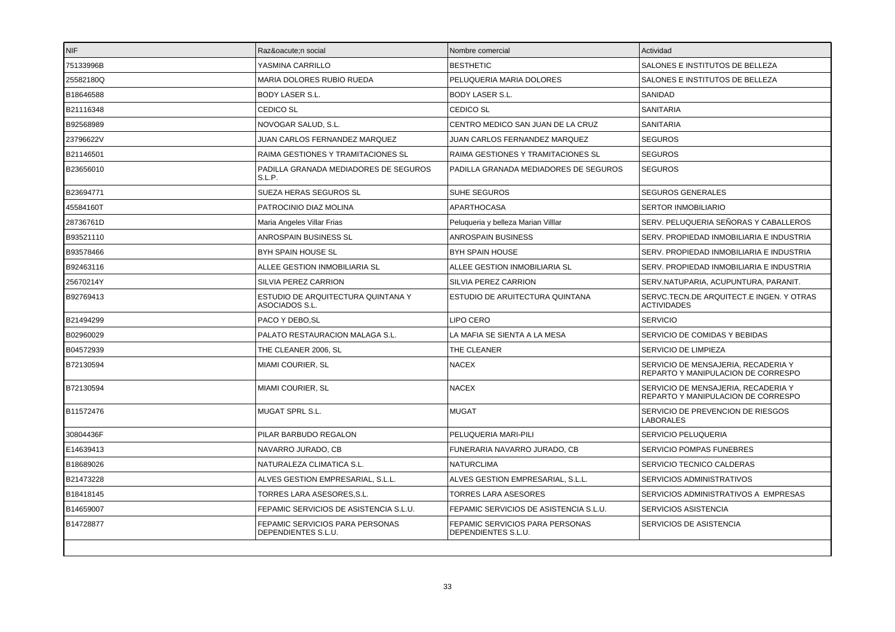| <b>NIF</b> | Razón social                                           | Nombre comercial                                       | Actividad                                                                 |
|------------|--------------------------------------------------------|--------------------------------------------------------|---------------------------------------------------------------------------|
| 75133996B  | YASMINA CARRILLO                                       | <b>BESTHETIC</b>                                       | SALONES E INSTITUTOS DE BELLEZA                                           |
| 25582180Q  | <b>MARIA DOLORES RUBIO RUEDA</b>                       | PELUQUERIA MARIA DOLORES                               | SALONES E INSTITUTOS DE BELLEZA                                           |
| B18646588  | <b>BODY LASER S.L.</b>                                 | <b>BODY LASER S.L.</b>                                 | SANIDAD                                                                   |
| B21116348  | <b>CEDICO SL</b>                                       | CEDICO SL                                              | SANITARIA                                                                 |
| B92568989  | NOVOGAR SALUD, S.L.                                    | CENTRO MEDICO SAN JUAN DE LA CRUZ                      | SANITARIA                                                                 |
| 23796622V  | JUAN CARLOS FERNANDEZ MARQUEZ                          | JUAN CARLOS FERNANDEZ MARQUEZ                          | <b>SEGUROS</b>                                                            |
| B21146501  | RAIMA GESTIONES Y TRAMITACIONES SL                     | RAIMA GESTIONES Y TRAMITACIONES SL                     | <b>SEGUROS</b>                                                            |
| B23656010  | PADILLA GRANADA MEDIADORES DE SEGUROS<br>S.L.P.        | PADILLA GRANADA MEDIADORES DE SEGUROS                  | <b>SEGUROS</b>                                                            |
| B23694771  | SUEZA HERAS SEGUROS SL                                 | SUHE SEGUROS                                           | <b>SEGUROS GENERALES</b>                                                  |
| 45584160T  | PATROCINIO DIAZ MOLINA                                 | APARTHOCASA                                            | <b>SERTOR INMOBILIARIO</b>                                                |
| 28736761D  | Maria Angeles Villar Frias                             | Peluqueria y belleza Marian Villlar                    | SERV. PELUQUERIA SEÑORAS Y CABALLEROS                                     |
| B93521110  | ANROSPAIN BUSINESS SL                                  | <b>ANROSPAIN BUSINESS</b>                              | SERV. PROPIEDAD INMOBILIARIA E INDUSTRIA                                  |
| B93578466  | <b>BYH SPAIN HOUSE SL</b>                              | <b>BYH SPAIN HOUSE</b>                                 | SERV. PROPIEDAD INMOBILIARIA E INDUSTRIA                                  |
| B92463116  | ALLEE GESTION INMOBILIARIA SL                          | ALLEE GESTION INMOBILIARIA SL                          | SERV. PROPIEDAD INMOBILIARIA E INDUSTRIA                                  |
| 25670214Y  | SILVIA PEREZ CARRION                                   | <b>SILVIA PEREZ CARRION</b>                            | SERV.NATUPARIA, ACUPUNTURA, PARANIT.                                      |
| B92769413  | ESTUDIO DE ARQUITECTURA QUINTANA Y<br>ASOCIADOS S.L.   | ESTUDIO DE ARUITECTURA QUINTANA                        | SERVC.TECN.DE ARQUITECT.E INGEN. Y OTRAS<br><b>ACTIVIDADES</b>            |
| B21494299  | PACO Y DEBO, SL                                        | <b>LIPO CERO</b>                                       | <b>SERVICIO</b>                                                           |
| B02960029  | PALATO RESTAURACION MALAGA S.L.                        | LA MAFIA SE SIENTA A LA MESA                           | SERVICIO DE COMIDAS Y BEBIDAS                                             |
| B04572939  | THE CLEANER 2006, SL                                   | THE CLEANER                                            | SERVICIO DE LIMPIEZA                                                      |
| B72130594  | MIAMI COURIER, SL                                      | <b>NACEX</b>                                           | SERVICIO DE MENSAJERIA, RECADERIA Y<br>REPARTO Y MANIPULACION DE CORRESPO |
| B72130594  | <b>MIAMI COURIER, SL</b>                               | <b>NACEX</b>                                           | SERVICIO DE MENSAJERIA, RECADERIA Y<br>REPARTO Y MANIPULACION DE CORRESPO |
| B11572476  | MUGAT SPRL S.L.                                        | <b>MUGAT</b>                                           | SERVICIO DE PREVENCION DE RIESGOS<br><b>LABORALES</b>                     |
| 30804436F  | PILAR BARBUDO REGALON                                  | PELUQUERIA MARI-PILI                                   | SERVICIO PELUQUERIA                                                       |
| E14639413  | NAVARRO JURADO, CB                                     | FUNERARIA NAVARRO JURADO, CB                           | SERVICIO POMPAS FUNEBRES                                                  |
| B18689026  | NATURALEZA CLIMATICA S.L.                              | <b>NATURCLIMA</b>                                      | SERVICIO TECNICO CALDERAS                                                 |
| B21473228  | ALVES GESTION EMPRESARIAL, S.L.L.                      | ALVES GESTION EMPRESARIAL, S.L.L.                      | SERVICIOS ADMINISTRATIVOS                                                 |
| B18418145  | TORRES LARA ASESORES, S.L.                             | <b>TORRES LARA ASESORES</b>                            | SERVICIOS ADMINISTRATIVOS A EMPRESAS                                      |
| B14659007  | FEPAMIC SERVICIOS DE ASISTENCIA S.L.U.                 | FEPAMIC SERVICIOS DE ASISTENCIA S.L.U.                 | SERVICIOS ASISTENCIA                                                      |
| B14728877  | FEPAMIC SERVICIOS PARA PERSONAS<br>DEPENDIENTES S.L.U. | FEPAMIC SERVICIOS PARA PERSONAS<br>DEPENDIENTES S.L.U. | SERVICIOS DE ASISTENCIA                                                   |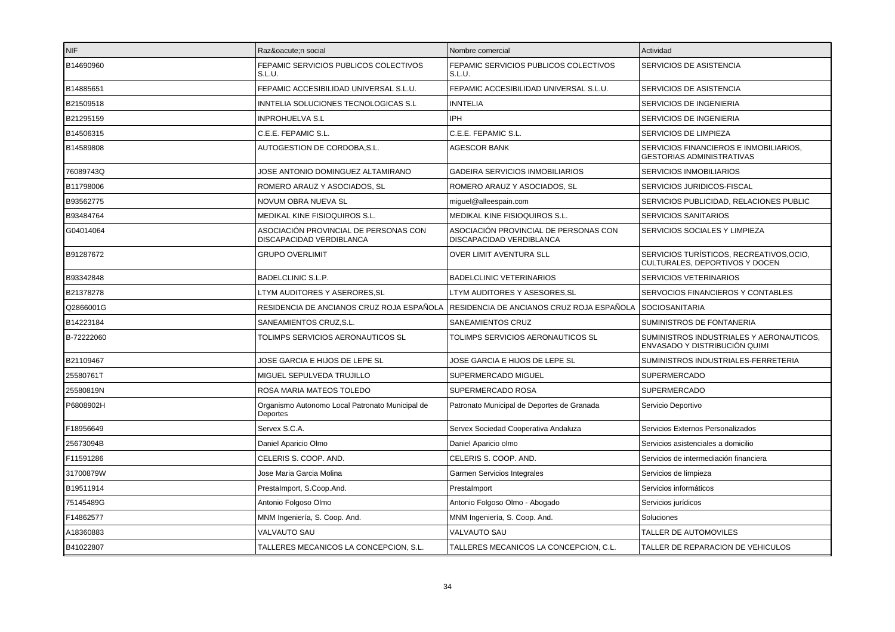| NIF        | Razón social                                                      | Nombre comercial                                                  | Actividad                                                                  |
|------------|-------------------------------------------------------------------|-------------------------------------------------------------------|----------------------------------------------------------------------------|
| B14690960  | FEPAMIC SERVICIOS PUBLICOS COLECTIVOS<br>S.L.U.                   | FEPAMIC SERVICIOS PUBLICOS COLECTIVOS<br>S.L.U.                   | SERVICIOS DE ASISTENCIA                                                    |
| B14885651  | FEPAMIC ACCESIBILIDAD UNIVERSAL S.L.U.                            | FEPAMIC ACCESIBILIDAD UNIVERSAL S.L.U.                            | SERVICIOS DE ASISTENCIA                                                    |
| B21509518  | INNTELIA SOLUCIONES TECNOLOGICAS S.L                              | <b>INNTELIA</b>                                                   | SERVICIOS DE INGENIERIA                                                    |
| B21295159  | <b>INPROHUELVA S.L</b>                                            | IPH                                                               | <b>SERVICIOS DE INGENIERIA</b>                                             |
| B14506315  | C.E.E. FEPAMIC S.L.                                               | C.E.E. FEPAMIC S.L.                                               | SERVICIOS DE LIMPIEZA                                                      |
| B14589808  | AUTOGESTION DE CORDOBA, S.L.                                      | <b>AGESCOR BANK</b>                                               | SERVICIOS FINANCIEROS E INMOBILIARIOS,<br>GESTORIAS ADMINISTRATIVAS        |
| 76089743Q  | JOSE ANTONIO DOMINGUEZ ALTAMIRANO                                 | <b>GADEIRA SERVICIOS INMOBILIARIOS</b>                            | <b>SERVICIOS INMOBILIARIOS</b>                                             |
| B11798006  | ROMERO ARAUZ Y ASOCIADOS, SL                                      | ROMERO ARAUZ Y ASOCIADOS, SL                                      | SERVICIOS JURIDICOS-FISCAL                                                 |
| B93562775  | NOVUM OBRA NUEVA SL                                               | miguel@alleespain.com                                             | SERVICIOS PUBLICIDAD, RELACIONES PUBLIC                                    |
| B93484764  | MEDIKAL KINE FISIOQUIROS S.L.                                     | MEDIKAL KINE FISIOQUIROS S.L.                                     | <b>SERVICIOS SANITARIOS</b>                                                |
| G04014064  | ASOCIACIÓN PROVINCIAL DE PERSONAS CON<br>DISCAPACIDAD VERDIBLANCA | ASOCIACIÓN PROVINCIAL DE PERSONAS CON<br>DISCAPACIDAD VERDIBLANCA | SERVICIOS SOCIALES Y LIMPIEZA                                              |
| B91287672  | <b>GRUPO OVERLIMIT</b>                                            | <b>OVER LIMIT AVENTURA SLL</b>                                    | SERVICIOS TURÍSTICOS, RECREATIVOS, OCIO,<br>CULTURALES, DEPORTIVOS Y DOCEN |
| B93342848  | BADELCLINIC S.L.P.                                                | <b>BADELCLINIC VETERINARIOS</b>                                   | SERVICIOS VETERINARIOS                                                     |
| B21378278  | LTYM AUDITORES Y ASERORES,SL                                      | LTYM AUDITORES Y ASESORES, SL                                     | SERVOCIOS FINANCIEROS Y CONTABLES                                          |
| Q2866001G  | RESIDENCIA DE ANCIANOS CRUZ ROJA ESPAÑOLA                         | RESIDENCIA DE ANCIANOS CRUZ ROJA ESPAÑOLA                         | <b>SOCIOSANITARIA</b>                                                      |
| B14223184  | SANEAMIENTOS CRUZ, S.L.                                           | SANEAMIENTOS CRUZ                                                 | SUMINISTROS DE FONTANERIA                                                  |
| B-72222060 | TOLIMPS SERVICIOS AERONAUTICOS SL                                 | TOLIMPS SERVICIOS AERONAUTICOS SL                                 | SUMINISTROS INDUSTRIALES Y AERONAUTICOS,<br>ENVASADO Y DISTRIBUCIÓN QUIMI  |
| B21109467  | JOSE GARCIA E HIJOS DE LEPE SL                                    | JOSE GARCIA E HIJOS DE LEPE SL                                    | SUMINISTROS INDUSTRIALES-FERRETERIA                                        |
| 25580761T  | MIGUEL SEPULVEDA TRUJILLO                                         | SUPERMERCADO MIGUEL                                               | <b>SUPERMERCADO</b>                                                        |
| 25580819N  | ROSA MARIA MATEOS TOLEDO                                          | SUPERMERCADO ROSA                                                 | <b>SUPERMERCADO</b>                                                        |
| P6808902H  | Organismo Autonomo Local Patronato Municipal de<br>Deportes       | Patronato Municipal de Deportes de Granada                        | Servicio Deportivo                                                         |
| F18956649  | Servex S.C.A.                                                     | Servex Sociedad Cooperativa Andaluza                              | Servicios Externos Personalizados                                          |
| 25673094B  | Daniel Aparicio Olmo                                              | Daniel Aparicio olmo                                              | Servicios asistenciales a domicilio                                        |
| F11591286  | CELERIS S. COOP. AND.                                             | CELERIS S. COOP. AND.                                             | Servicios de intermediación financiera                                     |
| 31700879W  | Jose Maria Garcia Molina                                          | Garmen Servicios Integrales                                       | Servicios de limpieza                                                      |
| B19511914  | Prestalmport, S.Coop.And.                                         | Prestalmport                                                      | Servicios informáticos                                                     |
| 75145489G  | Antonio Folgoso Olmo                                              | Antonio Folgoso Olmo - Abogado                                    | Servicios jurídicos                                                        |
| F14862577  | MNM Ingeniería, S. Coop. And.                                     | MNM Ingeniería, S. Coop. And.                                     | Soluciones                                                                 |
| A18360883  | VALVAUTO SAU                                                      | <b>VALVAUTO SAU</b>                                               | TALLER DE AUTOMOVILES                                                      |
| B41022807  | TALLERES MECANICOS LA CONCEPCION, S.L.                            | TALLERES MECANICOS LA CONCEPCION, C.L.                            | TALLER DE REPARACION DE VEHICULOS                                          |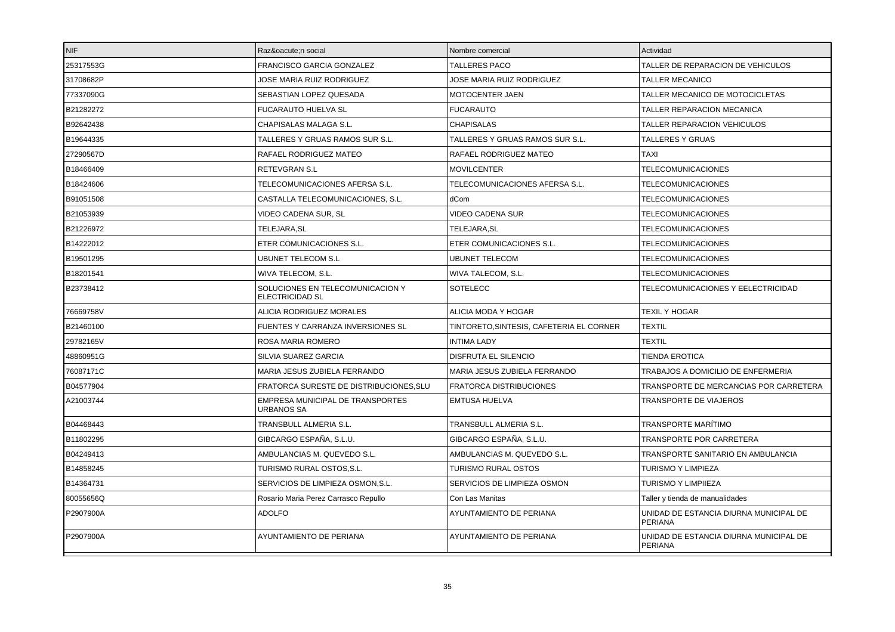| <b>NIF</b> | Razón social                                               | Nombre comercial                        | Actividad                                                |
|------------|------------------------------------------------------------|-----------------------------------------|----------------------------------------------------------|
| 25317553G  | FRANCISCO GARCIA GONZALEZ                                  | <b>TALLERES PACO</b>                    | TALLER DE REPARACION DE VEHICULOS                        |
| 31708682P  | JOSE MARIA RUIZ RODRIGUEZ                                  | JOSE MARIA RUIZ RODRIGUEZ               | <b>TALLER MECANICO</b>                                   |
| 77337090G  | SEBASTIAN LOPEZ QUESADA                                    | MOTOCENTER JAEN                         | TALLER MECANICO DE MOTOCICLETAS                          |
| B21282272  | FUCARAUTO HUELVA SL                                        | <b>FUCARAUTO</b>                        | TALLER REPARACION MECANICA                               |
| B92642438  | CHAPISALAS MALAGA S.L.                                     | <b>CHAPISALAS</b>                       | TALLER REPARACION VEHICULOS                              |
| B19644335  | TALLERES Y GRUAS RAMOS SUR S.L.                            | TALLERES Y GRUAS RAMOS SUR S.L.         | <b>TALLERES Y GRUAS</b>                                  |
| 27290567D  | RAFAEL RODRIGUEZ MATEO                                     | RAFAEL RODRIGUEZ MATEO                  | <b>TAXI</b>                                              |
| B18466409  | RETEVGRAN S.L                                              | <b>MOVILCENTER</b>                      | <b>TELECOMUNICACIONES</b>                                |
| B18424606  | TELECOMUNICACIONES AFERSA S.L.                             | TELECOMUNICACIONES AFERSA S.L.          | <b>TELECOMUNICACIONES</b>                                |
| B91051508  | CASTALLA TELECOMUNICACIONES, S.L.                          | dCom                                    | TELECOMUNICACIONES                                       |
| B21053939  | VIDEO CADENA SUR, SL                                       | VIDEO CADENA SUR                        | <b>TELECOMUNICACIONES</b>                                |
| B21226972  | TELEJARA, SL                                               | TELEJARA, SL                            | <b>TELECOMUNICACIONES</b>                                |
| B14222012  | ETER COMUNICACIONES S.L.                                   | ETER COMUNICACIONES S.L.                | <b>TELECOMUNICACIONES</b>                                |
| B19501295  | <b>UBUNET TELECOM S.L</b>                                  | <b>UBUNET TELECOM</b>                   | <b>TELECOMUNICACIONES</b>                                |
| B18201541  | WIVA TELECOM, S.L.                                         | WIVA TALECOM, S.L.                      | <b>TELECOMUNICACIONES</b>                                |
| B23738412  | SOLUCIONES EN TELECOMUNICACION Y<br><b>ELECTRICIDAD SL</b> | <b>SOTELECC</b>                         | TELECOMUNICACIONES Y EELECTRICIDAD                       |
| 76669758V  | ALICIA RODRIGUEZ MORALES                                   | ALICIA MODA Y HOGAR                     | <b>TEXIL Y HOGAR</b>                                     |
| B21460100  | FUENTES Y CARRANZA INVERSIONES SL                          | TINTORETO,SINTESIS, CAFETERIA EL CORNER | <b>TEXTIL</b>                                            |
| 29782165V  | ROSA MARIA ROMERO                                          | <b>INTIMA LADY</b>                      | <b>TEXTIL</b>                                            |
| 48860951G  | SILVIA SUAREZ GARCIA                                       | DISFRUTA EL SILENCIO                    | <b>TIENDA EROTICA</b>                                    |
| 76087171C  | MARIA JESUS ZUBIELA FERRANDO                               | MARIA JESUS ZUBIELA FERRANDO            | TRABAJOS A DOMICILIO DE ENFERMERIA                       |
| B04577904  | FRATORCA SURESTE DE DISTRIBUCIONES, SLU                    | <b>FRATORCA DISTRIBUCIONES</b>          | TRANSPORTE DE MERCANCIAS POR CARRETERA                   |
| A21003744  | EMPRESA MUNICIPAL DE TRANSPORTES<br>URBANOS SA             | <b>EMTUSA HUELVA</b>                    | TRANSPORTE DE VIAJEROS                                   |
| B04468443  | TRANSBULL ALMERIA S.L.                                     | TRANSBULL ALMERIA S.L.                  | TRANSPORTE MARÍTIMO                                      |
| B11802295  | GIBCARGO ESPAÑA. S.L.U.                                    | GIBCARGO ESPAÑA. S.L.U.                 | <b>TRANSPORTE POR CARRETERA</b>                          |
| B04249413  | AMBULANCIAS M. QUEVEDO S.L.                                | AMBULANCIAS M. QUEVEDO S.L.             | TRANSPORTE SANITARIO EN AMBULANCIA                       |
| B14858245  | TURISMO RURAL OSTOS.S.L.                                   | TURISMO RURAL OSTOS                     | <b>TURISMO Y LIMPIEZA</b>                                |
| B14364731  | SERVICIOS DE LIMPIEZA OSMON.S.L.                           | SERVICIOS DE LIMPIEZA OSMON             | <b>TURISMO Y LIMPIIEZA</b>                               |
| 80055656Q  | Rosario Maria Perez Carrasco Repullo                       | Con Las Manitas                         | Taller y tienda de manualidades                          |
| P2907900A  | <b>ADOLFO</b>                                              | AYUNTAMIENTO DE PERIANA                 | UNIDAD DE ESTANCIA DIURNA MUNICIPAL DE<br><b>PERIANA</b> |
| P2907900A  | AYUNTAMIENTO DE PERIANA                                    | AYUNTAMIENTO DE PERIANA                 | UNIDAD DE ESTANCIA DIURNA MUNICIPAL DE<br><b>PERIANA</b> |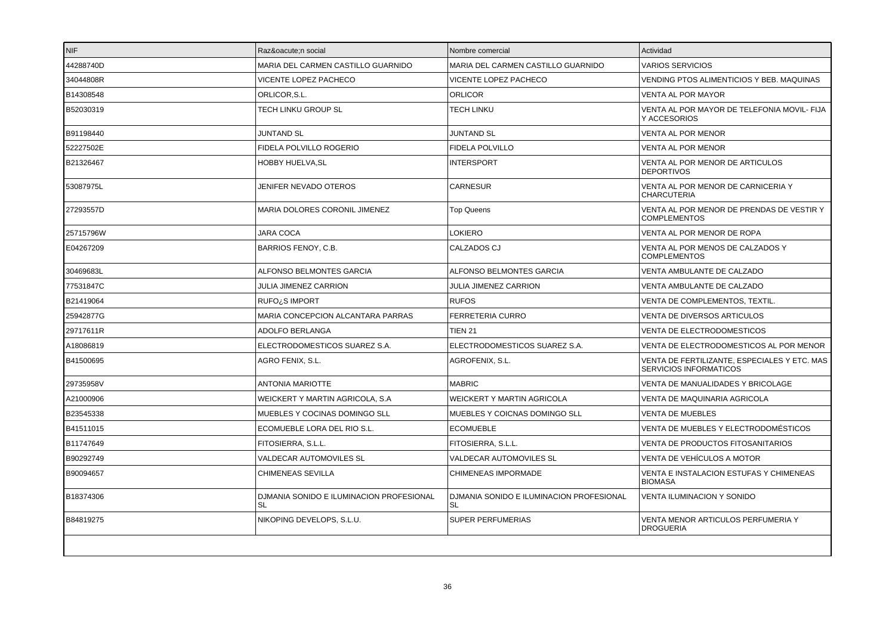| INIF.     | Razón social                                          | Nombre comercial                               | Actividad                                                              |
|-----------|-------------------------------------------------------|------------------------------------------------|------------------------------------------------------------------------|
| 44288740D | MARIA DEL CARMEN CASTILLO GUARNIDO                    | MARIA DEL CARMEN CASTILLO GUARNIDO             | <b>VARIOS SERVICIOS</b>                                                |
| 34044808R | VICENTE LOPEZ PACHECO                                 | VICENTE LOPEZ PACHECO                          | VENDING PTOS ALIMENTICIOS Y BEB. MAQUINAS                              |
| B14308548 | ORLICOR, S.L.                                         | <b>ORLICOR</b>                                 | <b>VENTA AL POR MAYOR</b>                                              |
| B52030319 | TECH LINKU GROUP SL                                   | TECH LINKU                                     | VENTA AL POR MAYOR DE TELEFONIA MOVIL- FIJA<br>Y ACCESORIOS            |
| B91198440 | <b>JUNTAND SL</b>                                     | <b>JUNTAND SL</b>                              | VENTA AL POR MENOR                                                     |
| 52227502E | FIDELA POLVILLO ROGERIO                               | FIDELA POLVILLO                                | VENTA AL POR MENOR                                                     |
| B21326467 | <b>HOBBY HUELVA, SL</b>                               | <b>INTERSPORT</b>                              | VENTA AL POR MENOR DE ARTICULOS<br><b>DEPORTIVOS</b>                   |
| 53087975L | JENIFER NEVADO OTEROS                                 | <b>CARNESUR</b>                                | VENTA AL POR MENOR DE CARNICERIA Y<br><b>CHARCUTERIA</b>               |
| 27293557D | MARIA DOLORES CORONIL JIMENEZ                         | <b>Top Queens</b>                              | VENTA AL POR MENOR DE PRENDAS DE VESTIR Y<br><b>COMPLEMENTOS</b>       |
| 25715796W | <b>JARA COCA</b>                                      | LOKIERO                                        | VENTA AL POR MENOR DE ROPA                                             |
| E04267209 | BARRIOS FENOY, C.B.                                   | CALZADOS CJ                                    | VENTA AL POR MENOS DE CALZADOS Y<br><b>COMPLEMENTOS</b>                |
| 30469683L | ALFONSO BELMONTES GARCIA                              | <b>ALFONSO BELMONTES GARCIA</b>                | VENTA AMBULANTE DE CALZADO                                             |
| 77531847C | JULIA JIMENEZ CARRION                                 | JULIA JIMENEZ CARRION                          | VENTA AMBULANTE DE CALZADO                                             |
| B21419064 | RUFO <sub>i</sub> S IMPORT                            | <b>RUFOS</b>                                   | VENTA DE COMPLEMENTOS, TEXTIL.                                         |
| 25942877G | MARIA CONCEPCION ALCANTARA PARRAS                     | <b>FERRETERIA CURRO</b>                        | VENTA DE DIVERSOS ARTICULOS                                            |
| 29717611R | ADOLFO BERLANGA                                       | <b>TIEN 21</b>                                 | VENTA DE ELECTRODOMESTICOS                                             |
| A18086819 | ELECTRODOMESTICOS SUAREZ S.A.                         | ELECTRODOMESTICOS SUAREZ S.A.                  | VENTA DE ELECTRODOMESTICOS AL POR MENOR                                |
| B41500695 | AGRO FENIX, S.L.                                      | AGROFENIX, S.L.                                | VENTA DE FERTILIZANTE, ESPECIALES Y ETC. MAS<br>SERVICIOS INFORMATICOS |
| 29735958V | <b>ANTONIA MARIOTTE</b>                               | <b>MABRIC</b>                                  | VENTA DE MANUALIDADES Y BRICOLAGE                                      |
| A21000906 | WEICKERT Y MARTIN AGRICOLA, S.A.                      | <b>WEICKERT Y MARTIN AGRICOLA</b>              | VENTA DE MAQUINARIA AGRICOLA                                           |
| B23545338 | MUEBLES Y COCINAS DOMINGO SLL                         | MUEBLES Y COICNAS DOMINGO SLL                  | <b>VENTA DE MUEBLES</b>                                                |
| B41511015 | ECOMUEBLE LORA DEL RIO S.L.                           | <b>ECOMUEBLE</b>                               | VENTA DE MUEBLES Y ELECTRODOMÉSTICOS                                   |
| B11747649 | FITOSIERRA, S.L.L.                                    | FITOSIERRA, S.L.L.                             | VENTA DE PRODUCTOS FITOSANITARIOS                                      |
| B90292749 | VALDECAR AUTOMOVILES SL                               | VALDECAR AUTOMOVILES SL                        | VENTA DE VEHÍCULOS A MOTOR                                             |
| B90094657 | CHIMENEAS SEVILLA                                     | CHIMENEAS IMPORMADE                            | VENTA E INSTALACION ESTUFAS Y CHIMENEAS<br><b>BIOMASA</b>              |
| B18374306 | DJMANIA SONIDO E ILUMINACION PROFESIONAL<br><b>SL</b> | DJMANIA SONIDO E ILUMINACION PROFESIONAL<br>SL | VENTA ILUMINACION Y SONIDO                                             |
| B84819275 | NIKOPING DEVELOPS, S.L.U.                             | SUPER PERFUMERIAS                              | VENTA MENOR ARTICULOS PERFUMERIA Y<br><b>DROGUERIA</b>                 |
|           |                                                       |                                                |                                                                        |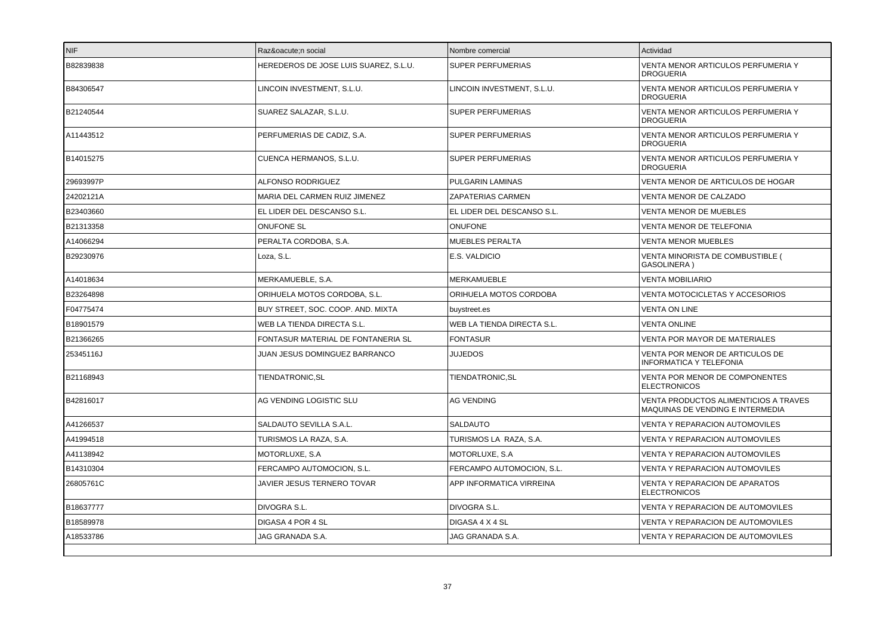| B82839838<br>HEREDEROS DE JOSE LUIS SUAREZ, S.L.U.<br><b>SUPER PERFUMERIAS</b><br>VENTA MENOR ARTICULOS PERFUMERIA Y<br><b>DROGUERIA</b><br>LINCOIN INVESTMENT, S.L.U.<br>B84306547<br>LINCOIN INVESTMENT, S.L.U.<br>VENTA MENOR ARTICULOS PERFUMERIA Y<br><b>DROGUERIA</b><br>B21240544<br><b>SUPER PERFUMERIAS</b><br>VENTA MENOR ARTICULOS PERFUMERIA Y<br>SUAREZ SALAZAR, S.L.U.<br><b>DROGUERIA</b><br>VENTA MENOR ARTICULOS PERFUMERIA Y<br>A11443512<br>PERFUMERIAS DE CADIZ. S.A.<br><b>SUPER PERFUMERIAS</b><br><b>DROGUERIA</b><br>B14015275<br>CUENCA HERMANOS, S.L.U.<br>SUPER PERFUMERIAS<br>VENTA MENOR ARTICULOS PERFUMERIA Y<br><b>DROGUERIA</b><br>29693997P<br>ALFONSO RODRIGUEZ<br>PULGARIN LAMINAS<br>VENTA MENOR DE ARTICULOS DE HOGAR<br>24202121A<br>MARIA DEL CARMEN RUIZ JIMENEZ<br>VENTA MENOR DE CALZADO<br>ZAPATERIAS CARMEN<br>B23403660<br>EL LIDER DEL DESCANSO S.L.<br>EL LIDER DEL DESCANSO S.L.<br><b>VENTA MENOR DE MUEBLES</b><br>B21313358<br><b>ONUFONE</b><br><b>ONUFONE SL</b><br>VENTA MENOR DE TELEFONIA<br>A14066294<br>PERALTA CORDOBA, S.A.<br>MUEBLES PERALTA<br><b>VENTA MENOR MUEBLES</b><br>B29230976<br>E.S. VALDICIO<br>VENTA MINORISTA DE COMBUSTIBLE (<br>Loza, S.L.<br>GASOLINERA)<br>MERKAMUEBLE, S.A.<br><b>MERKAMUEBLE</b><br><b>VENTA MOBILIARIO</b><br>A14018634<br>B23264898<br>ORIHUELA MOTOS CORDOBA, S.L.<br>ORIHUELA MOTOS CORDOBA<br>VENTA MOTOCICLETAS Y ACCESORIOS<br>F04775474<br>BUY STREET, SOC. COOP. AND. MIXTA<br><b>VENTA ON LINE</b><br>buystreet.es<br>B18901579<br>WEB LA TIENDA DIRECTA S.L.<br><b>VENTA ONLINE</b><br>WEB LA TIENDA DIRECTA S.L.<br>B21366265<br><b>FONTASUR</b><br>FONTASUR MATERIAL DE FONTANERIA SL<br><b>VENTA POR MAYOR DE MATERIALES</b><br>25345116J<br>JUAN JESUS DOMINGUEZ BARRANCO<br>JUJEDOS<br>VENTA POR MENOR DE ARTICULOS DE<br><b>INFORMATICA Y TELEFONIA</b><br>B21168943<br>TIENDATRONIC, SL<br>TIENDATRONIC, SL<br>VENTA POR MENOR DE COMPONENTES<br><b>ELECTRONICOS</b><br>B42816017<br>AG VENDING<br>VENTA PRODUCTOS ALIMENTICIOS A TRAVES<br>AG VENDING LOGISTIC SLU<br>MAQUINAS DE VENDING E INTERMEDIA<br>A41266537<br>SALDAUTO SEVILLA S.A.L.<br>SALDAUTO<br>VENTA Y REPARACION AUTOMOVILES<br>A41994518<br>TURISMOS LA RAZA, S.A.<br>VENTA Y REPARACION AUTOMOVILES<br>TURISMOS LA RAZA, S.A.<br>A41138942<br>MOTORLUXE, S.A<br>MOTORLUXE, S.A<br>VENTA Y REPARACION AUTOMOVILES<br>FERCAMPO AUTOMOCION, S.L.<br>FERCAMPO AUTOMOCION, S.L.<br>VENTA Y REPARACION AUTOMOVILES<br>B14310304<br>26805761C<br>JAVIER JESUS TERNERO TOVAR<br>APP INFORMATICA VIRREINA<br>VENTA Y REPARACION DE APARATOS<br><b>ELECTRONICOS</b><br>B18637777<br>DIVOGRA S.L.<br>DIVOGRA S.L.<br>VENTA Y REPARACION DE AUTOMOVILES<br>B18589978<br>DIGASA 4 POR 4 SL<br>DIGASA 4 X 4 SL<br>VENTA Y REPARACION DE AUTOMOVILES<br>A18533786<br>JAG GRANADA S.A.<br>JAG GRANADA S.A.<br>VENTA Y REPARACION DE AUTOMOVILES | NIF | Razón social | Nombre comercial | Actividad |
|-------------------------------------------------------------------------------------------------------------------------------------------------------------------------------------------------------------------------------------------------------------------------------------------------------------------------------------------------------------------------------------------------------------------------------------------------------------------------------------------------------------------------------------------------------------------------------------------------------------------------------------------------------------------------------------------------------------------------------------------------------------------------------------------------------------------------------------------------------------------------------------------------------------------------------------------------------------------------------------------------------------------------------------------------------------------------------------------------------------------------------------------------------------------------------------------------------------------------------------------------------------------------------------------------------------------------------------------------------------------------------------------------------------------------------------------------------------------------------------------------------------------------------------------------------------------------------------------------------------------------------------------------------------------------------------------------------------------------------------------------------------------------------------------------------------------------------------------------------------------------------------------------------------------------------------------------------------------------------------------------------------------------------------------------------------------------------------------------------------------------------------------------------------------------------------------------------------------------------------------------------------------------------------------------------------------------------------------------------------------------------------------------------------------------------------------------------------------------------------------------------------------------------------------------------------------------------------------------------------------------------------------------------------------------------------------------------------------------------------------------------------------------------------------------------------------------------------------------------------------------------------------------------------------------|-----|--------------|------------------|-----------|
|                                                                                                                                                                                                                                                                                                                                                                                                                                                                                                                                                                                                                                                                                                                                                                                                                                                                                                                                                                                                                                                                                                                                                                                                                                                                                                                                                                                                                                                                                                                                                                                                                                                                                                                                                                                                                                                                                                                                                                                                                                                                                                                                                                                                                                                                                                                                                                                                                                                                                                                                                                                                                                                                                                                                                                                                                                                                                                                         |     |              |                  |           |
|                                                                                                                                                                                                                                                                                                                                                                                                                                                                                                                                                                                                                                                                                                                                                                                                                                                                                                                                                                                                                                                                                                                                                                                                                                                                                                                                                                                                                                                                                                                                                                                                                                                                                                                                                                                                                                                                                                                                                                                                                                                                                                                                                                                                                                                                                                                                                                                                                                                                                                                                                                                                                                                                                                                                                                                                                                                                                                                         |     |              |                  |           |
|                                                                                                                                                                                                                                                                                                                                                                                                                                                                                                                                                                                                                                                                                                                                                                                                                                                                                                                                                                                                                                                                                                                                                                                                                                                                                                                                                                                                                                                                                                                                                                                                                                                                                                                                                                                                                                                                                                                                                                                                                                                                                                                                                                                                                                                                                                                                                                                                                                                                                                                                                                                                                                                                                                                                                                                                                                                                                                                         |     |              |                  |           |
|                                                                                                                                                                                                                                                                                                                                                                                                                                                                                                                                                                                                                                                                                                                                                                                                                                                                                                                                                                                                                                                                                                                                                                                                                                                                                                                                                                                                                                                                                                                                                                                                                                                                                                                                                                                                                                                                                                                                                                                                                                                                                                                                                                                                                                                                                                                                                                                                                                                                                                                                                                                                                                                                                                                                                                                                                                                                                                                         |     |              |                  |           |
|                                                                                                                                                                                                                                                                                                                                                                                                                                                                                                                                                                                                                                                                                                                                                                                                                                                                                                                                                                                                                                                                                                                                                                                                                                                                                                                                                                                                                                                                                                                                                                                                                                                                                                                                                                                                                                                                                                                                                                                                                                                                                                                                                                                                                                                                                                                                                                                                                                                                                                                                                                                                                                                                                                                                                                                                                                                                                                                         |     |              |                  |           |
|                                                                                                                                                                                                                                                                                                                                                                                                                                                                                                                                                                                                                                                                                                                                                                                                                                                                                                                                                                                                                                                                                                                                                                                                                                                                                                                                                                                                                                                                                                                                                                                                                                                                                                                                                                                                                                                                                                                                                                                                                                                                                                                                                                                                                                                                                                                                                                                                                                                                                                                                                                                                                                                                                                                                                                                                                                                                                                                         |     |              |                  |           |
|                                                                                                                                                                                                                                                                                                                                                                                                                                                                                                                                                                                                                                                                                                                                                                                                                                                                                                                                                                                                                                                                                                                                                                                                                                                                                                                                                                                                                                                                                                                                                                                                                                                                                                                                                                                                                                                                                                                                                                                                                                                                                                                                                                                                                                                                                                                                                                                                                                                                                                                                                                                                                                                                                                                                                                                                                                                                                                                         |     |              |                  |           |
|                                                                                                                                                                                                                                                                                                                                                                                                                                                                                                                                                                                                                                                                                                                                                                                                                                                                                                                                                                                                                                                                                                                                                                                                                                                                                                                                                                                                                                                                                                                                                                                                                                                                                                                                                                                                                                                                                                                                                                                                                                                                                                                                                                                                                                                                                                                                                                                                                                                                                                                                                                                                                                                                                                                                                                                                                                                                                                                         |     |              |                  |           |
|                                                                                                                                                                                                                                                                                                                                                                                                                                                                                                                                                                                                                                                                                                                                                                                                                                                                                                                                                                                                                                                                                                                                                                                                                                                                                                                                                                                                                                                                                                                                                                                                                                                                                                                                                                                                                                                                                                                                                                                                                                                                                                                                                                                                                                                                                                                                                                                                                                                                                                                                                                                                                                                                                                                                                                                                                                                                                                                         |     |              |                  |           |
|                                                                                                                                                                                                                                                                                                                                                                                                                                                                                                                                                                                                                                                                                                                                                                                                                                                                                                                                                                                                                                                                                                                                                                                                                                                                                                                                                                                                                                                                                                                                                                                                                                                                                                                                                                                                                                                                                                                                                                                                                                                                                                                                                                                                                                                                                                                                                                                                                                                                                                                                                                                                                                                                                                                                                                                                                                                                                                                         |     |              |                  |           |
|                                                                                                                                                                                                                                                                                                                                                                                                                                                                                                                                                                                                                                                                                                                                                                                                                                                                                                                                                                                                                                                                                                                                                                                                                                                                                                                                                                                                                                                                                                                                                                                                                                                                                                                                                                                                                                                                                                                                                                                                                                                                                                                                                                                                                                                                                                                                                                                                                                                                                                                                                                                                                                                                                                                                                                                                                                                                                                                         |     |              |                  |           |
|                                                                                                                                                                                                                                                                                                                                                                                                                                                                                                                                                                                                                                                                                                                                                                                                                                                                                                                                                                                                                                                                                                                                                                                                                                                                                                                                                                                                                                                                                                                                                                                                                                                                                                                                                                                                                                                                                                                                                                                                                                                                                                                                                                                                                                                                                                                                                                                                                                                                                                                                                                                                                                                                                                                                                                                                                                                                                                                         |     |              |                  |           |
|                                                                                                                                                                                                                                                                                                                                                                                                                                                                                                                                                                                                                                                                                                                                                                                                                                                                                                                                                                                                                                                                                                                                                                                                                                                                                                                                                                                                                                                                                                                                                                                                                                                                                                                                                                                                                                                                                                                                                                                                                                                                                                                                                                                                                                                                                                                                                                                                                                                                                                                                                                                                                                                                                                                                                                                                                                                                                                                         |     |              |                  |           |
|                                                                                                                                                                                                                                                                                                                                                                                                                                                                                                                                                                                                                                                                                                                                                                                                                                                                                                                                                                                                                                                                                                                                                                                                                                                                                                                                                                                                                                                                                                                                                                                                                                                                                                                                                                                                                                                                                                                                                                                                                                                                                                                                                                                                                                                                                                                                                                                                                                                                                                                                                                                                                                                                                                                                                                                                                                                                                                                         |     |              |                  |           |
|                                                                                                                                                                                                                                                                                                                                                                                                                                                                                                                                                                                                                                                                                                                                                                                                                                                                                                                                                                                                                                                                                                                                                                                                                                                                                                                                                                                                                                                                                                                                                                                                                                                                                                                                                                                                                                                                                                                                                                                                                                                                                                                                                                                                                                                                                                                                                                                                                                                                                                                                                                                                                                                                                                                                                                                                                                                                                                                         |     |              |                  |           |
|                                                                                                                                                                                                                                                                                                                                                                                                                                                                                                                                                                                                                                                                                                                                                                                                                                                                                                                                                                                                                                                                                                                                                                                                                                                                                                                                                                                                                                                                                                                                                                                                                                                                                                                                                                                                                                                                                                                                                                                                                                                                                                                                                                                                                                                                                                                                                                                                                                                                                                                                                                                                                                                                                                                                                                                                                                                                                                                         |     |              |                  |           |
|                                                                                                                                                                                                                                                                                                                                                                                                                                                                                                                                                                                                                                                                                                                                                                                                                                                                                                                                                                                                                                                                                                                                                                                                                                                                                                                                                                                                                                                                                                                                                                                                                                                                                                                                                                                                                                                                                                                                                                                                                                                                                                                                                                                                                                                                                                                                                                                                                                                                                                                                                                                                                                                                                                                                                                                                                                                                                                                         |     |              |                  |           |
|                                                                                                                                                                                                                                                                                                                                                                                                                                                                                                                                                                                                                                                                                                                                                                                                                                                                                                                                                                                                                                                                                                                                                                                                                                                                                                                                                                                                                                                                                                                                                                                                                                                                                                                                                                                                                                                                                                                                                                                                                                                                                                                                                                                                                                                                                                                                                                                                                                                                                                                                                                                                                                                                                                                                                                                                                                                                                                                         |     |              |                  |           |
|                                                                                                                                                                                                                                                                                                                                                                                                                                                                                                                                                                                                                                                                                                                                                                                                                                                                                                                                                                                                                                                                                                                                                                                                                                                                                                                                                                                                                                                                                                                                                                                                                                                                                                                                                                                                                                                                                                                                                                                                                                                                                                                                                                                                                                                                                                                                                                                                                                                                                                                                                                                                                                                                                                                                                                                                                                                                                                                         |     |              |                  |           |
|                                                                                                                                                                                                                                                                                                                                                                                                                                                                                                                                                                                                                                                                                                                                                                                                                                                                                                                                                                                                                                                                                                                                                                                                                                                                                                                                                                                                                                                                                                                                                                                                                                                                                                                                                                                                                                                                                                                                                                                                                                                                                                                                                                                                                                                                                                                                                                                                                                                                                                                                                                                                                                                                                                                                                                                                                                                                                                                         |     |              |                  |           |
|                                                                                                                                                                                                                                                                                                                                                                                                                                                                                                                                                                                                                                                                                                                                                                                                                                                                                                                                                                                                                                                                                                                                                                                                                                                                                                                                                                                                                                                                                                                                                                                                                                                                                                                                                                                                                                                                                                                                                                                                                                                                                                                                                                                                                                                                                                                                                                                                                                                                                                                                                                                                                                                                                                                                                                                                                                                                                                                         |     |              |                  |           |
|                                                                                                                                                                                                                                                                                                                                                                                                                                                                                                                                                                                                                                                                                                                                                                                                                                                                                                                                                                                                                                                                                                                                                                                                                                                                                                                                                                                                                                                                                                                                                                                                                                                                                                                                                                                                                                                                                                                                                                                                                                                                                                                                                                                                                                                                                                                                                                                                                                                                                                                                                                                                                                                                                                                                                                                                                                                                                                                         |     |              |                  |           |
|                                                                                                                                                                                                                                                                                                                                                                                                                                                                                                                                                                                                                                                                                                                                                                                                                                                                                                                                                                                                                                                                                                                                                                                                                                                                                                                                                                                                                                                                                                                                                                                                                                                                                                                                                                                                                                                                                                                                                                                                                                                                                                                                                                                                                                                                                                                                                                                                                                                                                                                                                                                                                                                                                                                                                                                                                                                                                                                         |     |              |                  |           |
|                                                                                                                                                                                                                                                                                                                                                                                                                                                                                                                                                                                                                                                                                                                                                                                                                                                                                                                                                                                                                                                                                                                                                                                                                                                                                                                                                                                                                                                                                                                                                                                                                                                                                                                                                                                                                                                                                                                                                                                                                                                                                                                                                                                                                                                                                                                                                                                                                                                                                                                                                                                                                                                                                                                                                                                                                                                                                                                         |     |              |                  |           |
|                                                                                                                                                                                                                                                                                                                                                                                                                                                                                                                                                                                                                                                                                                                                                                                                                                                                                                                                                                                                                                                                                                                                                                                                                                                                                                                                                                                                                                                                                                                                                                                                                                                                                                                                                                                                                                                                                                                                                                                                                                                                                                                                                                                                                                                                                                                                                                                                                                                                                                                                                                                                                                                                                                                                                                                                                                                                                                                         |     |              |                  |           |
|                                                                                                                                                                                                                                                                                                                                                                                                                                                                                                                                                                                                                                                                                                                                                                                                                                                                                                                                                                                                                                                                                                                                                                                                                                                                                                                                                                                                                                                                                                                                                                                                                                                                                                                                                                                                                                                                                                                                                                                                                                                                                                                                                                                                                                                                                                                                                                                                                                                                                                                                                                                                                                                                                                                                                                                                                                                                                                                         |     |              |                  |           |
|                                                                                                                                                                                                                                                                                                                                                                                                                                                                                                                                                                                                                                                                                                                                                                                                                                                                                                                                                                                                                                                                                                                                                                                                                                                                                                                                                                                                                                                                                                                                                                                                                                                                                                                                                                                                                                                                                                                                                                                                                                                                                                                                                                                                                                                                                                                                                                                                                                                                                                                                                                                                                                                                                                                                                                                                                                                                                                                         |     |              |                  |           |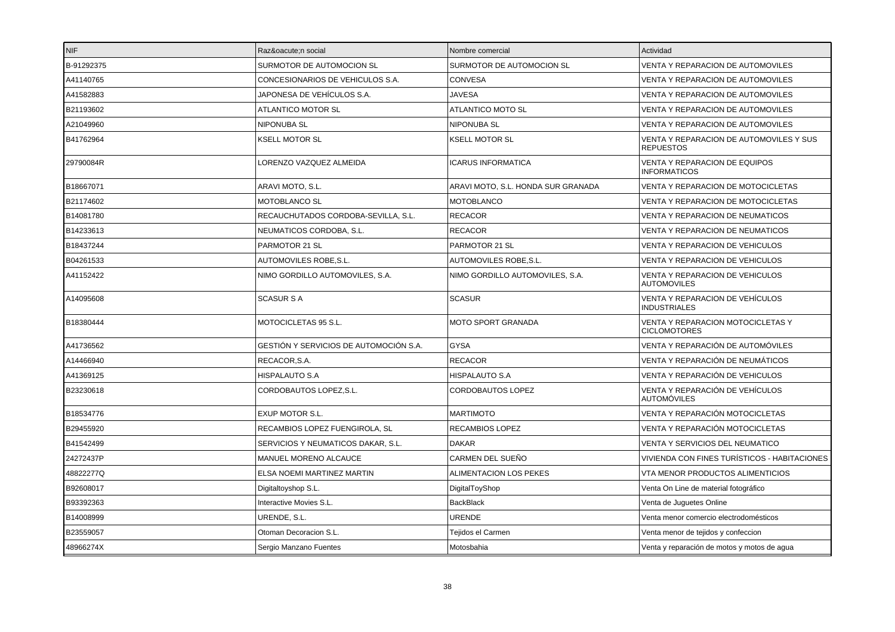| <b>NIF</b> | Razón social                           | Nombre comercial                   | Actividad                                                |
|------------|----------------------------------------|------------------------------------|----------------------------------------------------------|
| B-91292375 | SURMOTOR DE AUTOMOCION SL              | SURMOTOR DE AUTOMOCION SL          | VENTA Y REPARACION DE AUTOMOVILES                        |
| A41140765  | CONCESIONARIOS DE VEHICULOS S.A.       | <b>CONVESA</b>                     | VENTA Y REPARACION DE AUTOMOVILES                        |
| A41582883  | JAPONESA DE VEHÍCULOS S.A.             | <b>JAVESA</b>                      | VENTA Y REPARACION DE AUTOMOVILES                        |
| B21193602  | ATLANTICO MOTOR SL                     | <b>ATLANTICO MOTO SL</b>           | VENTA Y REPARACION DE AUTOMOVILES                        |
| A21049960  | NIPONUBA SL                            | NIPONUBA SL                        | VENTA Y REPARACION DE AUTOMOVILES                        |
| B41762964  | <b>KSELL MOTOR SL</b>                  | <b>KSELL MOTOR SL</b>              | VENTA Y REPARACION DE AUTOMOVILES Y SUS<br>REPUESTOS     |
| 29790084R  | LORENZO VAZQUEZ ALMEIDA                | <b>ICARUS INFORMATICA</b>          | VENTA Y REPARACION DE EQUIPOS<br><b>INFORMATICOS</b>     |
| B18667071  | ARAVI MOTO, S.L.                       | ARAVI MOTO, S.L. HONDA SUR GRANADA | VENTA Y REPARACION DE MOTOCICLETAS                       |
| B21174602  | <b>MOTOBLANCO SL</b>                   | <b>MOTOBLANCO</b>                  | VENTA Y REPARACION DE MOTOCICLETAS                       |
| B14081780  | RECAUCHUTADOS CORDOBA-SEVILLA, S.L.    | <b>RECACOR</b>                     | VENTA Y REPARACION DE NEUMATICOS                         |
| B14233613  | NEUMATICOS CORDOBA, S.L.               | <b>RECACOR</b>                     | VENTA Y REPARACION DE NEUMATICOS                         |
| B18437244  | PARMOTOR 21 SL                         | PARMOTOR 21 SL                     | VENTA Y REPARACION DE VEHICULOS                          |
| B04261533  | AUTOMOVILES ROBE, S.L.                 | AUTOMOVILES ROBE, S.L.             | VENTA Y REPARACION DE VEHICULOS                          |
| A41152422  | NIMO GORDILLO AUTOMOVILES, S.A.        | NIMO GORDILLO AUTOMOVILES, S.A.    | VENTA Y REPARACION DE VEHICULOS<br><b>AUTOMOVILES</b>    |
| A14095608  | <b>SCASUR S A</b>                      | <b>SCASUR</b>                      | VENTA Y REPARACION DE VEHÍCULOS<br><b>INDUSTRIALES</b>   |
| B18380444  | MOTOCICLETAS 95 S.L.                   | MOTO SPORT GRANADA                 | VENTA Y REPARACION MOTOCICLETAS Y<br><b>CICLOMOTORES</b> |
| A41736562  | GESTIÓN Y SERVICIOS DE AUTOMOCIÓN S.A. | <b>GYSA</b>                        | VENTA Y REPARACIÓN DE AUTOMÓVILES                        |
| A14466940  | RECACOR, S.A.                          | <b>RECACOR</b>                     | VENTA Y REPARACIÓN DE NEUMÁTICOS                         |
| A41369125  | <b>HISPALAUTO S.A</b>                  | HISPALAUTO S.A                     | VENTA Y REPARACIÓN DE VEHICULOS                          |
| B23230618  | CORDOBAUTOS LOPEZ, S.L.                | CORDOBAUTOS LOPEZ                  | VENTA Y REPARACIÓN DE VEHÍCULOS<br>AUTOMÓVILES           |
| B18534776  | EXUP MOTOR S.L.                        | <b>MARTIMOTO</b>                   | VENTA Y REPARACIÓN MOTOCICLETAS                          |
| B29455920  | RECAMBIOS LOPEZ FUENGIROLA, SL         | <b>RECAMBIOS LOPEZ</b>             | VENTA Y REPARACIÓN MOTOCICLETAS                          |
| B41542499  | SERVICIOS Y NEUMATICOS DAKAR. S.L.     | <b>DAKAR</b>                       | <b>VENTA Y SERVICIOS DEL NEUMATICO</b>                   |
| 24272437P  | MANUEL MORENO ALCAUCE                  | CARMEN DEL SUEÑO                   | VIVIENDA CON FINES TURÍSTICOS - HABITACIONES             |
| 48822277Q  | ELSA NOEMI MARTINEZ MARTIN             | <b>ALIMENTACION LOS PEKES</b>      | VTA MENOR PRODUCTOS ALIMENTICIOS                         |
| B92608017  | Digitaltoyshop S.L.                    | DigitalToyShop                     | Venta On Line de material fotográfico                    |
| B93392363  | Interactive Movies S.L.                | <b>BackBlack</b>                   | Venta de Juguetes Online                                 |
| B14008999  | URENDE, S.L.                           | <b>URENDE</b>                      | Venta menor comercio electrodomésticos                   |
| B23559057  | Otoman Decoracion S.L.                 | Tejidos el Carmen                  | Venta menor de tejidos y confeccion                      |
| 48966274X  | Sergio Manzano Fuentes                 | Motosbahia                         | Venta y reparación de motos y motos de agua              |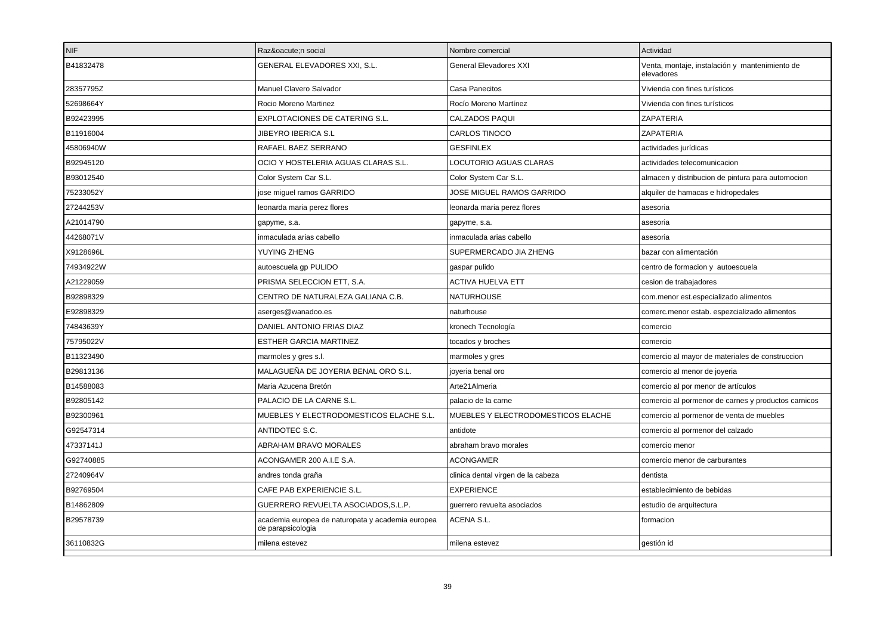| NIF       | Razón social                                                           | Nombre comercial                   | Actividad                                                    |
|-----------|------------------------------------------------------------------------|------------------------------------|--------------------------------------------------------------|
| B41832478 | GENERAL ELEVADORES XXI, S.L.                                           | <b>General Elevadores XXI</b>      | Venta, montaje, instalación y mantenimiento de<br>elevadores |
| 28357795Z | Manuel Clavero Salvador                                                | Casa Panecitos                     | Vivienda con fines turísticos                                |
| 52698664Y | Rocio Moreno Martinez                                                  | Rocío Moreno Martínez              | Vivienda con fines turísticos                                |
| B92423995 | EXPLOTACIONES DE CATERING S.L.                                         | CALZADOS PAQUI                     | ZAPATERIA                                                    |
| B11916004 | JIBEYRO IBERICA S.L                                                    | CARLOS TINOCO                      | ZAPATERIA                                                    |
| 45806940W | RAFAEL BAEZ SERRANO                                                    | <b>GESFINLEX</b>                   | actividades jurídicas                                        |
| B92945120 | OCIO Y HOSTELERIA AGUAS CLARAS S.L.                                    | LOCUTORIO AGUAS CLARAS             | actividades telecomunicacion                                 |
| B93012540 | Color System Car S.L.                                                  | Color System Car S.L.              | almacen y distribucion de pintura para automocion            |
| 75233052Y | jose miquel ramos GARRIDO                                              | JOSE MIGUEL RAMOS GARRIDO          | alquiler de hamacas e hidropedales                           |
| 27244253V | leonarda maria perez flores                                            | leonarda maria perez flores        | asesoria                                                     |
| A21014790 | gapyme, s.a.                                                           | gapyme, s.a.                       | asesoria                                                     |
| 44268071V | inmaculada arias cabello                                               | inmaculada arias cabello           | asesoria                                                     |
| X9128696L | YUYING ZHENG                                                           | SUPERMERCADO JIA ZHENG             | bazar con alimentación                                       |
| 74934922W | autoescuela gp PULIDO                                                  | gaspar pulido                      | centro de formacion y autoescuela                            |
| A21229059 | PRISMA SELECCION ETT, S.A.                                             | ACTIVA HUELVA ETT                  | cesion de trabajadores                                       |
| B92898329 | CENTRO DE NATURALEZA GALIANA C.B.                                      | <b>NATURHOUSE</b>                  | com.menor est.especializado alimentos                        |
| E92898329 | aserges@wanadoo.es                                                     | naturhouse                         | comerc.menor estab. espezcializado alimentos                 |
| 74843639Y | DANIEL ANTONIO FRIAS DIAZ                                              | kronech Tecnología                 | comercio                                                     |
| 75795022V | <b>ESTHER GARCIA MARTINEZ</b>                                          | tocados y broches                  | comercio                                                     |
| B11323490 | marmoles y gres s.l.                                                   | marmoles y gres                    | comercio al mayor de materiales de construccion              |
| B29813136 | MALAGUEÑA DE JOYERIA BENAL ORO S.L                                     | joyeria benal oro                  | comercio al menor de joyeria                                 |
| B14588083 | Maria Azucena Bretón                                                   | Arte21 Almeria                     | comercio al por menor de artículos                           |
| B92805142 | PALACIO DE LA CARNE S.L.                                               | palacio de la carne                | comercio al pormenor de carnes y productos carnicos          |
| B92300961 | MUEBLES Y ELECTRODOMESTICOS ELACHE S.L.                                | MUEBLES Y ELECTRODOMESTICOS ELACHE | comercio al pormenor de venta de muebles                     |
| G92547314 | ANTIDOTEC S.C.                                                         | antidote                           | comercio al pormenor del calzado                             |
| 47337141J | ABRAHAM BRAVO MORALES                                                  | abraham bravo morales              | comercio menor                                               |
| G92740885 | ACONGAMER 200 A.I.E S.A.                                               | <b>ACONGAMER</b>                   | comercio menor de carburantes                                |
| 27240964V | andres tonda graña                                                     | clinica dental virgen de la cabeza | dentista                                                     |
| B92769504 | CAFE PAB EXPERIENCIE S.L.                                              | <b>EXPERIENCE</b>                  | establecimiento de bebidas                                   |
| B14862809 | GUERRERO REVUELTA ASOCIADOS, S.L.P.                                    | guerrero revuelta asociados        | estudio de arquitectura                                      |
| B29578739 | academia europea de naturopata y academia europea<br>de parapsicologia | ACENA S.L.                         | formacion                                                    |
| 36110832G | milena estevez                                                         | milena estevez                     | gestión id                                                   |
|           |                                                                        |                                    |                                                              |